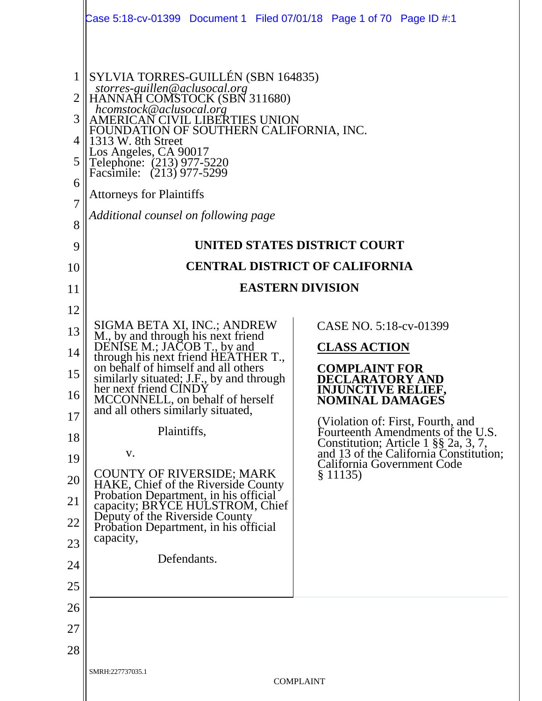|                                                                                | Case 5:18-cv-01399  Document 1  Filed 07/01/18  Page 1 of 70  Page ID #:1                                                                                                                                                                                                                                                                                                                       |                                                                                  |  |  |  |  |  |  |
|--------------------------------------------------------------------------------|-------------------------------------------------------------------------------------------------------------------------------------------------------------------------------------------------------------------------------------------------------------------------------------------------------------------------------------------------------------------------------------------------|----------------------------------------------------------------------------------|--|--|--|--|--|--|
| $\mathbf{1}$<br>$\overline{2}$<br>3<br>4<br>5<br>6<br>$\overline{7}$<br>8<br>9 | SYLVIA TORRES-GUILLÉN (SBN 164835)<br>storres-guillen@aclusocal.org<br>HANNAH COMSTOCK (SBN 311680)<br>hcomstock@aclusocal.org<br>AMERICAN CIVIL LIBERTIES UNION<br>FOUNDATION OF SOUTHERN CALIFORNIA, INC.<br>1313 W. 8th Street<br>Los Angeles, CA 90017<br>Telephone: (213) 977-5220<br>Facsimile: (213) 977-5299<br><b>Attorneys for Plaintiffs</b><br>Additional counsel on following page | UNITED STATES DISTRICT COURT                                                     |  |  |  |  |  |  |
| 10                                                                             |                                                                                                                                                                                                                                                                                                                                                                                                 | <b>CENTRAL DISTRICT OF CALIFORNIA</b>                                            |  |  |  |  |  |  |
| 11                                                                             | <b>EASTERN DIVISION</b>                                                                                                                                                                                                                                                                                                                                                                         |                                                                                  |  |  |  |  |  |  |
| 12                                                                             |                                                                                                                                                                                                                                                                                                                                                                                                 |                                                                                  |  |  |  |  |  |  |
| 13                                                                             | SIGMA BETA XI, INC.; ANDREW<br>M., by and through his next friend<br>DENISE M.; JACOB T., by and                                                                                                                                                                                                                                                                                                | CASE NO. 5:18-cv-01399                                                           |  |  |  |  |  |  |
| 14                                                                             | through his next friend HEATHER T.,<br>on behalf of himself and all others                                                                                                                                                                                                                                                                                                                      | <b>CLASS ACTION</b>                                                              |  |  |  |  |  |  |
| 15                                                                             | similarly situated; J.F., by and through                                                                                                                                                                                                                                                                                                                                                        | <b>COMPLAINT FOR</b><br><b>CLARATORY AND</b>                                     |  |  |  |  |  |  |
| 16                                                                             | her next friend CINDY<br>MCCONNELL, on behalf of herself                                                                                                                                                                                                                                                                                                                                        | <b>INJUNCTIVE RELIEF,</b><br>NOMINAL DAMAGES                                     |  |  |  |  |  |  |
| 17                                                                             | and all others similarly situated,<br>Plaintiffs,                                                                                                                                                                                                                                                                                                                                               | (Violation of: First, Fourth, and                                                |  |  |  |  |  |  |
| 18                                                                             | V.                                                                                                                                                                                                                                                                                                                                                                                              | Fourteenth Amendments of the U.S.<br>Constitution; Article 1 §§ 2a, 3, 7,        |  |  |  |  |  |  |
| 19                                                                             | <b>COUNTY OF RIVERSIDE; MARK</b>                                                                                                                                                                                                                                                                                                                                                                | and 13 of the California Constitution;<br>California Government Code<br>§ 11135) |  |  |  |  |  |  |
| 20<br>21                                                                       | HAKE, Chief of the Riverside County<br>Probation Department, in his official                                                                                                                                                                                                                                                                                                                    |                                                                                  |  |  |  |  |  |  |
| 22                                                                             | capacity; BRYCE HULSTROM, Chief<br>Deputy of the Riverside County                                                                                                                                                                                                                                                                                                                               |                                                                                  |  |  |  |  |  |  |
| 23                                                                             | Probation Department, in his official<br>capacity,                                                                                                                                                                                                                                                                                                                                              |                                                                                  |  |  |  |  |  |  |
| 24                                                                             | Defendants.                                                                                                                                                                                                                                                                                                                                                                                     |                                                                                  |  |  |  |  |  |  |
| 25                                                                             |                                                                                                                                                                                                                                                                                                                                                                                                 |                                                                                  |  |  |  |  |  |  |
| 26                                                                             |                                                                                                                                                                                                                                                                                                                                                                                                 |                                                                                  |  |  |  |  |  |  |
| 27                                                                             |                                                                                                                                                                                                                                                                                                                                                                                                 |                                                                                  |  |  |  |  |  |  |
| 28                                                                             |                                                                                                                                                                                                                                                                                                                                                                                                 |                                                                                  |  |  |  |  |  |  |
|                                                                                | SMRH:227737035.1                                                                                                                                                                                                                                                                                                                                                                                | <b>COMPLAINT</b>                                                                 |  |  |  |  |  |  |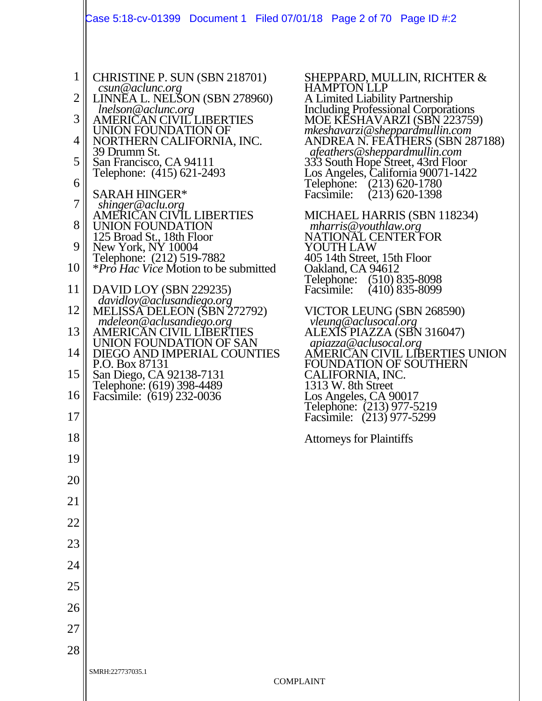|                          | Case 5:18-cv-01399 Document 1 Filed 07/01/18 Page 2 of 70 Page ID #:2                                                                      |                                                                                                                                    |
|--------------------------|--------------------------------------------------------------------------------------------------------------------------------------------|------------------------------------------------------------------------------------------------------------------------------------|
| 1<br>$\overline{2}$<br>3 | CHRISTINE P. SUN (SBN 218701)<br>csun@aclunc.org<br>LINNEA L. NELSON (SBN 278960)<br><i>Inelson@aclunc.org</i><br>AMERICAN CIVIL LIBERTIES | SHEPPARD, MULLIN, RICHTER &<br><b>HAMPTON LLP</b><br>A Limited Liability Partnership<br><b>Including Professional Corporations</b> |
|                          | UNION FOUNDATION OF                                                                                                                        | MOE KESHAVARZI (SBN 223759)<br>mkeshavarzi@sheppardmullin.com<br>ANDREA N. FEATHERS (SBN 287188)                                   |
| 4<br>5                   | NORTHERN CALIFORNIA, INC.<br>39 Drumm St.                                                                                                  | afeathers@sheppardmullin.com                                                                                                       |
| 6                        | San Francisco, CA 94111<br>Telephone: (415) 621-2493                                                                                       | 333 South Hope Street, 43rd Floor<br>Los Angeles, California 90071-1422                                                            |
| 7                        | <b>SARAH HINGER*</b><br>shinger@aclu.org                                                                                                   | Telephone: (213) 620-1780<br>$(213)$ 620-1398<br>Facsimile:                                                                        |
| 8                        | <b>AMERICAN CIVIL LIBERTIES</b><br>UNION FOUNDATION                                                                                        | MICHAEL HARRIS (SBN 118234)<br>mharris@youthlaw.org                                                                                |
| 9                        | 125 Broad St., 18th Floor<br>New York, NY 10004                                                                                            | NATIONAL CENTER FOR<br>YOUTH LAW                                                                                                   |
| 10                       | Telephone: (212) 519-7882<br><i>*Pro Hac Vice Motion to be submitted</i>                                                                   | 405 14th Street, 15th Floor<br>Oakland, CA 94612                                                                                   |
| 11                       | DAVID LOY (SBN 229235)                                                                                                                     | Telephone: (510) 835-8098<br>$(410)$ 835-8099<br>Facsimile:                                                                        |
| 12                       | davidloy@aclusandiego.org<br>MELISSA DELEON (SBN 272792)                                                                                   | VICTOR LEUNG (SBN 268590)                                                                                                          |
| 13                       | mdeleon@aclusandiego.org<br>AMERICAN CIVIL LIBERTIES                                                                                       | vleung@aclusocal.org<br>ALEXIS PIAZZA (SBN 316047)                                                                                 |
| 14                       | UNION FOUNDATION OF SAN<br>DIEGO AND IMPERIAL COUNTIES<br>P.O. Box 87131                                                                   | apiazza@aclusocal.org<br>AMERICAN CIVIL LIBERTIES UNION<br>FOUNDATION OF SOUTHERN                                                  |
| 15                       | San Diego, CA 92138-7131<br>Telephone: (619) 398-4489                                                                                      | CALIFORNIA, INC.<br>1313 W. 8th Street                                                                                             |
| $16 \mid$                | Facsimile: (619) 232-0036                                                                                                                  | Los Angeles, CA 90017<br>Telephone: (213) 977-5219<br>Facsimile: (213) 977-5299                                                    |
| 17                       |                                                                                                                                            |                                                                                                                                    |
| 18                       |                                                                                                                                            | <b>Attorneys for Plaintiffs</b>                                                                                                    |
| 19                       |                                                                                                                                            |                                                                                                                                    |
| 20                       |                                                                                                                                            |                                                                                                                                    |
| 21<br>22                 |                                                                                                                                            |                                                                                                                                    |
| 23                       |                                                                                                                                            |                                                                                                                                    |
| 24                       |                                                                                                                                            |                                                                                                                                    |
| 25                       |                                                                                                                                            |                                                                                                                                    |
| 26                       |                                                                                                                                            |                                                                                                                                    |
| 27                       |                                                                                                                                            |                                                                                                                                    |
| 28                       |                                                                                                                                            |                                                                                                                                    |
|                          | SMRH:227737035.1                                                                                                                           | <b>COMPLAINT</b>                                                                                                                   |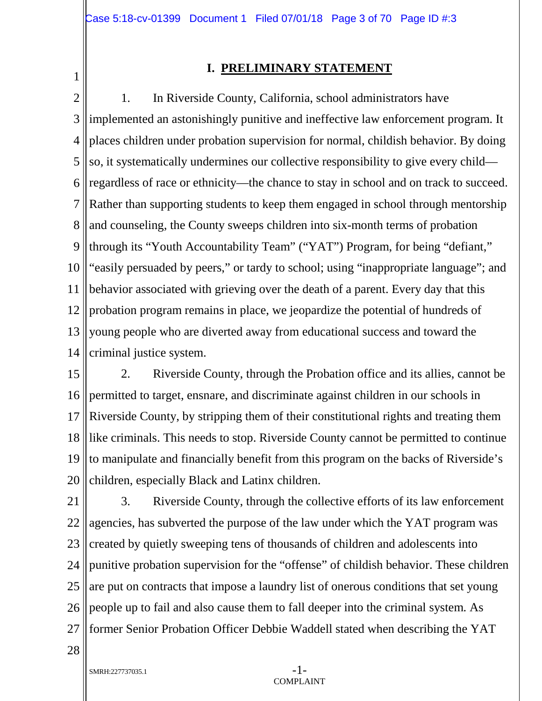1

#### **I. PRELIMINARY STATEMENT**

2 3 4 5 6 7 8 9 10 11 12 13 14 1. In Riverside County, California, school administrators have implemented an astonishingly punitive and ineffective law enforcement program. It places children under probation supervision for normal, childish behavior. By doing so, it systematically undermines our collective responsibility to give every child regardless of race or ethnicity—the chance to stay in school and on track to succeed. Rather than supporting students to keep them engaged in school through mentorship and counseling, the County sweeps children into six-month terms of probation through its "Youth Accountability Team" ("YAT") Program, for being "defiant," "easily persuaded by peers," or tardy to school; using "inappropriate language"; and behavior associated with grieving over the death of a parent. Every day that this probation program remains in place, we jeopardize the potential of hundreds of young people who are diverted away from educational success and toward the criminal justice system.

15 16 17 18 19 20 2. Riverside County, through the Probation office and its allies, cannot be permitted to target, ensnare, and discriminate against children in our schools in Riverside County, by stripping them of their constitutional rights and treating them like criminals. This needs to stop. Riverside County cannot be permitted to continue to manipulate and financially benefit from this program on the backs of Riverside's children, especially Black and Latinx children.

21 22 23 24 25 26 27 3. Riverside County, through the collective efforts of its law enforcement agencies, has subverted the purpose of the law under which the YAT program was created by quietly sweeping tens of thousands of children and adolescents into punitive probation supervision for the "offense" of childish behavior. These children are put on contracts that impose a laundry list of onerous conditions that set young people up to fail and also cause them to fall deeper into the criminal system. As former Senior Probation Officer Debbie Waddell stated when describing the YAT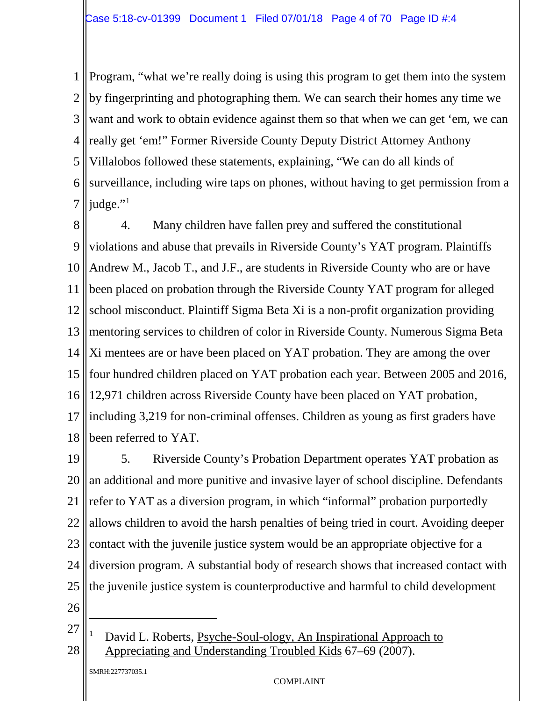1 2 3 4 5 6 7 Program, "what we're really doing is using this program to get them into the system by fingerprinting and photographing them. We can search their homes any time we want and work to obtain evidence against them so that when we can get 'em, we can really get 'em!" Former Riverside County Deputy District Attorney Anthony Villalobos followed these statements, explaining, "We can do all kinds of surveillance, including wire taps on phones, without having to get permission from a judge."<sup>[1](#page-3-0)</sup>

8 9 10 11 12 13 14 15 16 17 18 4. Many children have fallen prey and suffered the constitutional violations and abuse that prevails in Riverside County's YAT program. Plaintiffs Andrew M., Jacob T., and J.F., are students in Riverside County who are or have been placed on probation through the Riverside County YAT program for alleged school misconduct. Plaintiff Sigma Beta Xi is a non-profit organization providing mentoring services to children of color in Riverside County. Numerous Sigma Beta Xi mentees are or have been placed on YAT probation. They are among the over four hundred children placed on YAT probation each year. Between 2005 and 2016, 12,971 children across Riverside County have been placed on YAT probation, including 3,219 for non-criminal offenses. Children as young as first graders have been referred to YAT.

19 20 21 22 23 24 25 5. Riverside County's Probation Department operates YAT probation as an additional and more punitive and invasive layer of school discipline. Defendants refer to YAT as a diversion program, in which "informal" probation purportedly allows children to avoid the harsh penalties of being tried in court. Avoiding deeper contact with the juvenile justice system would be an appropriate objective for a diversion program. A substantial body of research shows that increased contact with the juvenile justice system is counterproductive and harmful to child development

26

 $\ddot{\phantom{a}}$ 

<span id="page-3-0"></span>27 28 David L. Roberts, Psyche-Soul-ology, An Inspirational Approach to Appreciating and Understanding Troubled Kids 67–69 (2007).

SMRH:227737035.1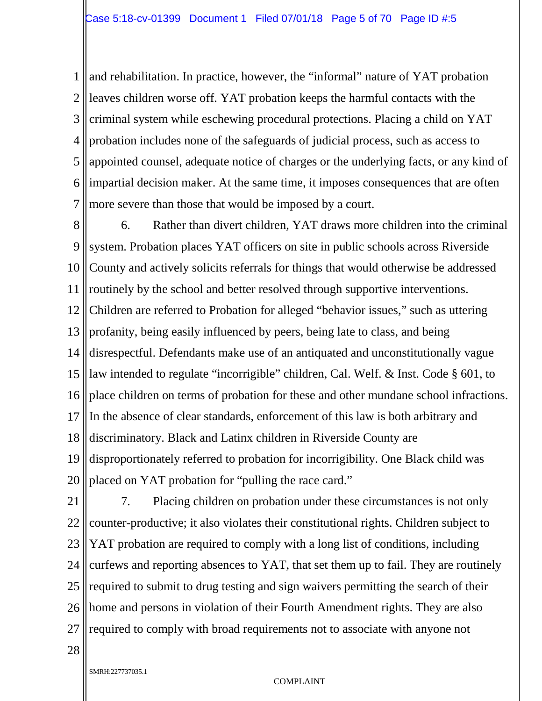1 2 3 4 5 6 7 and rehabilitation. In practice, however, the "informal" nature of YAT probation leaves children worse off. YAT probation keeps the harmful contacts with the criminal system while eschewing procedural protections. Placing a child on YAT probation includes none of the safeguards of judicial process, such as access to appointed counsel, adequate notice of charges or the underlying facts, or any kind of impartial decision maker. At the same time, it imposes consequences that are often more severe than those that would be imposed by a court.

8 9 10 11 12 13 14 15 16 17 18 19 20 6. Rather than divert children, YAT draws more children into the criminal system. Probation places YAT officers on site in public schools across Riverside County and actively solicits referrals for things that would otherwise be addressed routinely by the school and better resolved through supportive interventions. Children are referred to Probation for alleged "behavior issues," such as uttering profanity, being easily influenced by peers, being late to class, and being disrespectful. Defendants make use of an antiquated and unconstitutionally vague law intended to regulate "incorrigible" children, Cal. Welf. & Inst. Code § 601, to place children on terms of probation for these and other mundane school infractions. In the absence of clear standards, enforcement of this law is both arbitrary and discriminatory. Black and Latinx children in Riverside County are disproportionately referred to probation for incorrigibility. One Black child was placed on YAT probation for "pulling the race card."

21 22 23 24 25 26 27 7. Placing children on probation under these circumstances is not only counter-productive; it also violates their constitutional rights. Children subject to YAT probation are required to comply with a long list of conditions, including curfews and reporting absences to YAT, that set them up to fail. They are routinely required to submit to drug testing and sign waivers permitting the search of their home and persons in violation of their Fourth Amendment rights. They are also required to comply with broad requirements not to associate with anyone not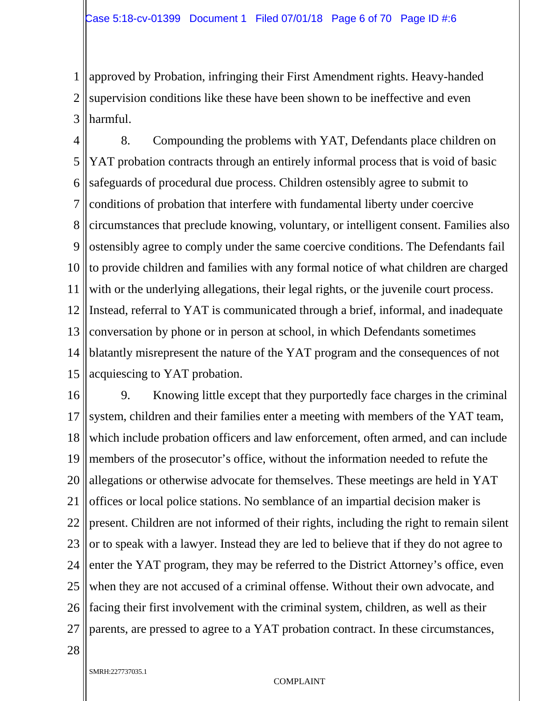1 2 3 approved by Probation, infringing their First Amendment rights. Heavy-handed supervision conditions like these have been shown to be ineffective and even harmful.

4 5 6 7 8 9 10 11 12 13 14 15 8. Compounding the problems with YAT, Defendants place children on YAT probation contracts through an entirely informal process that is void of basic safeguards of procedural due process. Children ostensibly agree to submit to conditions of probation that interfere with fundamental liberty under coercive circumstances that preclude knowing, voluntary, or intelligent consent. Families also ostensibly agree to comply under the same coercive conditions. The Defendants fail to provide children and families with any formal notice of what children are charged with or the underlying allegations, their legal rights, or the juvenile court process. Instead, referral to YAT is communicated through a brief, informal, and inadequate conversation by phone or in person at school, in which Defendants sometimes blatantly misrepresent the nature of the YAT program and the consequences of not acquiescing to YAT probation.

16 17 18 19 20 21 22 23 24 25 26 27 9. Knowing little except that they purportedly face charges in the criminal system, children and their families enter a meeting with members of the YAT team, which include probation officers and law enforcement, often armed, and can include members of the prosecutor's office, without the information needed to refute the allegations or otherwise advocate for themselves. These meetings are held in YAT offices or local police stations. No semblance of an impartial decision maker is present. Children are not informed of their rights, including the right to remain silent or to speak with a lawyer. Instead they are led to believe that if they do not agree to enter the YAT program, they may be referred to the District Attorney's office, even when they are not accused of a criminal offense. Without their own advocate, and facing their first involvement with the criminal system, children, as well as their parents, are pressed to agree to a YAT probation contract. In these circumstances,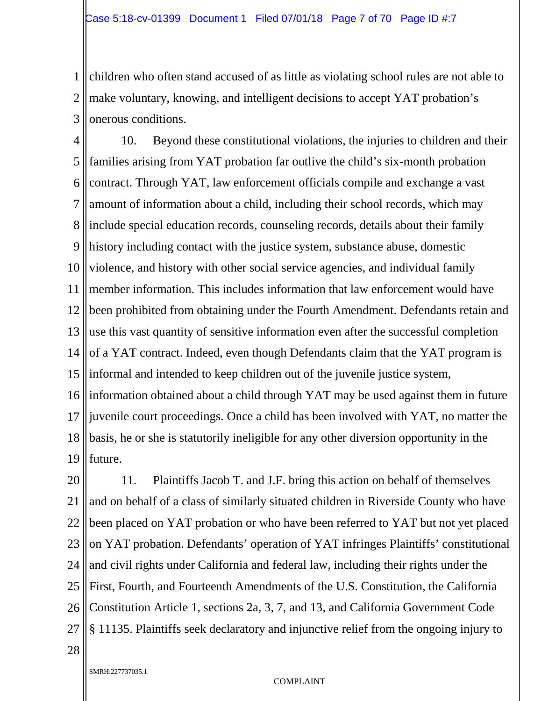1 2 3 children who often stand accused of as little as violating school rules are not able to make voluntary, knowing, and intelligent decisions to accept YAT probation's onerous conditions.

4 5 6 7 8 9 10 11 12 13 14 15 16 17 18 19 10. Beyond these constitutional violations, the injuries to children and their families arising from YAT probation far outlive the child's six-month probation contract. Through YAT, law enforcement officials compile and exchange a vast amount of information about a child, including their school records, which may include special education records, counseling records, details about their family history including contact with the justice system, substance abuse, domestic violence, and history with other social service agencies, and individual family member information. This includes information that law enforcement would have been prohibited from obtaining under the Fourth Amendment. Defendants retain and use this vast quantity of sensitive information even after the successful completion of a YAT contract. Indeed, even though Defendants claim that the YAT program is informal and intended to keep children out of the juvenile justice system, information obtained about a child through YAT may be used against them in future juvenile court proceedings. Once a child has been involved with YAT, no matter the basis, he or she is statutorily ineligible for any other diversion opportunity in the future.

20 21 22 23 24 25 26 27 11. Plaintiffs Jacob T. and J.F. bring this action on behalf of themselves and on behalf of a class of similarly situated children in Riverside County who have been placed on YAT probation or who have been referred to YAT but not yet placed on YAT probation. Defendants' operation of YAT infringes Plaintiffs' constitutional and civil rights under California and federal law, including their rights under the First, Fourth, and Fourteenth Amendments of the U.S. Constitution, the California Constitution Article 1, sections 2a, 3, 7, and 13, and California Government Code § 11135. Plaintiffs seek declaratory and injunctive relief from the ongoing injury to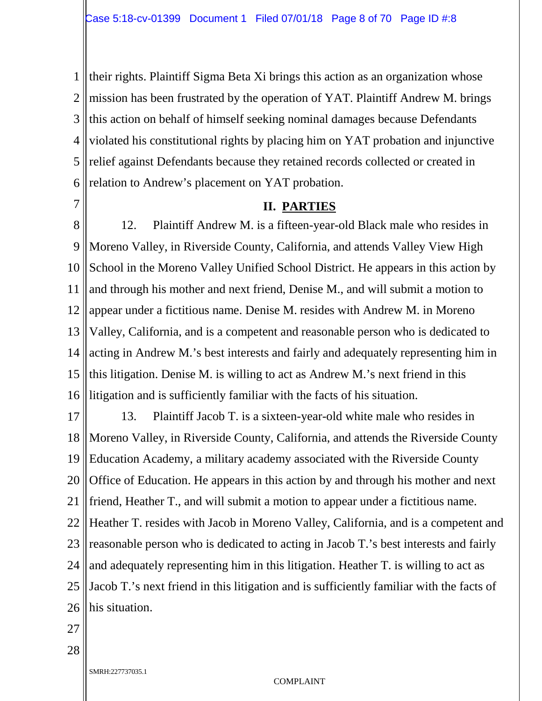1 2 3 4 5 6 their rights. Plaintiff Sigma Beta Xi brings this action as an organization whose mission has been frustrated by the operation of YAT. Plaintiff Andrew M. brings this action on behalf of himself seeking nominal damages because Defendants violated his constitutional rights by placing him on YAT probation and injunctive relief against Defendants because they retained records collected or created in relation to Andrew's placement on YAT probation.

7

#### **II. PARTIES**

8 9 10 11 12 13 14 15 16 12. Plaintiff Andrew M. is a fifteen-year-old Black male who resides in Moreno Valley, in Riverside County, California, and attends Valley View High School in the Moreno Valley Unified School District. He appears in this action by and through his mother and next friend, Denise M., and will submit a motion to appear under a fictitious name. Denise M. resides with Andrew M. in Moreno Valley, California, and is a competent and reasonable person who is dedicated to acting in Andrew M.'s best interests and fairly and adequately representing him in this litigation. Denise M. is willing to act as Andrew M.'s next friend in this litigation and is sufficiently familiar with the facts of his situation.

17 18 19 20 21 22 23 24 25 26 13. Plaintiff Jacob T. is a sixteen-year-old white male who resides in Moreno Valley, in Riverside County, California, and attends the Riverside County Education Academy, a military academy associated with the Riverside County Office of Education. He appears in this action by and through his mother and next friend, Heather T., and will submit a motion to appear under a fictitious name. Heather T. resides with Jacob in Moreno Valley, California, and is a competent and reasonable person who is dedicated to acting in Jacob T.'s best interests and fairly and adequately representing him in this litigation. Heather T. is willing to act as Jacob T.'s next friend in this litigation and is sufficiently familiar with the facts of his situation.

27

28

SMRH:227737035.1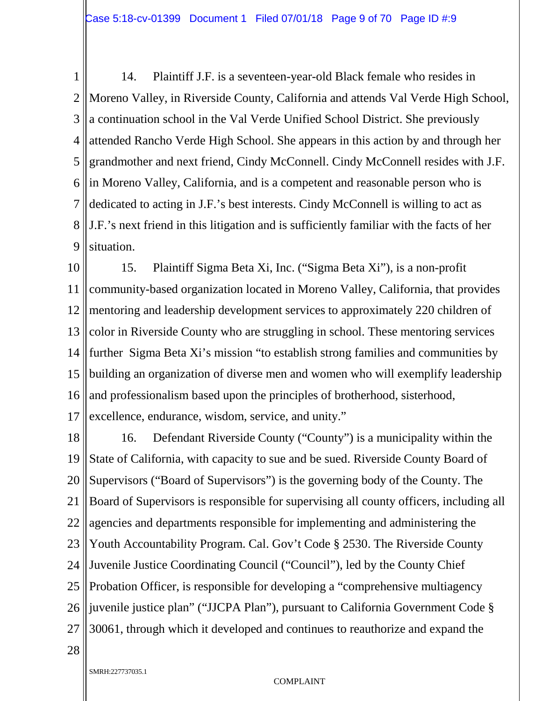1 2 3 4 5 6 7 8 9 14. Plaintiff J.F. is a seventeen-year-old Black female who resides in Moreno Valley, in Riverside County, California and attends Val Verde High School, a continuation school in the Val Verde Unified School District. She previously attended Rancho Verde High School. She appears in this action by and through her grandmother and next friend, Cindy McConnell. Cindy McConnell resides with J.F. in Moreno Valley, California, and is a competent and reasonable person who is dedicated to acting in J.F.'s best interests. Cindy McConnell is willing to act as J.F.'s next friend in this litigation and is sufficiently familiar with the facts of her situation.

10 11 12 13 14 15 16 17 15. Plaintiff Sigma Beta Xi, Inc. ("Sigma Beta Xi"), is a non-profit community-based organization located in Moreno Valley, California, that provides mentoring and leadership development services to approximately 220 children of color in Riverside County who are struggling in school. These mentoring services further Sigma Beta Xi's mission "to establish strong families and communities by building an organization of diverse men and women who will exemplify leadership and professionalism based upon the principles of brotherhood, sisterhood, excellence, endurance, wisdom, service, and unity."

18 19 20 21 22 23 24 25 26 27 16. Defendant Riverside County ("County") is a municipality within the State of California, with capacity to sue and be sued. Riverside County Board of Supervisors ("Board of Supervisors") is the governing body of the County. The Board of Supervisors is responsible for supervising all county officers, including all agencies and departments responsible for implementing and administering the Youth Accountability Program. Cal. Gov't Code § 2530. The Riverside County Juvenile Justice Coordinating Council ("Council"), led by the County Chief Probation Officer, is responsible for developing a "comprehensive multiagency juvenile justice plan" ("JJCPA Plan"), pursuant to California Government Code § 30061, through which it developed and continues to reauthorize and expand the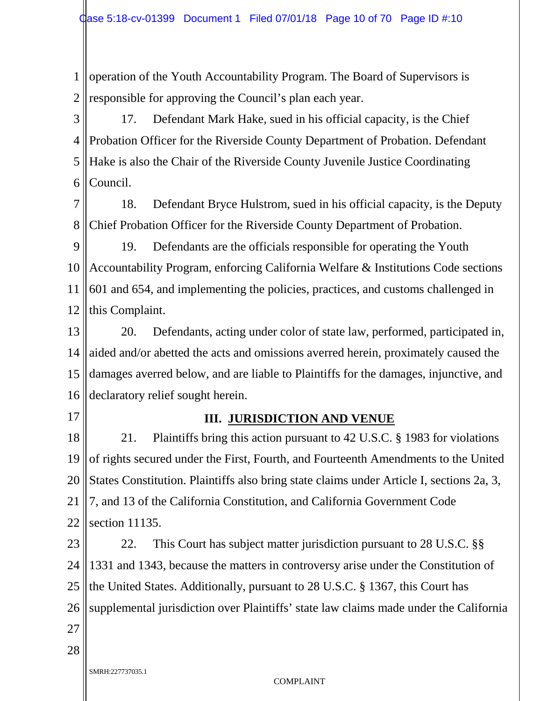1 2 operation of the Youth Accountability Program. The Board of Supervisors is responsible for approving the Council's plan each year.

3 4 5 6 17. Defendant Mark Hake, sued in his official capacity, is the Chief Probation Officer for the Riverside County Department of Probation. Defendant Hake is also the Chair of the Riverside County Juvenile Justice Coordinating Council.

7 8 18. Defendant Bryce Hulstrom, sued in his official capacity, is the Deputy Chief Probation Officer for the Riverside County Department of Probation.

9 10 11 12 19. Defendants are the officials responsible for operating the Youth Accountability Program, enforcing California Welfare & Institutions Code sections 601 and 654, and implementing the policies, practices, and customs challenged in this Complaint.

13 14 15 16 20. Defendants, acting under color of state law, performed, participated in, aided and/or abetted the acts and omissions averred herein, proximately caused the damages averred below, and are liable to Plaintiffs for the damages, injunctive, and declaratory relief sought herein.

17

#### **III. JURISDICTION AND VENUE**

18 19 20 21 22 21. Plaintiffs bring this action pursuant to 42 U.S.C. § 1983 for violations of rights secured under the First, Fourth, and Fourteenth Amendments to the United States Constitution. Plaintiffs also bring state claims under Article I, sections 2a, 3, 7, and 13 of the California Constitution, and California Government Code section 11135.

23 24 25 26 27 22. This Court has subject matter jurisdiction pursuant to 28 U.S.C. §§ 1331 and 1343, because the matters in controversy arise under the Constitution of the United States. Additionally, pursuant to 28 U.S.C. § 1367, this Court has supplemental jurisdiction over Plaintiffs' state law claims made under the California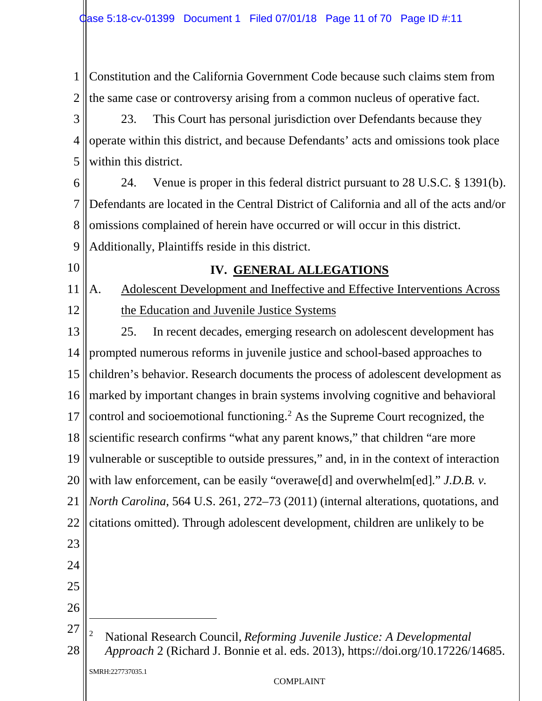1 2 3 4 5 6 7 8 9 10 11 12 13 14 15 16 17 18 19 20 21 22 23 24 25 26 Constitution and the California Government Code because such claims stem from the same case or controversy arising from a common nucleus of operative fact. 23. This Court has personal jurisdiction over Defendants because they operate within this district, and because Defendants' acts and omissions took place within this district. 24. Venue is proper in this federal district pursuant to 28 U.S.C. § 1391(b). Defendants are located in the Central District of California and all of the acts and/or omissions complained of herein have occurred or will occur in this district. Additionally, Plaintiffs reside in this district. **IV. GENERAL ALLEGATIONS** A. Adolescent Development and Ineffective and Effective Interventions Across the Education and Juvenile Justice Systems 25. In recent decades, emerging research on adolescent development has prompted numerous reforms in juvenile justice and school-based approaches to children's behavior. Research documents the process of adolescent development as marked by important changes in brain systems involving cognitive and behavioral control and socioemotional functioning.[2](#page-10-0) As the Supreme Court recognized, the scientific research confirms "what any parent knows," that children "are more vulnerable or susceptible to outside pressures," and, in in the context of interaction with law enforcement, can be easily "overawe<sup>[d]</sup> and overwhelm<sup>[ed]</sup>." *J.D.B. v. North Carolina*, 564 U.S. 261, 272–73 (2011) (internal alterations, quotations, and citations omitted). Through adolescent development, children are unlikely to be  $\ddot{\phantom{a}}$ 

SMRH:227737035.1

<span id="page-10-0"></span><sup>27</sup> 28 <sup>2</sup> National Research Council, *Reforming Juvenile Justice: A Developmental Approach* 2 (Richard J. Bonnie et al. eds. 2013), https://doi.org/10.17226/14685.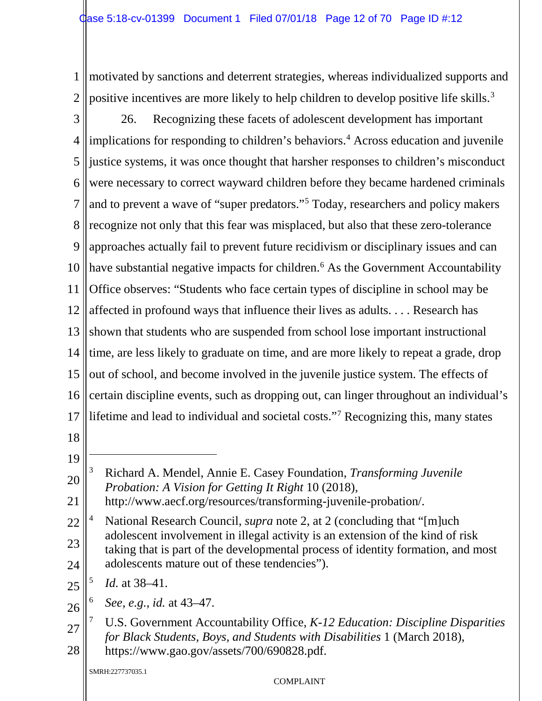1 2 motivated by sanctions and deterrent strategies, whereas individualized supports and positive incentives are more likely to help children to develop positive life skills.<sup>[3](#page-11-0)</sup>

3 4 5 6 7 8 9 10 11 12 13 14 15 16 17 18 26. Recognizing these facets of adolescent development has important implications for responding to children's behaviors.<sup>4</sup> Across education and juvenile justice systems, it was once thought that harsher responses to children's misconduct were necessary to correct wayward children before they became hardened criminals and to prevent a wave of "super predators."[5](#page-11-2) Today, researchers and policy makers recognize not only that this fear was misplaced, but also that these zero-tolerance approaches actually fail to prevent future recidivism or disciplinary issues and can have substantial negative impacts for children.<sup>[6](#page-11-3)</sup> As the Government Accountability Office observes: "Students who face certain types of discipline in school may be affected in profound ways that influence their lives as adults. . . . Research has shown that students who are suspended from school lose important instructional time, are less likely to graduate on time, and are more likely to repeat a grade, drop out of school, and become involved in the juvenile justice system. The effects of certain discipline events, such as dropping out, can linger throughout an individual's lifetime and lead to individual and societal costs."[7](#page-11-4) Recognizing this, many states

- 
- 19  $\overline{a}$
- <span id="page-11-0"></span>20 <sup>3</sup> Richard A. Mendel, Annie E. Casey Foundation, *Transforming Juvenile Probation: A Vision for Getting It Right* 10 (2018),
- 21 http://www.aecf.org/resources/transforming-juvenile-probation/.
- <span id="page-11-1"></span>22 23 24 National Research Council, *supra* note 2, at 2 (concluding that "[m]uch] adolescent involvement in illegal activity is an extension of the kind of risk taking that is part of the developmental process of identity formation, and most adolescents mature out of these tendencies").
- <span id="page-11-2"></span>25 <sup>5</sup> *Id.* at 38–41.
- <span id="page-11-3"></span>26 <sup>6</sup> *See, e.g.*, *id.* at 43–47.
- <span id="page-11-4"></span>27 28 <sup>7</sup> U.S. Government Accountability Office, *K-12 Education: Discipline Disparities for Black Students, Boys, and Students with Disabilities* 1 (March 2018), https://www.gao.gov/assets/700/690828.pdf.

SMRH:227737035.1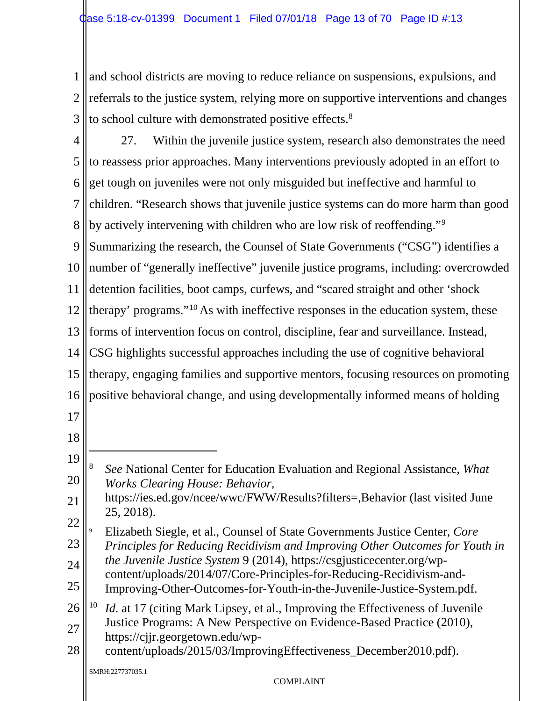1 2 3 and school districts are moving to reduce reliance on suspensions, expulsions, and referrals to the justice system, relying more on supportive interventions and changes to school culture with demonstrated positive effects.<sup>[8](#page-12-0)</sup>

4 5 6 7 8 9 10 11 12 13 14 15 16 17 18 19 20 21 22 23 24 25 26 27 27. Within the juvenile justice system, research also demonstrates the need to reassess prior approaches. Many interventions previously adopted in an effort to get tough on juveniles were not only misguided but ineffective and harmful to children. "Research shows that juvenile justice systems can do more harm than good by actively intervening with children who are low risk of reoffending."[9](#page-12-1) Summarizing the research, the Counsel of State Governments ("CSG") identifies a number of "generally ineffective" juvenile justice programs, including: overcrowded detention facilities, boot camps, curfews, and "scared straight and other 'shock therapy' programs."[10](#page-12-2) As with ineffective responses in the education system, these forms of intervention focus on control, discipline, fear and surveillance. Instead, CSG highlights successful approaches including the use of cognitive behavioral therapy, engaging families and supportive mentors, focusing resources on promoting positive behavioral change, and using developmentally informed means of holding  $\overline{a}$ <sup>8</sup> *See* National Center for Education Evaluation and Regional Assistance, *What Works Clearing House: Behavior*, https://ies.ed.gov/ncee/wwc/FWW/Results?filters=,Behavior (last visited June 25, 2018). <sup>9</sup> Elizabeth Siegle, et al., Counsel of State Governments Justice Center, *Core Principles for Reducing Recidivism and Improving Other Outcomes for Youth in the Juvenile Justice System* 9 (2014), https://csgjusticecenter.org/wpcontent/uploads/2014/07/Core-Principles-for-Reducing-Recidivism-and-Improving-Other-Outcomes-for-Youth-in-the-Juvenile-Justice-System.pdf. <sup>10</sup> *Id.* at 17 (citing Mark Lipsey, et al., Improving the Effectiveness of Juvenile Justice Programs: A New Perspective on Evidence-Based Practice (2010),

<span id="page-12-2"></span><span id="page-12-1"></span><span id="page-12-0"></span>https://cjjr.georgetown.edu/wp-

28 content/uploads/2015/03/ImprovingEffectiveness\_December2010.pdf).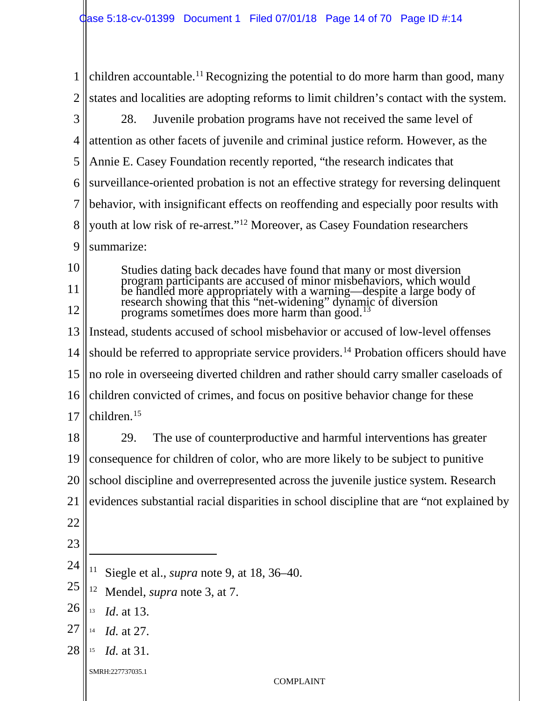<span id="page-13-4"></span><span id="page-13-3"></span><span id="page-13-2"></span><span id="page-13-1"></span><span id="page-13-0"></span>1 2 3 4 5 6 7 8 9 10 11 12 13 14 15 16 17 18 19 20 21 22 23 24 25 26 27 28 SMRH:227737035.1 COMPLAINT children accountable.<sup>[11](#page-13-0)</sup> Recognizing the potential to do more harm than good, many states and localities are adopting reforms to limit children's contact with the system. 28. Juvenile probation programs have not received the same level of attention as other facets of juvenile and criminal justice reform. However, as the Annie E. Casey Foundation recently reported, "the research indicates that surveillance-oriented probation is not an effective strategy for reversing delinquent behavior, with insignificant effects on reoffending and especially poor results with youth at low risk of re-arrest."[12](#page-13-1) Moreover, as Casey Foundation researchers summarize: Studies dating back decades have found that many or most diversion program participants are accused of minor misbehaviors, which would be handled more appropriately with a warning—despite a large body of research showing that this "net-widening" dyna[mic](#page-13-2) of diversion programs sometimes does more harm than good.<sup>[13](#page-13-2)</sup> Instead, students accused of school misbehavior or accused of low-level offenses should be referred to appropriate service providers.<sup>[14](#page-13-3)</sup> Probation officers should have no role in overseeing diverted children and rather should carry smaller caseloads of children convicted of crimes, and focus on positive behavior change for these children.[15](#page-13-4) 29. The use of counterproductive and harmful interventions has greater consequence for children of color, who are more likely to be subject to punitive school discipline and overrepresented across the juvenile justice system. Research evidences substantial racial disparities in school discipline that are "not explained by  $\ddot{\phantom{a}}$ <sup>11</sup> Siegle et al., *supra* note 9, at 18, 36–40. <sup>12</sup> Mendel, *supra* note 3, at 7. <sup>13</sup> *Id*. at 13. <sup>14</sup> *Id.* at 27. <sup>15</sup> *Id.* at 31.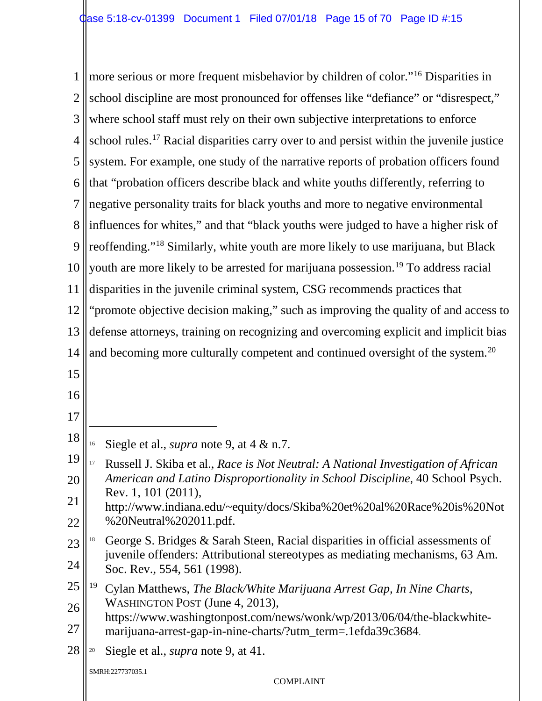<span id="page-14-4"></span><span id="page-14-3"></span><span id="page-14-2"></span><span id="page-14-1"></span><span id="page-14-0"></span>1 2 3 4 5 6 7 8 9 10 11 12 13 14 15 16 17 18 19 20 21 22 23 24 25 26 27 28 SMRH:227737035.1 COMPLAINT more serious or more frequent misbehavior by children of color."[16](#page-14-0) Disparities in school discipline are most pronounced for offenses like "defiance" or "disrespect," where school staff must rely on their own subjective interpretations to enforce school rules.<sup>[17](#page-14-1)</sup> Racial disparities carry over to and persist within the juvenile justice system. For example, one study of the narrative reports of probation officers found that "probation officers describe black and white youths differently, referring to negative personality traits for black youths and more to negative environmental influences for whites," and that "black youths were judged to have a higher risk of reoffending."[18](#page-14-2) Similarly, white youth are more likely to use marijuana, but Black youth are more likely to be arrested for marijuana possession.<sup>[19](#page-14-3)</sup> To address racial disparities in the juvenile criminal system, CSG recommends practices that "promote objective decision making," such as improving the quality of and access to defense attorneys, training on recognizing and overcoming explicit and implicit bias and becoming more culturally competent and continued oversight of the system.<sup>[20](#page-14-4)</sup>  $\ddot{\phantom{a}}$ <sup>16</sup> Siegle et al., *supra* note 9, at 4 & n.7. <sup>17</sup> Russell J. Skiba et al., *Race is Not Neutral: A National Investigation of African American and Latino Disproportionality in School Discipline*, 40 School Psych. Rev. 1, 101 (2011), http://www.indiana.edu/~equity/docs/Skiba%20et%20al%20Race%20is%20Not %20Neutral%202011.pdf. <sup>18</sup> George S. Bridges & Sarah Steen, Racial disparities in official assessments of juvenile offenders: Attributional stereotypes as mediating mechanisms, 63 Am. Soc. Rev., 554, 561 (1998). <sup>19</sup> Cylan Matthews, *The Black/White Marijuana Arrest Gap, In Nine Charts*, WASHINGTON POST (June 4, 2013), https://www.washingtonpost.com/news/wonk/wp/2013/06/04/the-blackwhitemarijuana-arrest-gap-in-nine-charts/?utm\_term=.1efda39c3684. <sup>20</sup> Siegle et al., *supra* note 9, at 41.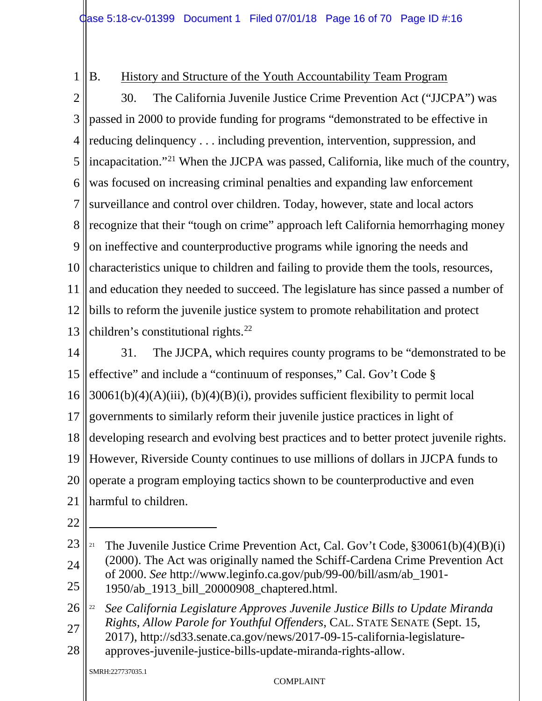B. History and Structure of the Youth Accountability Team Program

2 3 4 5 6 7 8 9 10 11 12 13 30. The California Juvenile Justice Crime Prevention Act ("JJCPA") was passed in 2000 to provide funding for programs "demonstrated to be effective in reducing delinquency . . . including prevention, intervention, suppression, and incapacitation."[21](#page-15-0) When the JJCPA was passed, California, like much of the country, was focused on increasing criminal penalties and expanding law enforcement surveillance and control over children. Today, however, state and local actors recognize that their "tough on crime" approach left California hemorrhaging money on ineffective and counterproductive programs while ignoring the needs and characteristics unique to children and failing to provide them the tools, resources, and education they needed to succeed. The legislature has since passed a number of bills to reform the juvenile justice system to promote rehabilitation and protect children's constitutional rights.<sup>[22](#page-15-1)</sup>

14 15 16 17 18 19 20 21 31. The JJCPA, which requires county programs to be "demonstrated to be effective" and include a "continuum of responses," Cal. Gov't Code § 30061(b)(4)(A)(iii), (b)(4)(B)(i), provides sufficient flexibility to permit local governments to similarly reform their juvenile justice practices in light of developing research and evolving best practices and to better protect juvenile rights. However, Riverside County continues to use millions of dollars in JJCPA funds to operate a program employing tactics shown to be counterproductive and even harmful to children.

22

 $\overline{a}$ 

1

<span id="page-15-0"></span>23 24 25 <sup>21</sup> The Juvenile Justice Crime Prevention Act, Cal. Gov't Code,  $$30061(b)(4)(B)(i)$ (2000). The Act was originally named the Schiff-Cardena Crime Prevention Act of 2000. *See* http://www.leginfo.ca.gov/pub/99-00/bill/asm/ab\_1901- 1950/ab\_1913\_bill\_20000908\_chaptered.html.

<span id="page-15-1"></span>26 27 <sup>22</sup> *See California Legislature Approves Juvenile Justice Bills to Update Miranda Rights, Allow Parole for Youthful Offenders*, CAL. STATE SENATE (Sept. 15, 2017), http://sd33.senate.ca.gov/news/2017-09-15-california-legislature-

28 approves-juvenile-justice-bills-update-miranda-rights-allow.

SMRH:227737035.1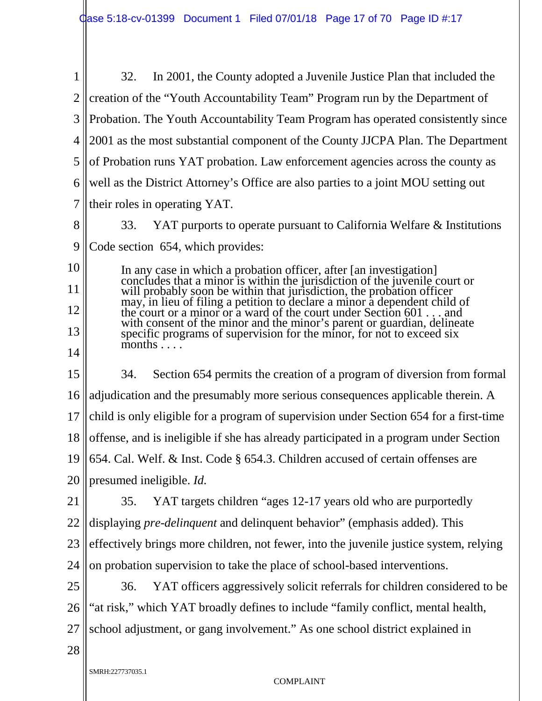1 2 3 4 5 6 7 8 9 32. In 2001, the County adopted a Juvenile Justice Plan that included the creation of the "Youth Accountability Team" Program run by the Department of Probation. The Youth Accountability Team Program has operated consistently since 2001 as the most substantial component of the County JJCPA Plan. The Department of Probation runs YAT probation. Law enforcement agencies across the county as well as the District Attorney's Office are also parties to a joint MOU setting out their roles in operating YAT. 33. YAT purports to operate pursuant to California Welfare & Institutions Code section 654, which provides:

10 11 12 13 14 In any case in which a probation officer, after [an investigation] concludes that a minor is within the jurisdiction of the juvenile court or will probably soon be within that jurisdiction, the probation officer may, in lieu of filing a petition to declare a minor a dependent child of the court or a minor or a ward of the court under Section 601 . . . and with consent of the minor and the minor's parent or guardian, delineate specific programs of supervision for the minor, for not to exceed six months  $\ldots$ 

15 16 17 18 19 20 34. Section 654 permits the creation of a program of diversion from formal adjudication and the presumably more serious consequences applicable therein. A child is only eligible for a program of supervision under Section 654 for a first-time offense, and is ineligible if she has already participated in a program under Section 654. Cal. Welf. & Inst. Code § 654.3. Children accused of certain offenses are presumed ineligible. *Id.*

21 22 23 24 35. YAT targets children "ages 12-17 years old who are purportedly displaying *pre-delinquent* and delinquent behavior" (emphasis added). This effectively brings more children, not fewer, into the juvenile justice system, relying on probation supervision to take the place of school-based interventions.

25 26 27 36. YAT officers aggressively solicit referrals for children considered to be "at risk," which YAT broadly defines to include "family conflict, mental health, school adjustment, or gang involvement." As one school district explained in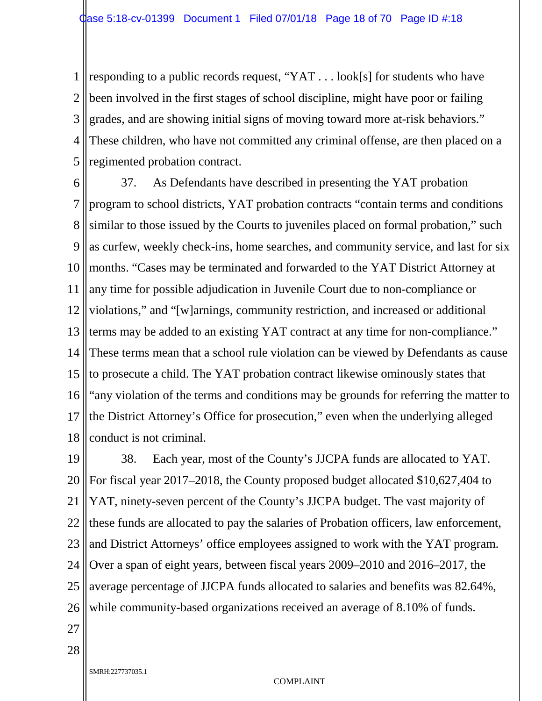1 2 3 4 5 responding to a public records request, "YAT . . . look[s] for students who have been involved in the first stages of school discipline, might have poor or failing grades, and are showing initial signs of moving toward more at-risk behaviors." These children, who have not committed any criminal offense, are then placed on a regimented probation contract.

6 7 8 9 10 11 12 13 14 15 16 17 18 37. As Defendants have described in presenting the YAT probation program to school districts, YAT probation contracts "contain terms and conditions similar to those issued by the Courts to juveniles placed on formal probation," such as curfew, weekly check-ins, home searches, and community service, and last for six months. "Cases may be terminated and forwarded to the YAT District Attorney at any time for possible adjudication in Juvenile Court due to non-compliance or violations," and "[w]arnings, community restriction, and increased or additional terms may be added to an existing YAT contract at any time for non-compliance." These terms mean that a school rule violation can be viewed by Defendants as cause to prosecute a child. The YAT probation contract likewise ominously states that "any violation of the terms and conditions may be grounds for referring the matter to the District Attorney's Office for prosecution," even when the underlying alleged conduct is not criminal.

19 20 21 22 23 24 25 26 38. Each year, most of the County's JJCPA funds are allocated to YAT. For fiscal year 2017–2018, the County proposed budget allocated \$10,627,404 to YAT, ninety-seven percent of the County's JJCPA budget. The vast majority of these funds are allocated to pay the salaries of Probation officers, law enforcement, and District Attorneys' office employees assigned to work with the YAT program. Over a span of eight years, between fiscal years 2009–2010 and 2016–2017, the average percentage of JJCPA funds allocated to salaries and benefits was 82.64%, while community-based organizations received an average of 8.10% of funds.

27

28

SMRH:227737035.1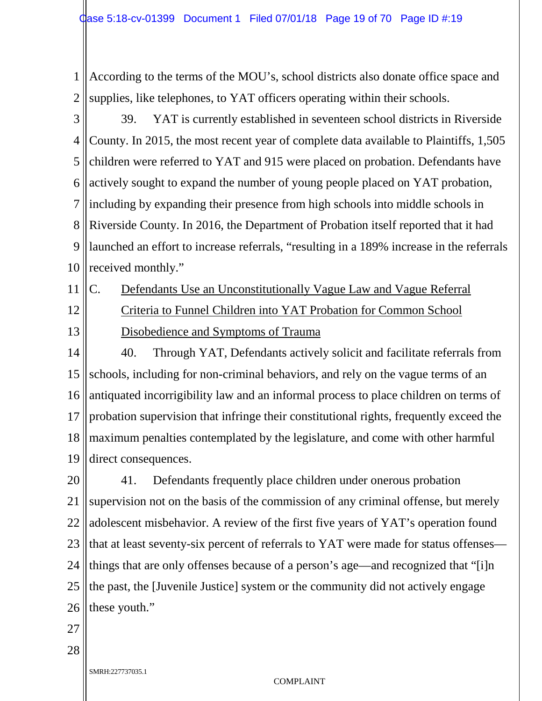1 2 According to the terms of the MOU's, school districts also donate office space and supplies, like telephones, to YAT officers operating within their schools.

3 4 5 6 7 8 9 10 39. YAT is currently established in seventeen school districts in Riverside County. In 2015, the most recent year of complete data available to Plaintiffs, 1,505 children were referred to YAT and 915 were placed on probation. Defendants have actively sought to expand the number of young people placed on YAT probation, including by expanding their presence from high schools into middle schools in Riverside County. In 2016, the Department of Probation itself reported that it had launched an effort to increase referrals, "resulting in a 189% increase in the referrals received monthly."

11

12

C. Defendants Use an Unconstitutionally Vague Law and Vague Referral

13 Criteria to Funnel Children into YAT Probation for Common School Disobedience and Symptoms of Trauma

14 15 16 17 18 19 40. Through YAT, Defendants actively solicit and facilitate referrals from schools, including for non-criminal behaviors, and rely on the vague terms of an antiquated incorrigibility law and an informal process to place children on terms of probation supervision that infringe their constitutional rights, frequently exceed the maximum penalties contemplated by the legislature, and come with other harmful direct consequences.

20 21 22 23 24 25 26 41. Defendants frequently place children under onerous probation supervision not on the basis of the commission of any criminal offense, but merely adolescent misbehavior. A review of the first five years of YAT's operation found that at least seventy-six percent of referrals to YAT were made for status offenses things that are only offenses because of a person's age—and recognized that "[i]n the past, the [Juvenile Justice] system or the community did not actively engage these youth."

27

28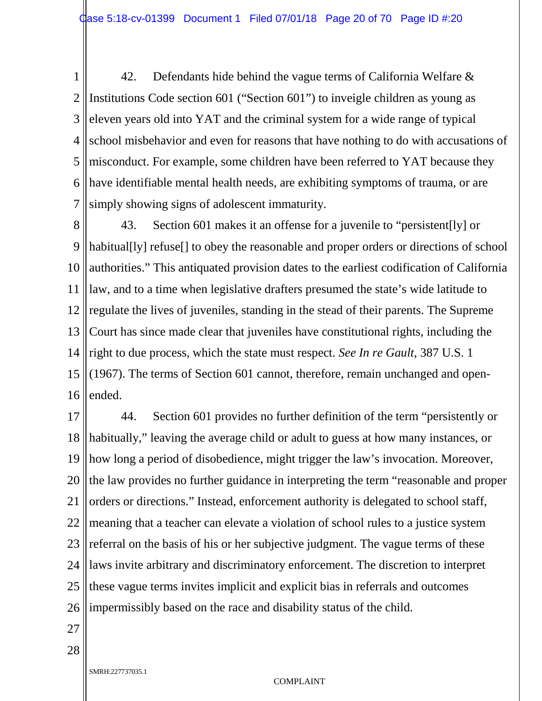1 2 3 4 5 6 7 42. Defendants hide behind the vague terms of California Welfare & Institutions Code section 601 ("Section 601") to inveigle children as young as eleven years old into YAT and the criminal system for a wide range of typical school misbehavior and even for reasons that have nothing to do with accusations of misconduct. For example, some children have been referred to YAT because they have identifiable mental health needs, are exhibiting symptoms of trauma, or are simply showing signs of adolescent immaturity.

8 9 10 11 12 13 14 15 16 43. Section 601 makes it an offense for a juvenile to "persistent[ly] or habitual[ly] refuse[] to obey the reasonable and proper orders or directions of school authorities." This antiquated provision dates to the earliest codification of California law, and to a time when legislative drafters presumed the state's wide latitude to regulate the lives of juveniles, standing in the stead of their parents. The Supreme Court has since made clear that juveniles have constitutional rights, including the right to due process, which the state must respect. *See In re Gault*, 387 U.S. 1 (1967). The terms of Section 601 cannot, therefore, remain unchanged and openended.

17 18 19 20 21 22 23 24 25 26 44. Section 601 provides no further definition of the term "persistently or habitually," leaving the average child or adult to guess at how many instances, or how long a period of disobedience, might trigger the law's invocation. Moreover, the law provides no further guidance in interpreting the term "reasonable and proper orders or directions." Instead, enforcement authority is delegated to school staff, meaning that a teacher can elevate a violation of school rules to a justice system referral on the basis of his or her subjective judgment. The vague terms of these laws invite arbitrary and discriminatory enforcement. The discretion to interpret these vague terms invites implicit and explicit bias in referrals and outcomes impermissibly based on the race and disability status of the child.

27

28

SMRH:227737035.1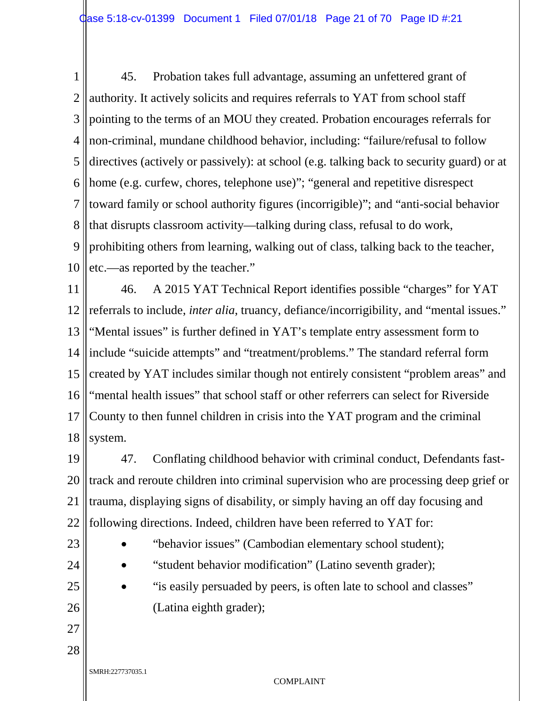1 2 3 4 5 6 7 8 9 10 45. Probation takes full advantage, assuming an unfettered grant of authority. It actively solicits and requires referrals to YAT from school staff pointing to the terms of an MOU they created. Probation encourages referrals for non-criminal, mundane childhood behavior, including: "failure/refusal to follow directives (actively or passively): at school (e.g. talking back to security guard) or at home (e.g. curfew, chores, telephone use)"; "general and repetitive disrespect toward family or school authority figures (incorrigible)"; and "anti-social behavior that disrupts classroom activity—talking during class, refusal to do work, prohibiting others from learning, walking out of class, talking back to the teacher, etc.—as reported by the teacher."

11 12 13 14 15 16 17 18 46. A 2015 YAT Technical Report identifies possible "charges" for YAT referrals to include, *inter alia*, truancy, defiance/incorrigibility, and "mental issues." "Mental issues" is further defined in YAT's template entry assessment form to include "suicide attempts" and "treatment/problems." The standard referral form created by YAT includes similar though not entirely consistent "problem areas" and "mental health issues" that school staff or other referrers can select for Riverside County to then funnel children in crisis into the YAT program and the criminal system.

19 20 21 22 47. Conflating childhood behavior with criminal conduct, Defendants fasttrack and reroute children into criminal supervision who are processing deep grief or trauma, displaying signs of disability, or simply having an off day focusing and following directions. Indeed, children have been referred to YAT for:

- 23
- "behavior issues" (Cambodian elementary school student);
- 24
- "student behavior modification" (Latino seventh grader);
- 25 26
- "is easily persuaded by peers, is often late to school and classes" (Latina eighth grader);

- 27 28
- SMRH:227737035.1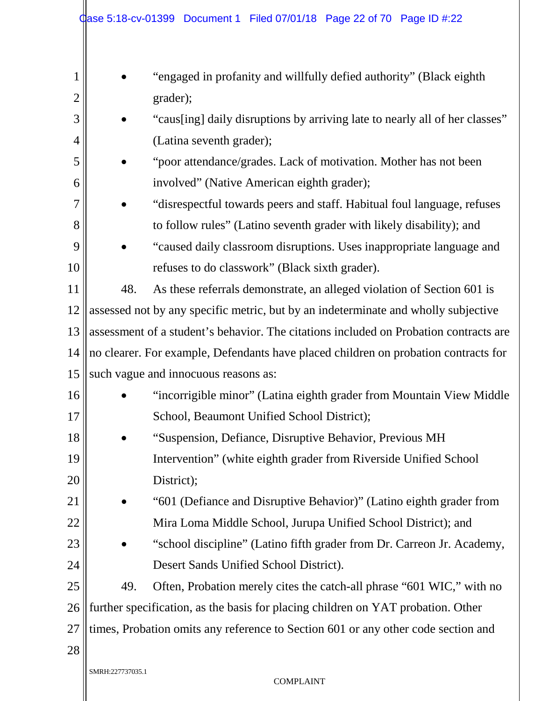|                |                                                                                       | Case 5:18-cv-01399 Document 1 Filed 07/01/18 Page 22 of 70 Page ID #:22           |  |  |  |  |
|----------------|---------------------------------------------------------------------------------------|-----------------------------------------------------------------------------------|--|--|--|--|
| $\mathbf 1$    |                                                                                       | "engaged in profanity and willfully defied authority" (Black eighth               |  |  |  |  |
| $\overline{2}$ |                                                                                       | grader);                                                                          |  |  |  |  |
| 3              |                                                                                       | "caus[ing] daily disruptions by arriving late to nearly all of her classes"       |  |  |  |  |
| 4              |                                                                                       | (Latina seventh grader);                                                          |  |  |  |  |
| 5              |                                                                                       | "poor attendance/grades. Lack of motivation. Mother has not been                  |  |  |  |  |
| 6              |                                                                                       | involved" (Native American eighth grader);                                        |  |  |  |  |
| $\overline{7}$ |                                                                                       | "disrespectful towards peers and staff. Habitual foul language, refuses           |  |  |  |  |
| 8              |                                                                                       | to follow rules" (Latino seventh grader with likely disability); and              |  |  |  |  |
| 9              |                                                                                       | "caused daily classroom disruptions. Uses inappropriate language and              |  |  |  |  |
| 10             |                                                                                       | refuses to do classwork" (Black sixth grader).                                    |  |  |  |  |
| 11             | 48.                                                                                   | As these referrals demonstrate, an alleged violation of Section 601 is            |  |  |  |  |
| 12             | assessed not by any specific metric, but by an indeterminate and wholly subjective    |                                                                                   |  |  |  |  |
| 13             | assessment of a student's behavior. The citations included on Probation contracts are |                                                                                   |  |  |  |  |
| 14             | no clearer. For example, Defendants have placed children on probation contracts for   |                                                                                   |  |  |  |  |
| 15             | such vague and innocuous reasons as:                                                  |                                                                                   |  |  |  |  |
| 16             |                                                                                       | "incorrigible minor" (Latina eighth grader from Mountain View Middle)             |  |  |  |  |
| 17             |                                                                                       | School, Beaumont Unified School District);                                        |  |  |  |  |
| 18             |                                                                                       | "Suspension, Defiance, Disruptive Behavior, Previous MH                           |  |  |  |  |
| 19             |                                                                                       | Intervention" (white eighth grader from Riverside Unified School                  |  |  |  |  |
| 20             |                                                                                       | District);                                                                        |  |  |  |  |
| 21             |                                                                                       | "601 (Defiance and Disruptive Behavior)" (Latino eighth grader from               |  |  |  |  |
| 22             |                                                                                       | Mira Loma Middle School, Jurupa Unified School District); and                     |  |  |  |  |
| 23             |                                                                                       | "school discipline" (Latino fifth grader from Dr. Carreon Jr. Academy,            |  |  |  |  |
| 24             |                                                                                       | Desert Sands Unified School District).                                            |  |  |  |  |
| 25             | 49.                                                                                   | Often, Probation merely cites the catch-all phrase "601 WIC," with no             |  |  |  |  |
| 26             |                                                                                       | further specification, as the basis for placing children on YAT probation. Other  |  |  |  |  |
| 27             |                                                                                       | times, Probation omits any reference to Section 601 or any other code section and |  |  |  |  |
| 28             |                                                                                       |                                                                                   |  |  |  |  |
|                | SMRH:227737035.1                                                                      | <b>COMPLAINT</b>                                                                  |  |  |  |  |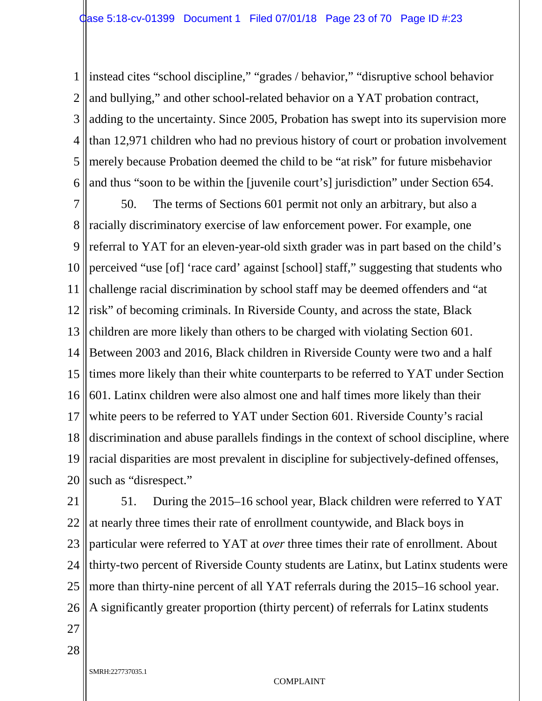1 2 3 4 5 6 instead cites "school discipline," "grades / behavior," "disruptive school behavior and bullying," and other school-related behavior on a YAT probation contract, adding to the uncertainty. Since 2005, Probation has swept into its supervision more than 12,971 children who had no previous history of court or probation involvement merely because Probation deemed the child to be "at risk" for future misbehavior and thus "soon to be within the [juvenile court's] jurisdiction" under Section 654.

7 8 9 10 11 12 13 14 15 16 17 18 19 20 50. The terms of Sections 601 permit not only an arbitrary, but also a racially discriminatory exercise of law enforcement power. For example, one referral to YAT for an eleven-year-old sixth grader was in part based on the child's perceived "use [of] 'race card' against [school] staff," suggesting that students who challenge racial discrimination by school staff may be deemed offenders and "at risk" of becoming criminals. In Riverside County, and across the state, Black children are more likely than others to be charged with violating Section 601. Between 2003 and 2016, Black children in Riverside County were two and a half times more likely than their white counterparts to be referred to YAT under Section 601. Latinx children were also almost one and half times more likely than their white peers to be referred to YAT under Section 601. Riverside County's racial discrimination and abuse parallels findings in the context of school discipline, where racial disparities are most prevalent in discipline for subjectively-defined offenses, such as "disrespect."

21 22 23 24 25 26 51. During the 2015–16 school year, Black children were referred to YAT at nearly three times their rate of enrollment countywide, and Black boys in particular were referred to YAT at *over* three times their rate of enrollment. About thirty-two percent of Riverside County students are Latinx, but Latinx students were more than thirty-nine percent of all YAT referrals during the 2015–16 school year. A significantly greater proportion (thirty percent) of referrals for Latinx students

27

28

SMRH:227737035.1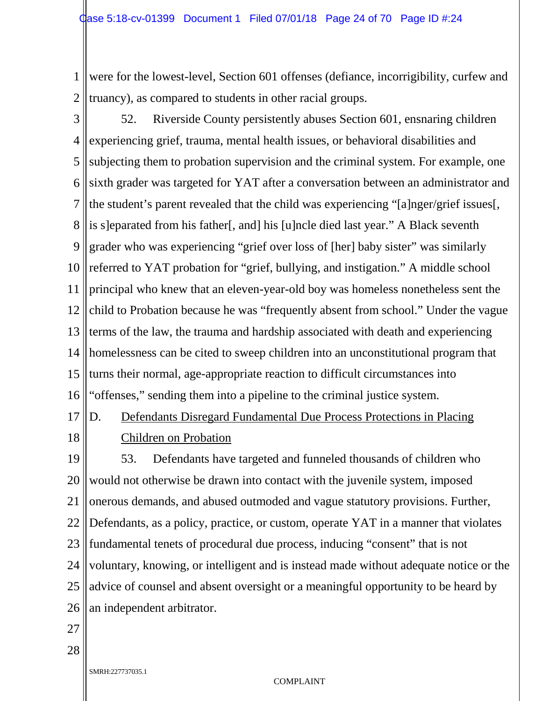1 2 were for the lowest-level, Section 601 offenses (defiance, incorrigibility, curfew and truancy), as compared to students in other racial groups.

3 4 5 6 7 8 9 10 11 12 13 14 15 16 52. Riverside County persistently abuses Section 601, ensnaring children experiencing grief, trauma, mental health issues, or behavioral disabilities and subjecting them to probation supervision and the criminal system. For example, one sixth grader was targeted for YAT after a conversation between an administrator and the student's parent revealed that the child was experiencing "[a]nger/grief issues[, is s]eparated from his father[, and] his [u]ncle died last year." A Black seventh grader who was experiencing "grief over loss of [her] baby sister" was similarly referred to YAT probation for "grief, bullying, and instigation." A middle school principal who knew that an eleven-year-old boy was homeless nonetheless sent the child to Probation because he was "frequently absent from school." Under the vague terms of the law, the trauma and hardship associated with death and experiencing homelessness can be cited to sweep children into an unconstitutional program that turns their normal, age-appropriate reaction to difficult circumstances into "offenses," sending them into a pipeline to the criminal justice system.

17 18 D. Defendants Disregard Fundamental Due Process Protections in Placing Children on Probation

19 20 21 22 23 24 25 26 53. Defendants have targeted and funneled thousands of children who would not otherwise be drawn into contact with the juvenile system, imposed onerous demands, and abused outmoded and vague statutory provisions. Further, Defendants, as a policy, practice, or custom, operate YAT in a manner that violates fundamental tenets of procedural due process, inducing "consent" that is not voluntary, knowing, or intelligent and is instead made without adequate notice or the advice of counsel and absent oversight or a meaningful opportunity to be heard by an independent arbitrator.

27

28

SMRH:227737035.1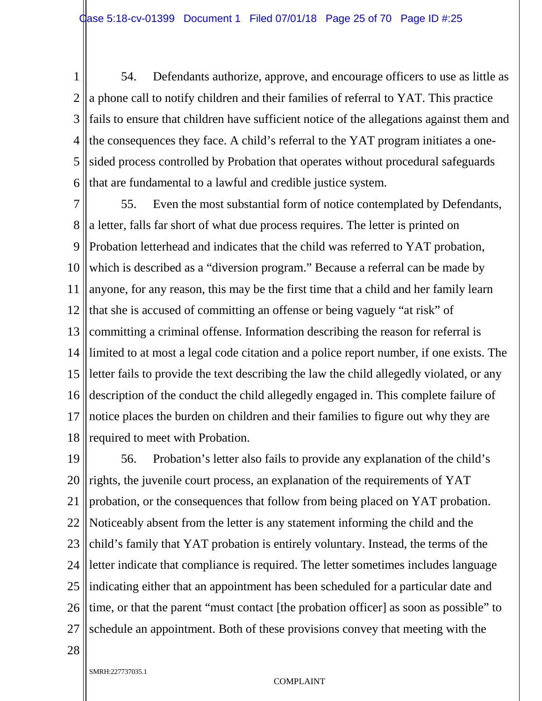1 2 3 4 5 6 54. Defendants authorize, approve, and encourage officers to use as little as a phone call to notify children and their families of referral to YAT. This practice fails to ensure that children have sufficient notice of the allegations against them and the consequences they face. A child's referral to the YAT program initiates a onesided process controlled by Probation that operates without procedural safeguards that are fundamental to a lawful and credible justice system.

7 8 9 10 11 12 13 14 15 16 17 18 55. Even the most substantial form of notice contemplated by Defendants, a letter, falls far short of what due process requires. The letter is printed on Probation letterhead and indicates that the child was referred to YAT probation, which is described as a "diversion program." Because a referral can be made by anyone, for any reason, this may be the first time that a child and her family learn that she is accused of committing an offense or being vaguely "at risk" of committing a criminal offense. Information describing the reason for referral is limited to at most a legal code citation and a police report number, if one exists. The letter fails to provide the text describing the law the child allegedly violated, or any description of the conduct the child allegedly engaged in. This complete failure of notice places the burden on children and their families to figure out why they are required to meet with Probation.

19 20 21 22 23 24 25 26 27 56. Probation's letter also fails to provide any explanation of the child's rights, the juvenile court process, an explanation of the requirements of YAT probation, or the consequences that follow from being placed on YAT probation. Noticeably absent from the letter is any statement informing the child and the child's family that YAT probation is entirely voluntary. Instead, the terms of the letter indicate that compliance is required. The letter sometimes includes language indicating either that an appointment has been scheduled for a particular date and time, or that the parent "must contact [the probation officer] as soon as possible" to schedule an appointment. Both of these provisions convey that meeting with the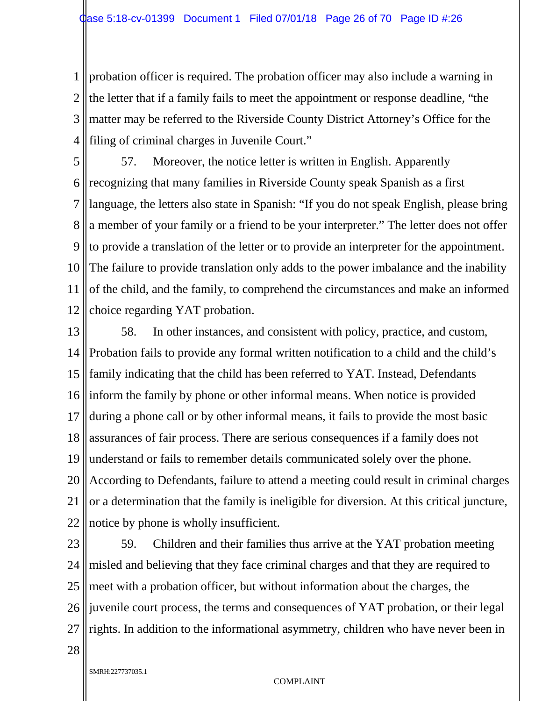1 2 3 4 probation officer is required. The probation officer may also include a warning in the letter that if a family fails to meet the appointment or response deadline, "the matter may be referred to the Riverside County District Attorney's Office for the filing of criminal charges in Juvenile Court."

5 6 7 8 9 10 11 12 57. Moreover, the notice letter is written in English. Apparently recognizing that many families in Riverside County speak Spanish as a first language, the letters also state in Spanish: "If you do not speak English, please bring a member of your family or a friend to be your interpreter." The letter does not offer to provide a translation of the letter or to provide an interpreter for the appointment. The failure to provide translation only adds to the power imbalance and the inability of the child, and the family, to comprehend the circumstances and make an informed choice regarding YAT probation.

13 14 15 16 17 18 19 20 21 22 58. In other instances, and consistent with policy, practice, and custom, Probation fails to provide any formal written notification to a child and the child's family indicating that the child has been referred to YAT. Instead, Defendants inform the family by phone or other informal means. When notice is provided during a phone call or by other informal means, it fails to provide the most basic assurances of fair process. There are serious consequences if a family does not understand or fails to remember details communicated solely over the phone. According to Defendants, failure to attend a meeting could result in criminal charges or a determination that the family is ineligible for diversion. At this critical juncture, notice by phone is wholly insufficient.

23 24 25 26 27 59. Children and their families thus arrive at the YAT probation meeting misled and believing that they face criminal charges and that they are required to meet with a probation officer, but without information about the charges, the juvenile court process, the terms and consequences of YAT probation, or their legal rights. In addition to the informational asymmetry, children who have never been in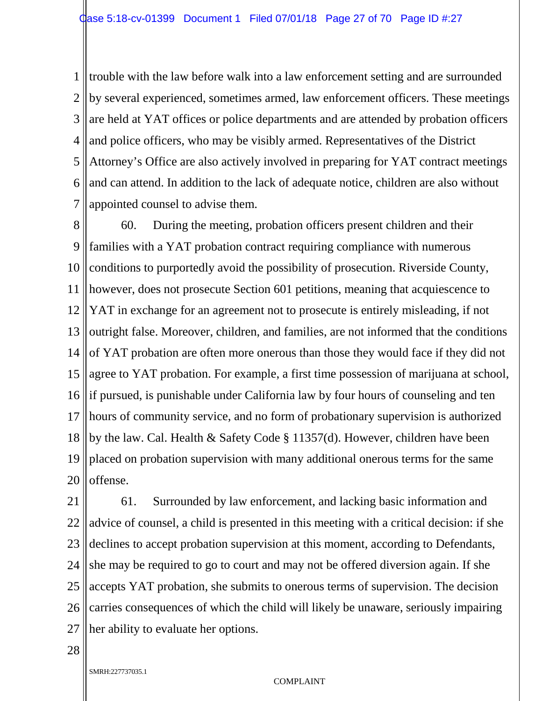1 2 3 4 5 6 7 trouble with the law before walk into a law enforcement setting and are surrounded by several experienced, sometimes armed, law enforcement officers. These meetings are held at YAT offices or police departments and are attended by probation officers and police officers, who may be visibly armed. Representatives of the District Attorney's Office are also actively involved in preparing for YAT contract meetings and can attend. In addition to the lack of adequate notice, children are also without appointed counsel to advise them.

8 9 10 11 12 13 14 15 16 17 18 19 20 60. During the meeting, probation officers present children and their families with a YAT probation contract requiring compliance with numerous conditions to purportedly avoid the possibility of prosecution. Riverside County, however, does not prosecute Section 601 petitions, meaning that acquiescence to YAT in exchange for an agreement not to prosecute is entirely misleading, if not outright false. Moreover, children, and families, are not informed that the conditions of YAT probation are often more onerous than those they would face if they did not agree to YAT probation. For example, a first time possession of marijuana at school, if pursued, is punishable under California law by four hours of counseling and ten hours of community service, and no form of probationary supervision is authorized by the law. Cal. Health & Safety Code § 11357(d). However, children have been placed on probation supervision with many additional onerous terms for the same offense.

21 22 23 24 25 26 27 61. Surrounded by law enforcement, and lacking basic information and advice of counsel, a child is presented in this meeting with a critical decision: if she declines to accept probation supervision at this moment, according to Defendants, she may be required to go to court and may not be offered diversion again. If she accepts YAT probation, she submits to onerous terms of supervision. The decision carries consequences of which the child will likely be unaware, seriously impairing her ability to evaluate her options.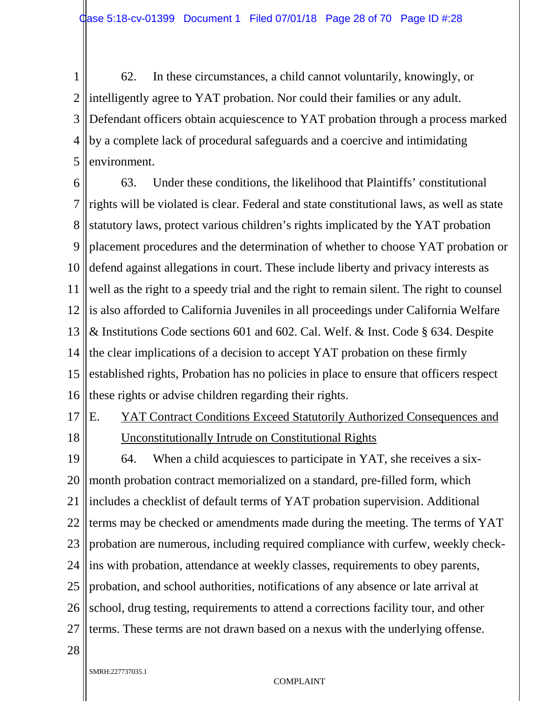1 2 3 4 5 62. In these circumstances, a child cannot voluntarily, knowingly, or intelligently agree to YAT probation. Nor could their families or any adult. Defendant officers obtain acquiescence to YAT probation through a process marked by a complete lack of procedural safeguards and a coercive and intimidating environment.

6 7 8 9 10 11 12 13 14 15 16 63. Under these conditions, the likelihood that Plaintiffs' constitutional rights will be violated is clear. Federal and state constitutional laws, as well as state statutory laws, protect various children's rights implicated by the YAT probation placement procedures and the determination of whether to choose YAT probation or defend against allegations in court. These include liberty and privacy interests as well as the right to a speedy trial and the right to remain silent. The right to counsel is also afforded to California Juveniles in all proceedings under California Welfare & Institutions Code sections 601 and 602. Cal. Welf. & Inst. Code § 634. Despite the clear implications of a decision to accept YAT probation on these firmly established rights, Probation has no policies in place to ensure that officers respect these rights or advise children regarding their rights.

17

18

E. YAT Contract Conditions Exceed Statutorily Authorized Consequences and Unconstitutionally Intrude on Constitutional Rights

19 20 21 22 23 24 25 26 27 64. When a child acquiesces to participate in YAT, she receives a sixmonth probation contract memorialized on a standard, pre-filled form, which includes a checklist of default terms of YAT probation supervision. Additional terms may be checked or amendments made during the meeting. The terms of YAT probation are numerous, including required compliance with curfew, weekly checkins with probation, attendance at weekly classes, requirements to obey parents, probation, and school authorities, notifications of any absence or late arrival at school, drug testing, requirements to attend a corrections facility tour, and other terms. These terms are not drawn based on a nexus with the underlying offense.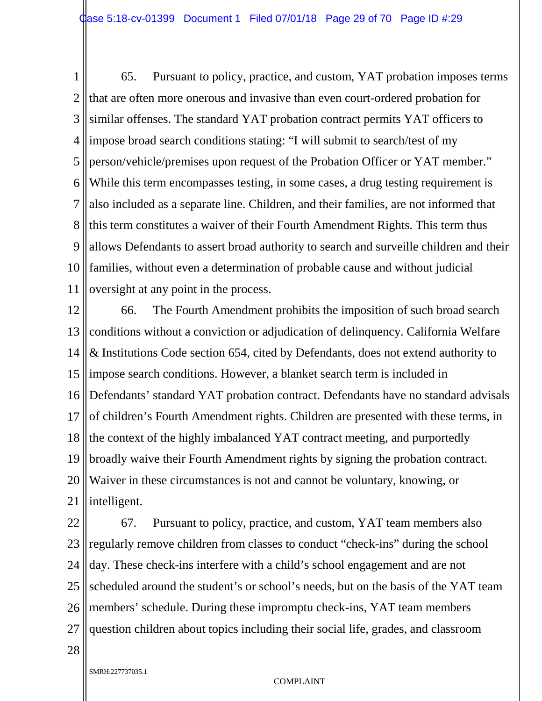1 2 3 4 5 6 7 8 9 10 11 65. Pursuant to policy, practice, and custom, YAT probation imposes terms that are often more onerous and invasive than even court-ordered probation for similar offenses. The standard YAT probation contract permits YAT officers to impose broad search conditions stating: "I will submit to search/test of my person/vehicle/premises upon request of the Probation Officer or YAT member." While this term encompasses testing, in some cases, a drug testing requirement is also included as a separate line. Children, and their families, are not informed that this term constitutes a waiver of their Fourth Amendment Rights. This term thus allows Defendants to assert broad authority to search and surveille children and their families, without even a determination of probable cause and without judicial oversight at any point in the process.

12 13 14 15 16 17 18 19 20 21 66. The Fourth Amendment prohibits the imposition of such broad search conditions without a conviction or adjudication of delinquency. California Welfare & Institutions Code section 654, cited by Defendants, does not extend authority to impose search conditions. However, a blanket search term is included in Defendants' standard YAT probation contract. Defendants have no standard advisals of children's Fourth Amendment rights. Children are presented with these terms, in the context of the highly imbalanced YAT contract meeting, and purportedly broadly waive their Fourth Amendment rights by signing the probation contract. Waiver in these circumstances is not and cannot be voluntary, knowing, or intelligent.

22 23 24 25 26 27 67. Pursuant to policy, practice, and custom, YAT team members also regularly remove children from classes to conduct "check-ins" during the school day. These check-ins interfere with a child's school engagement and are not scheduled around the student's or school's needs, but on the basis of the YAT team members' schedule. During these impromptu check-ins, YAT team members question children about topics including their social life, grades, and classroom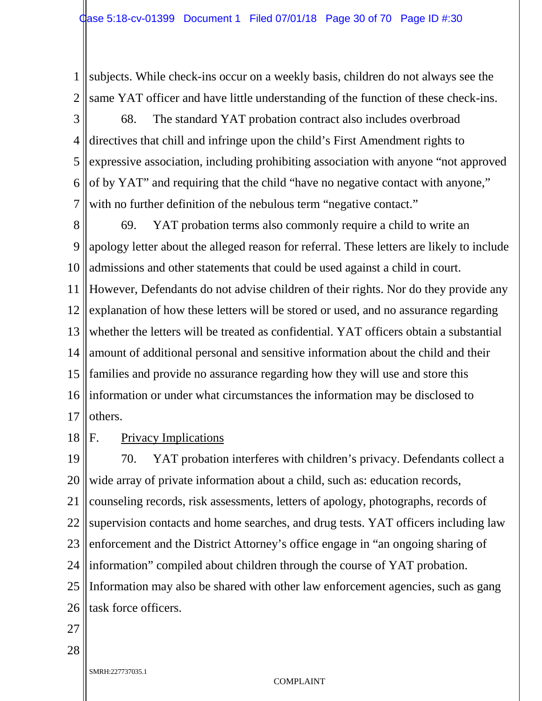1 2 subjects. While check-ins occur on a weekly basis, children do not always see the same YAT officer and have little understanding of the function of these check-ins.

3 4 5 6 7 68. The standard YAT probation contract also includes overbroad directives that chill and infringe upon the child's First Amendment rights to expressive association, including prohibiting association with anyone "not approved of by YAT" and requiring that the child "have no negative contact with anyone," with no further definition of the nebulous term "negative contact."

8 9 10 11 12 13 14 15 16 17 69. YAT probation terms also commonly require a child to write an apology letter about the alleged reason for referral. These letters are likely to include admissions and other statements that could be used against a child in court. However, Defendants do not advise children of their rights. Nor do they provide any explanation of how these letters will be stored or used, and no assurance regarding whether the letters will be treated as confidential. YAT officers obtain a substantial amount of additional personal and sensitive information about the child and their families and provide no assurance regarding how they will use and store this information or under what circumstances the information may be disclosed to others.

18 F. Privacy Implications

19 20 21 22 23 24 25 26 70. YAT probation interferes with children's privacy. Defendants collect a wide array of private information about a child, such as: education records, counseling records, risk assessments, letters of apology, photographs, records of supervision contacts and home searches, and drug tests. YAT officers including law enforcement and the District Attorney's office engage in "an ongoing sharing of information" compiled about children through the course of YAT probation. Information may also be shared with other law enforcement agencies, such as gang task force officers.

27

28

SMRH:227737035.1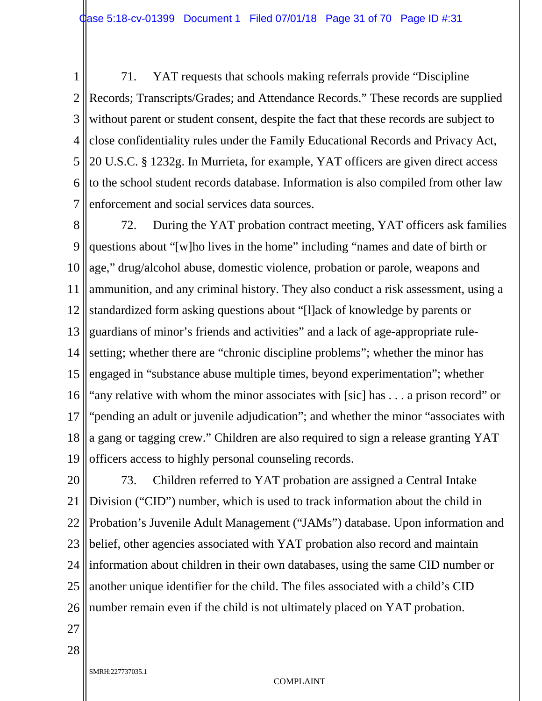1 2 3 4 5 6 7 71. YAT requests that schools making referrals provide "Discipline Records; Transcripts/Grades; and Attendance Records." These records are supplied without parent or student consent, despite the fact that these records are subject to close confidentiality rules under the Family Educational Records and Privacy Act, 20 U.S.C. § 1232g. In Murrieta, for example, YAT officers are given direct access to the school student records database. Information is also compiled from other law enforcement and social services data sources.

8 9 10 11 12 13 14 15 16 17 18 19 72. During the YAT probation contract meeting, YAT officers ask families questions about "[w]ho lives in the home" including "names and date of birth or age," drug/alcohol abuse, domestic violence, probation or parole, weapons and ammunition, and any criminal history. They also conduct a risk assessment, using a standardized form asking questions about "[l]ack of knowledge by parents or guardians of minor's friends and activities" and a lack of age-appropriate rulesetting; whether there are "chronic discipline problems"; whether the minor has engaged in "substance abuse multiple times, beyond experimentation"; whether "any relative with whom the minor associates with [sic] has . . . a prison record" or "pending an adult or juvenile adjudication"; and whether the minor "associates with a gang or tagging crew." Children are also required to sign a release granting YAT officers access to highly personal counseling records.

20 21 22 23 24 25 26 73. Children referred to YAT probation are assigned a Central Intake Division ("CID") number, which is used to track information about the child in Probation's Juvenile Adult Management ("JAMs") database. Upon information and belief, other agencies associated with YAT probation also record and maintain information about children in their own databases, using the same CID number or another unique identifier for the child. The files associated with a child's CID number remain even if the child is not ultimately placed on YAT probation.

27

28

SMRH:227737035.1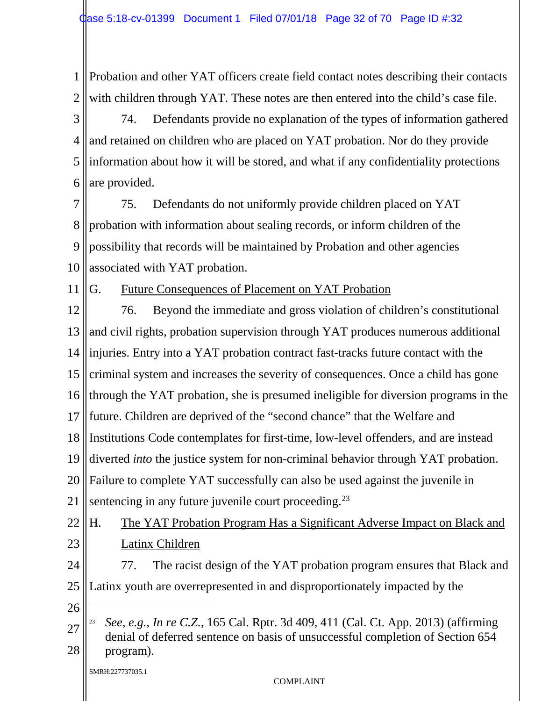1 2 Probation and other YAT officers create field contact notes describing their contacts with children through YAT. These notes are then entered into the child's case file.

3 4 5 6 74. Defendants provide no explanation of the types of information gathered and retained on children who are placed on YAT probation. Nor do they provide information about how it will be stored, and what if any confidentiality protections are provided.

7 8 9 10 75. Defendants do not uniformly provide children placed on YAT probation with information about sealing records, or inform children of the possibility that records will be maintained by Probation and other agencies associated with YAT probation.

11

### G. Future Consequences of Placement on YAT Probation

12 13 14 15 16 17 18 19 20 21 22 76. Beyond the immediate and gross violation of children's constitutional and civil rights, probation supervision through YAT produces numerous additional injuries. Entry into a YAT probation contract fast-tracks future contact with the criminal system and increases the severity of consequences. Once a child has gone through the YAT probation, she is presumed ineligible for diversion programs in the future. Children are deprived of the "second chance" that the Welfare and Institutions Code contemplates for first-time, low-level offenders, and are instead diverted *into* the justice system for non-criminal behavior through YAT probation. Failure to complete YAT successfully can also be used against the juvenile in sentencing in any future juvenile court proceeding.<sup>[23](#page-31-0)</sup> H. The YAT Probation Program Has a Significant Adverse Impact on Black and

23

Latinx Children

- 24 25 77. The racist design of the YAT probation program ensures that Black and Latinx youth are overrepresented in and disproportionately impacted by the
- 26

 $\ddot{\phantom{a}}$ 

<span id="page-31-0"></span><sup>27</sup> 28 <sup>23</sup> *See, e.g.*, *In re C.Z.*, 165 Cal. Rptr. 3d 409, 411 (Cal. Ct. App. 2013) (affirming denial of deferred sentence on basis of unsuccessful completion of Section 654 program).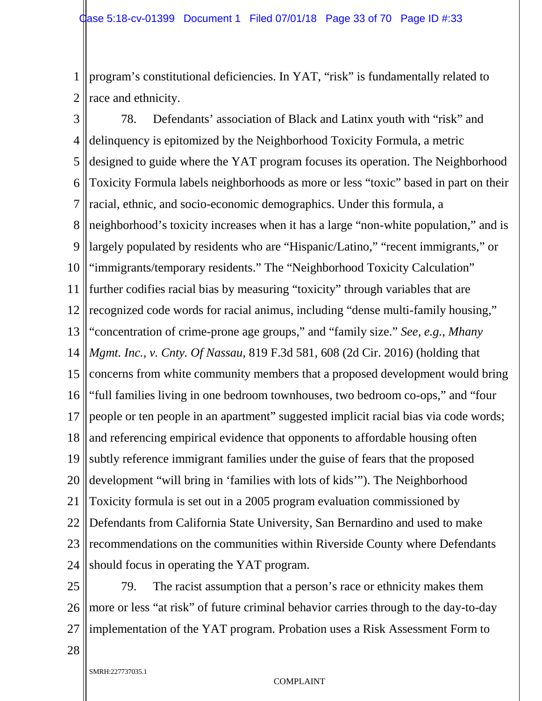1 2 program's constitutional deficiencies. In YAT, "risk" is fundamentally related to race and ethnicity.

3 4 5 6 7 8 9 10 11 12 13 14 15 16 17 18 19 20 21 22 23 24 78. Defendants' association of Black and Latinx youth with "risk" and delinquency is epitomized by the Neighborhood Toxicity Formula, a metric designed to guide where the YAT program focuses its operation. The Neighborhood Toxicity Formula labels neighborhoods as more or less "toxic" based in part on their racial, ethnic, and socio-economic demographics. Under this formula, a neighborhood's toxicity increases when it has a large "non-white population," and is largely populated by residents who are "Hispanic/Latino," "recent immigrants," or "immigrants/temporary residents." The "Neighborhood Toxicity Calculation" further codifies racial bias by measuring "toxicity" through variables that are recognized code words for racial animus, including "dense multi-family housing," "concentration of crime-prone age groups," and "family size." *See, e.g.*, *Mhany Mgmt. Inc., v. Cnty. Of Nassau*, 819 F.3d 581, 608 (2d Cir. 2016) (holding that concerns from white community members that a proposed development would bring "full families living in one bedroom townhouses, two bedroom co-ops," and "four people or ten people in an apartment" suggested implicit racial bias via code words; and referencing empirical evidence that opponents to affordable housing often subtly reference immigrant families under the guise of fears that the proposed development "will bring in 'families with lots of kids'"). The Neighborhood Toxicity formula is set out in a 2005 program evaluation commissioned by Defendants from California State University, San Bernardino and used to make recommendations on the communities within Riverside County where Defendants should focus in operating the YAT program.

25 26 27 79. The racist assumption that a person's race or ethnicity makes them more or less "at risk" of future criminal behavior carries through to the day-to-day implementation of the YAT program. Probation uses a Risk Assessment Form to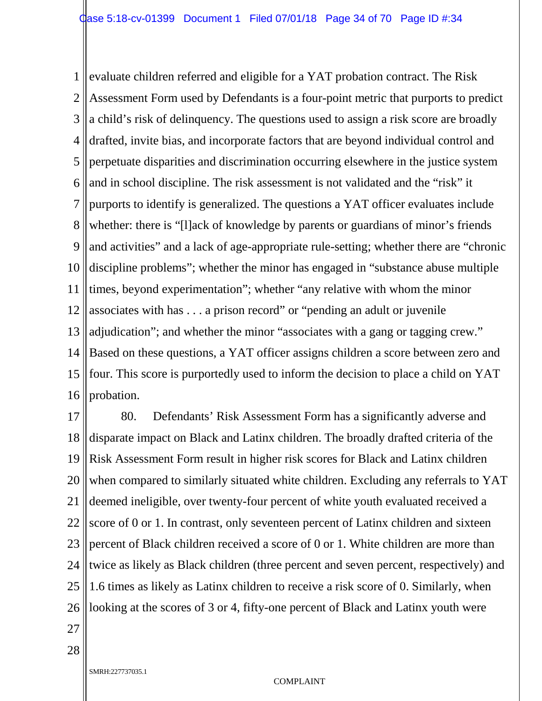1 2 3 4 5 6 7 8 9 10 11 12 13 14 15 16 evaluate children referred and eligible for a YAT probation contract. The Risk Assessment Form used by Defendants is a four-point metric that purports to predict a child's risk of delinquency. The questions used to assign a risk score are broadly drafted, invite bias, and incorporate factors that are beyond individual control and perpetuate disparities and discrimination occurring elsewhere in the justice system and in school discipline. The risk assessment is not validated and the "risk" it purports to identify is generalized. The questions a YAT officer evaluates include whether: there is "[l]ack of knowledge by parents or guardians of minor's friends and activities" and a lack of age-appropriate rule-setting; whether there are "chronic discipline problems"; whether the minor has engaged in "substance abuse multiple times, beyond experimentation"; whether "any relative with whom the minor associates with has . . . a prison record" or "pending an adult or juvenile adjudication"; and whether the minor "associates with a gang or tagging crew." Based on these questions, a YAT officer assigns children a score between zero and four. This score is purportedly used to inform the decision to place a child on YAT probation.

17 18 19 20 21 22 23 24 25 26 80. Defendants' Risk Assessment Form has a significantly adverse and disparate impact on Black and Latinx children. The broadly drafted criteria of the Risk Assessment Form result in higher risk scores for Black and Latinx children when compared to similarly situated white children. Excluding any referrals to YAT deemed ineligible, over twenty-four percent of white youth evaluated received a score of 0 or 1. In contrast, only seventeen percent of Latinx children and sixteen percent of Black children received a score of 0 or 1. White children are more than twice as likely as Black children (three percent and seven percent, respectively) and 1.6 times as likely as Latinx children to receive a risk score of 0. Similarly, when looking at the scores of 3 or 4, fifty-one percent of Black and Latinx youth were

27

28

SMRH:227737035.1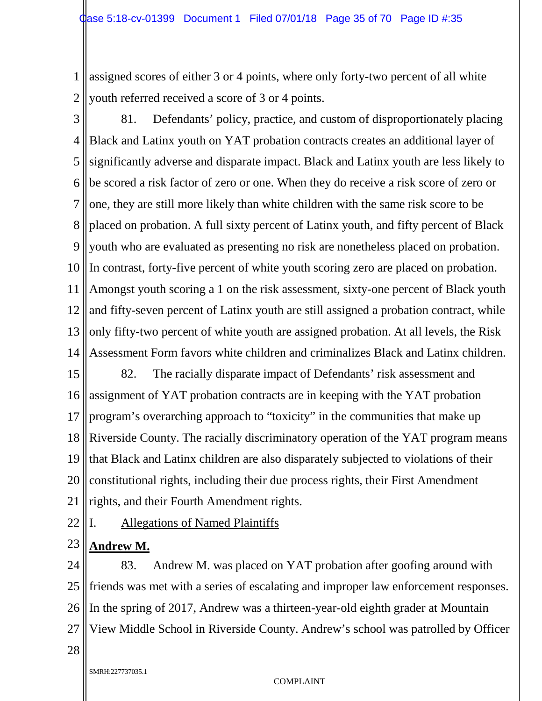1 2 assigned scores of either 3 or 4 points, where only forty-two percent of all white youth referred received a score of 3 or 4 points.

3 4 5 6 7 8 9 10 11 12 13 14 81. Defendants' policy, practice, and custom of disproportionately placing Black and Latinx youth on YAT probation contracts creates an additional layer of significantly adverse and disparate impact. Black and Latinx youth are less likely to be scored a risk factor of zero or one. When they do receive a risk score of zero or one, they are still more likely than white children with the same risk score to be placed on probation. A full sixty percent of Latinx youth, and fifty percent of Black youth who are evaluated as presenting no risk are nonetheless placed on probation. In contrast, forty-five percent of white youth scoring zero are placed on probation. Amongst youth scoring a 1 on the risk assessment, sixty-one percent of Black youth and fifty-seven percent of Latinx youth are still assigned a probation contract, while only fifty-two percent of white youth are assigned probation. At all levels, the Risk Assessment Form favors white children and criminalizes Black and Latinx children.

15 16 17 18 19 20 21 82. The racially disparate impact of Defendants' risk assessment and assignment of YAT probation contracts are in keeping with the YAT probation program's overarching approach to "toxicity" in the communities that make up Riverside County. The racially discriminatory operation of the YAT program means that Black and Latinx children are also disparately subjected to violations of their constitutional rights, including their due process rights, their First Amendment rights, and their Fourth Amendment rights.

22 I. Allegations of Named Plaintiffs

#### 23 **Andrew M.**

24 25 26 27 83. Andrew M. was placed on YAT probation after goofing around with friends was met with a series of escalating and improper law enforcement responses. In the spring of 2017, Andrew was a thirteen-year-old eighth grader at Mountain View Middle School in Riverside County. Andrew's school was patrolled by Officer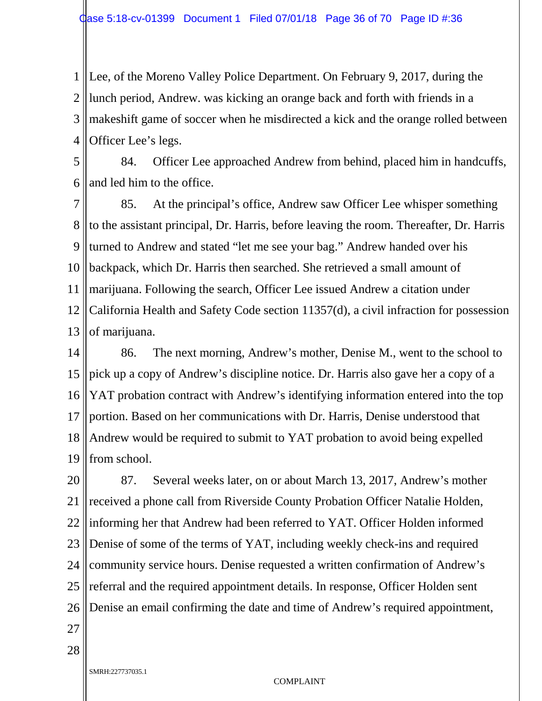1 2 3 4 Lee, of the Moreno Valley Police Department. On February 9, 2017, during the lunch period, Andrew. was kicking an orange back and forth with friends in a makeshift game of soccer when he misdirected a kick and the orange rolled between Officer Lee's legs.

5 6 84. Officer Lee approached Andrew from behind, placed him in handcuffs, and led him to the office.

7 8 9 10 11 12 13 85. At the principal's office, Andrew saw Officer Lee whisper something to the assistant principal, Dr. Harris, before leaving the room. Thereafter, Dr. Harris turned to Andrew and stated "let me see your bag." Andrew handed over his backpack, which Dr. Harris then searched. She retrieved a small amount of marijuana. Following the search, Officer Lee issued Andrew a citation under California Health and Safety Code section 11357(d), a civil infraction for possession of marijuana.

14 15 16 17 18 19 86. The next morning, Andrew's mother, Denise M., went to the school to pick up a copy of Andrew's discipline notice. Dr. Harris also gave her a copy of a YAT probation contract with Andrew's identifying information entered into the top portion. Based on her communications with Dr. Harris, Denise understood that Andrew would be required to submit to YAT probation to avoid being expelled from school.

20 21 22 23 24 25 26 87. Several weeks later, on or about March 13, 2017, Andrew's mother received a phone call from Riverside County Probation Officer Natalie Holden, informing her that Andrew had been referred to YAT. Officer Holden informed Denise of some of the terms of YAT, including weekly check-ins and required community service hours. Denise requested a written confirmation of Andrew's referral and the required appointment details. In response, Officer Holden sent Denise an email confirming the date and time of Andrew's required appointment,

27

28

SMRH:227737035.1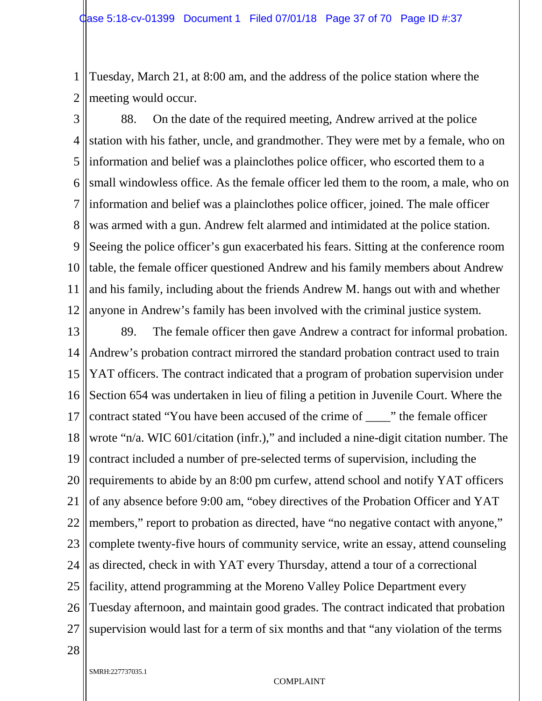1 2 Tuesday, March 21, at 8:00 am, and the address of the police station where the meeting would occur.

3 4 5 6 7 8 9 10 11 12 88. On the date of the required meeting, Andrew arrived at the police station with his father, uncle, and grandmother. They were met by a female, who on information and belief was a plainclothes police officer, who escorted them to a small windowless office. As the female officer led them to the room, a male, who on information and belief was a plainclothes police officer, joined. The male officer was armed with a gun. Andrew felt alarmed and intimidated at the police station. Seeing the police officer's gun exacerbated his fears. Sitting at the conference room table, the female officer questioned Andrew and his family members about Andrew and his family, including about the friends Andrew M. hangs out with and whether anyone in Andrew's family has been involved with the criminal justice system.

13 14 15 16 17 18 19 20 21 22 23 24 25 26 27 89. The female officer then gave Andrew a contract for informal probation. Andrew's probation contract mirrored the standard probation contract used to train YAT officers. The contract indicated that a program of probation supervision under Section 654 was undertaken in lieu of filing a petition in Juvenile Court. Where the contract stated "You have been accused of the crime of \_\_\_\_" the female officer wrote "n/a. WIC 601/citation (infr.)," and included a nine-digit citation number. The contract included a number of pre-selected terms of supervision, including the requirements to abide by an 8:00 pm curfew, attend school and notify YAT officers of any absence before 9:00 am, "obey directives of the Probation Officer and YAT members," report to probation as directed, have "no negative contact with anyone," complete twenty-five hours of community service, write an essay, attend counseling as directed, check in with YAT every Thursday, attend a tour of a correctional facility, attend programming at the Moreno Valley Police Department every Tuesday afternoon, and maintain good grades. The contract indicated that probation supervision would last for a term of six months and that "any violation of the terms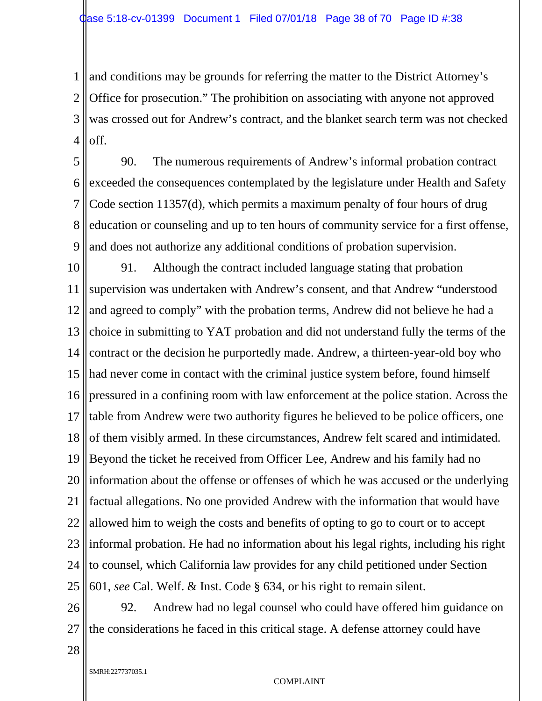1 2 3 4 and conditions may be grounds for referring the matter to the District Attorney's Office for prosecution." The prohibition on associating with anyone not approved was crossed out for Andrew's contract, and the blanket search term was not checked off.

5 6 7 8 9 90. The numerous requirements of Andrew's informal probation contract exceeded the consequences contemplated by the legislature under Health and Safety Code section 11357(d), which permits a maximum penalty of four hours of drug education or counseling and up to ten hours of community service for a first offense, and does not authorize any additional conditions of probation supervision.

10 11 12 13 14 15 16 17 18 19 20 21 22 23 24 25 91. Although the contract included language stating that probation supervision was undertaken with Andrew's consent, and that Andrew "understood and agreed to comply" with the probation terms, Andrew did not believe he had a choice in submitting to YAT probation and did not understand fully the terms of the contract or the decision he purportedly made. Andrew, a thirteen-year-old boy who had never come in contact with the criminal justice system before, found himself pressured in a confining room with law enforcement at the police station. Across the table from Andrew were two authority figures he believed to be police officers, one of them visibly armed. In these circumstances, Andrew felt scared and intimidated. Beyond the ticket he received from Officer Lee, Andrew and his family had no information about the offense or offenses of which he was accused or the underlying factual allegations. No one provided Andrew with the information that would have allowed him to weigh the costs and benefits of opting to go to court or to accept informal probation. He had no information about his legal rights, including his right to counsel, which California law provides for any child petitioned under Section 601, *see* Cal. Welf. & Inst. Code § 634, or his right to remain silent.

26 27 92. Andrew had no legal counsel who could have offered him guidance on the considerations he faced in this critical stage. A defense attorney could have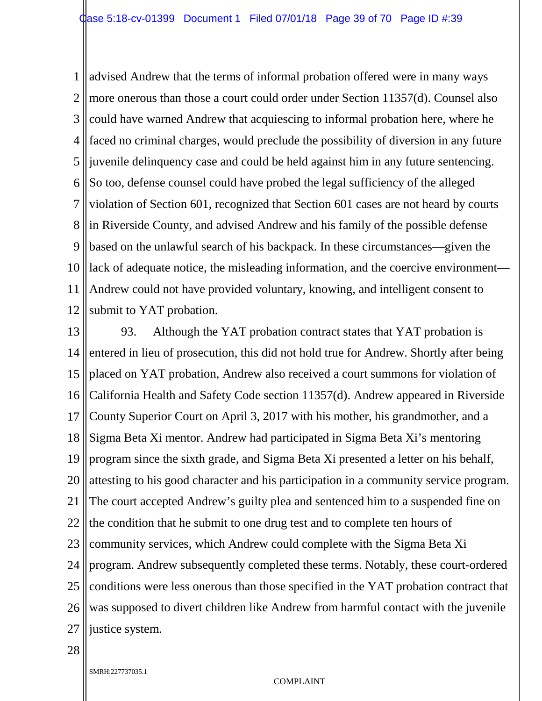1 2 3 4 5 6 7 8 9 10 11 12 advised Andrew that the terms of informal probation offered were in many ways more onerous than those a court could order under Section 11357(d). Counsel also could have warned Andrew that acquiescing to informal probation here, where he faced no criminal charges, would preclude the possibility of diversion in any future juvenile delinquency case and could be held against him in any future sentencing. So too, defense counsel could have probed the legal sufficiency of the alleged violation of Section 601, recognized that Section 601 cases are not heard by courts in Riverside County, and advised Andrew and his family of the possible defense based on the unlawful search of his backpack. In these circumstances—given the lack of adequate notice, the misleading information, and the coercive environment— Andrew could not have provided voluntary, knowing, and intelligent consent to submit to YAT probation.

13 14 15 16 17 18 19 20 21 22 23 24 25 26 27 93. Although the YAT probation contract states that YAT probation is entered in lieu of prosecution, this did not hold true for Andrew. Shortly after being placed on YAT probation, Andrew also received a court summons for violation of California Health and Safety Code section 11357(d). Andrew appeared in Riverside County Superior Court on April 3, 2017 with his mother, his grandmother, and a Sigma Beta Xi mentor. Andrew had participated in Sigma Beta Xi's mentoring program since the sixth grade, and Sigma Beta Xi presented a letter on his behalf, attesting to his good character and his participation in a community service program. The court accepted Andrew's guilty plea and sentenced him to a suspended fine on the condition that he submit to one drug test and to complete ten hours of community services, which Andrew could complete with the Sigma Beta Xi program. Andrew subsequently completed these terms. Notably, these court-ordered conditions were less onerous than those specified in the YAT probation contract that was supposed to divert children like Andrew from harmful contact with the juvenile justice system.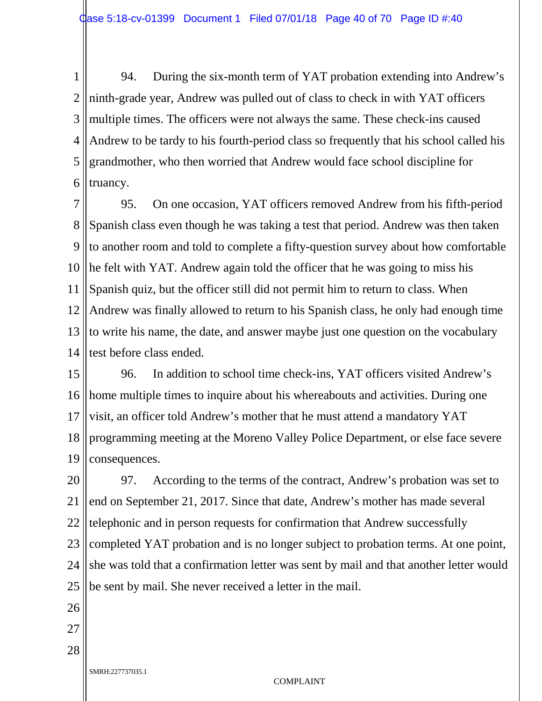1 2 3 4 5 6 94. During the six-month term of YAT probation extending into Andrew's ninth-grade year, Andrew was pulled out of class to check in with YAT officers multiple times. The officers were not always the same. These check-ins caused Andrew to be tardy to his fourth-period class so frequently that his school called his grandmother, who then worried that Andrew would face school discipline for truancy.

7 8 9 10 11 12 13 14 95. On one occasion, YAT officers removed Andrew from his fifth-period Spanish class even though he was taking a test that period. Andrew was then taken to another room and told to complete a fifty-question survey about how comfortable he felt with YAT. Andrew again told the officer that he was going to miss his Spanish quiz, but the officer still did not permit him to return to class. When Andrew was finally allowed to return to his Spanish class, he only had enough time to write his name, the date, and answer maybe just one question on the vocabulary test before class ended.

15 16 17 18 19 96. In addition to school time check-ins, YAT officers visited Andrew's home multiple times to inquire about his whereabouts and activities. During one visit, an officer told Andrew's mother that he must attend a mandatory YAT programming meeting at the Moreno Valley Police Department, or else face severe consequences.

20 21 22 23 24 25 97. According to the terms of the contract, Andrew's probation was set to end on September 21, 2017. Since that date, Andrew's mother has made several telephonic and in person requests for confirmation that Andrew successfully completed YAT probation and is no longer subject to probation terms. At one point, she was told that a confirmation letter was sent by mail and that another letter would be sent by mail. She never received a letter in the mail.

- 26
- 27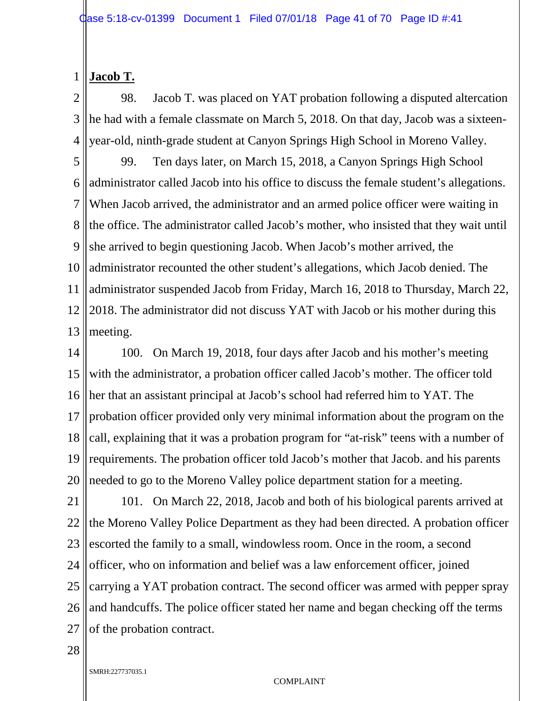#### 1 **Jacob T.**

2 3 4 98. Jacob T. was placed on YAT probation following a disputed altercation he had with a female classmate on March 5, 2018. On that day, Jacob was a sixteenyear-old, ninth-grade student at Canyon Springs High School in Moreno Valley.

5 6 7 8 9 10 11 12 13 99. Ten days later, on March 15, 2018, a Canyon Springs High School administrator called Jacob into his office to discuss the female student's allegations. When Jacob arrived, the administrator and an armed police officer were waiting in the office. The administrator called Jacob's mother, who insisted that they wait until she arrived to begin questioning Jacob. When Jacob's mother arrived, the administrator recounted the other student's allegations, which Jacob denied. The administrator suspended Jacob from Friday, March 16, 2018 to Thursday, March 22, 2018. The administrator did not discuss YAT with Jacob or his mother during this meeting.

14 15 16 17 18 19 20 100. On March 19, 2018, four days after Jacob and his mother's meeting with the administrator, a probation officer called Jacob's mother. The officer told her that an assistant principal at Jacob's school had referred him to YAT. The probation officer provided only very minimal information about the program on the call, explaining that it was a probation program for "at-risk" teens with a number of requirements. The probation officer told Jacob's mother that Jacob. and his parents needed to go to the Moreno Valley police department station for a meeting.

21 22 23 24 25 26 27 101. On March 22, 2018, Jacob and both of his biological parents arrived at the Moreno Valley Police Department as they had been directed. A probation officer escorted the family to a small, windowless room. Once in the room, a second officer, who on information and belief was a law enforcement officer, joined carrying a YAT probation contract. The second officer was armed with pepper spray and handcuffs. The police officer stated her name and began checking off the terms of the probation contract.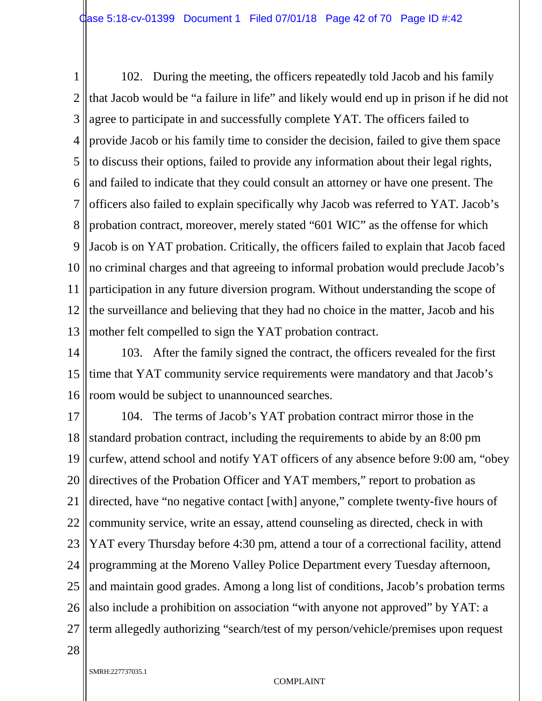1 2 3 4 5 6 7 8 9 10 11 12 13 102. During the meeting, the officers repeatedly told Jacob and his family that Jacob would be "a failure in life" and likely would end up in prison if he did not agree to participate in and successfully complete YAT. The officers failed to provide Jacob or his family time to consider the decision, failed to give them space to discuss their options, failed to provide any information about their legal rights, and failed to indicate that they could consult an attorney or have one present. The officers also failed to explain specifically why Jacob was referred to YAT. Jacob's probation contract, moreover, merely stated "601 WIC" as the offense for which Jacob is on YAT probation. Critically, the officers failed to explain that Jacob faced no criminal charges and that agreeing to informal probation would preclude Jacob's participation in any future diversion program. Without understanding the scope of the surveillance and believing that they had no choice in the matter, Jacob and his mother felt compelled to sign the YAT probation contract.

14 15 16 103. After the family signed the contract, the officers revealed for the first time that YAT community service requirements were mandatory and that Jacob's room would be subject to unannounced searches.

17 18 19 20 21 22 23 24 25 26 27 104. The terms of Jacob's YAT probation contract mirror those in the standard probation contract, including the requirements to abide by an 8:00 pm curfew, attend school and notify YAT officers of any absence before 9:00 am, "obey directives of the Probation Officer and YAT members," report to probation as directed, have "no negative contact [with] anyone," complete twenty-five hours of community service, write an essay, attend counseling as directed, check in with YAT every Thursday before 4:30 pm, attend a tour of a correctional facility, attend programming at the Moreno Valley Police Department every Tuesday afternoon, and maintain good grades. Among a long list of conditions, Jacob's probation terms also include a prohibition on association "with anyone not approved" by YAT: a term allegedly authorizing "search/test of my person/vehicle/premises upon request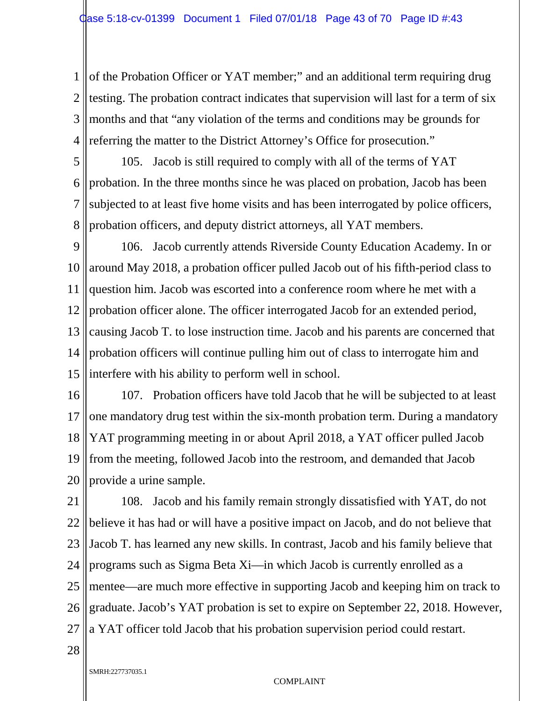1 2 3 4 of the Probation Officer or YAT member;" and an additional term requiring drug testing. The probation contract indicates that supervision will last for a term of six months and that "any violation of the terms and conditions may be grounds for referring the matter to the District Attorney's Office for prosecution."

5 6 7 8 105. Jacob is still required to comply with all of the terms of YAT probation. In the three months since he was placed on probation, Jacob has been subjected to at least five home visits and has been interrogated by police officers, probation officers, and deputy district attorneys, all YAT members.

9 10 11 12 13 14 15 106. Jacob currently attends Riverside County Education Academy. In or around May 2018, a probation officer pulled Jacob out of his fifth-period class to question him. Jacob was escorted into a conference room where he met with a probation officer alone. The officer interrogated Jacob for an extended period, causing Jacob T. to lose instruction time. Jacob and his parents are concerned that probation officers will continue pulling him out of class to interrogate him and interfere with his ability to perform well in school.

16 17 18 19 20 107. Probation officers have told Jacob that he will be subjected to at least one mandatory drug test within the six-month probation term. During a mandatory YAT programming meeting in or about April 2018, a YAT officer pulled Jacob from the meeting, followed Jacob into the restroom, and demanded that Jacob provide a urine sample.

21 22 23 24 25 26 27 108. Jacob and his family remain strongly dissatisfied with YAT, do not believe it has had or will have a positive impact on Jacob, and do not believe that Jacob T. has learned any new skills. In contrast, Jacob and his family believe that programs such as Sigma Beta Xi—in which Jacob is currently enrolled as a mentee—are much more effective in supporting Jacob and keeping him on track to graduate. Jacob's YAT probation is set to expire on September 22, 2018. However, a YAT officer told Jacob that his probation supervision period could restart.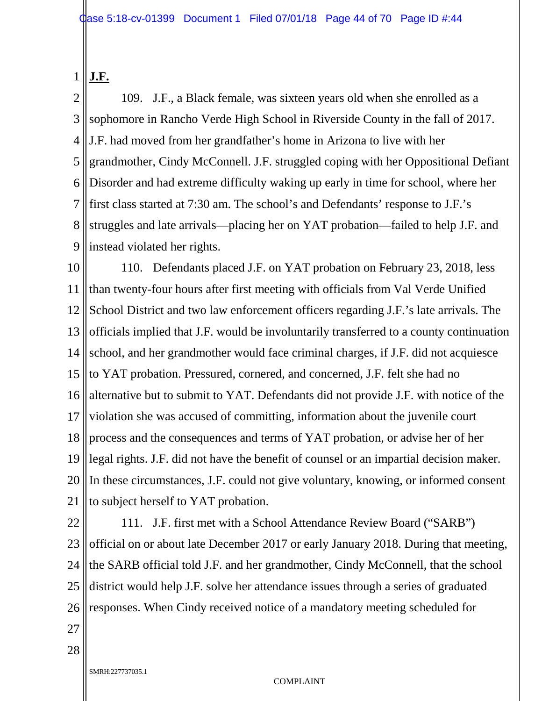#### 1 **J.F.**

2 3 4 5 6 7 8 9 109. J.F., a Black female, was sixteen years old when she enrolled as a sophomore in Rancho Verde High School in Riverside County in the fall of 2017. J.F. had moved from her grandfather's home in Arizona to live with her grandmother, Cindy McConnell. J.F. struggled coping with her Oppositional Defiant Disorder and had extreme difficulty waking up early in time for school, where her first class started at 7:30 am. The school's and Defendants' response to J.F.'s struggles and late arrivals—placing her on YAT probation—failed to help J.F. and instead violated her rights.

10 11 12 13 14 15 16 17 18 19 20 21 110. Defendants placed J.F. on YAT probation on February 23, 2018, less than twenty-four hours after first meeting with officials from Val Verde Unified School District and two law enforcement officers regarding J.F.'s late arrivals. The officials implied that J.F. would be involuntarily transferred to a county continuation school, and her grandmother would face criminal charges, if J.F. did not acquiesce to YAT probation. Pressured, cornered, and concerned, J.F. felt she had no alternative but to submit to YAT. Defendants did not provide J.F. with notice of the violation she was accused of committing, information about the juvenile court process and the consequences and terms of YAT probation, or advise her of her legal rights. J.F. did not have the benefit of counsel or an impartial decision maker. In these circumstances, J.F. could not give voluntary, knowing, or informed consent to subject herself to YAT probation.

22

23 24 25 26 111. J.F. first met with a School Attendance Review Board ("SARB") official on or about late December 2017 or early January 2018. During that meeting, the SARB official told J.F. and her grandmother, Cindy McConnell, that the school district would help J.F. solve her attendance issues through a series of graduated responses. When Cindy received notice of a mandatory meeting scheduled for

27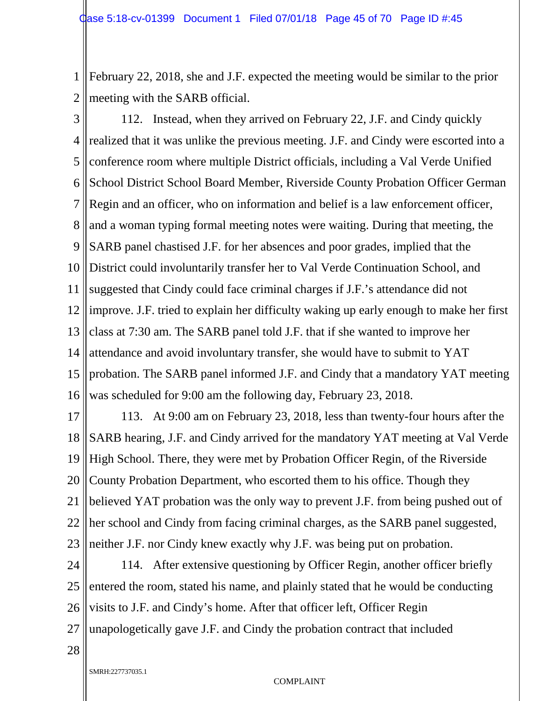1 2 February 22, 2018, she and J.F. expected the meeting would be similar to the prior meeting with the SARB official.

3 4 5 6 7 8 9 10 11 12 13 14 15 16 112. Instead, when they arrived on February 22, J.F. and Cindy quickly realized that it was unlike the previous meeting. J.F. and Cindy were escorted into a conference room where multiple District officials, including a Val Verde Unified School District School Board Member, Riverside County Probation Officer German Regin and an officer, who on information and belief is a law enforcement officer, and a woman typing formal meeting notes were waiting. During that meeting, the SARB panel chastised J.F. for her absences and poor grades, implied that the District could involuntarily transfer her to Val Verde Continuation School, and suggested that Cindy could face criminal charges if J.F.'s attendance did not improve. J.F. tried to explain her difficulty waking up early enough to make her first class at 7:30 am. The SARB panel told J.F. that if she wanted to improve her attendance and avoid involuntary transfer, she would have to submit to YAT probation. The SARB panel informed J.F. and Cindy that a mandatory YAT meeting was scheduled for 9:00 am the following day, February 23, 2018.

17 18 19 20 21 22 23 113. At 9:00 am on February 23, 2018, less than twenty-four hours after the SARB hearing, J.F. and Cindy arrived for the mandatory YAT meeting at Val Verde High School. There, they were met by Probation Officer Regin, of the Riverside County Probation Department, who escorted them to his office. Though they believed YAT probation was the only way to prevent J.F. from being pushed out of her school and Cindy from facing criminal charges, as the SARB panel suggested, neither J.F. nor Cindy knew exactly why J.F. was being put on probation.

24 25 26 27 114. After extensive questioning by Officer Regin, another officer briefly entered the room, stated his name, and plainly stated that he would be conducting visits to J.F. and Cindy's home. After that officer left, Officer Regin unapologetically gave J.F. and Cindy the probation contract that included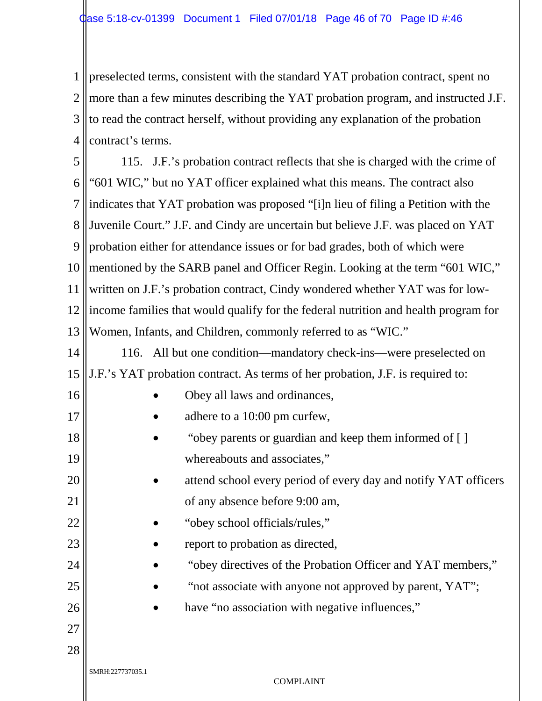1 2 3 4 preselected terms, consistent with the standard YAT probation contract, spent no more than a few minutes describing the YAT probation program, and instructed J.F. to read the contract herself, without providing any explanation of the probation contract's terms.

5 6 7 8 9 10 11 12 13 14 15 115. J.F.'s probation contract reflects that she is charged with the crime of "601 WIC," but no YAT officer explained what this means. The contract also indicates that YAT probation was proposed "[i]n lieu of filing a Petition with the Juvenile Court." J.F. and Cindy are uncertain but believe J.F. was placed on YAT probation either for attendance issues or for bad grades, both of which were mentioned by the SARB panel and Officer Regin. Looking at the term "601 WIC," written on J.F.'s probation contract, Cindy wondered whether YAT was for lowincome families that would qualify for the federal nutrition and health program for Women, Infants, and Children, commonly referred to as "WIC." 116. All but one condition—mandatory check-ins—were preselected on J.F.'s YAT probation contract. As terms of her probation, J.F. is required to:

- Obey all laws and ordinances,
- adhere to a 10:00 pm curfew,
- "obey parents or guardian and keep them informed of [ ] whereabouts and associates,"
- attend school every period of every day and notify YAT officers of any absence before 9:00 am,
	- "obey school officials/rules,"
	- report to probation as directed,
		- "obey directives of the Probation Officer and YAT members,"
			- "not associate with anyone not approved by parent, YAT";
		- have "no association with negative influences,"

27 28

16

17

18

19

20

21

22

23

24

25

26

SMRH:227737035.1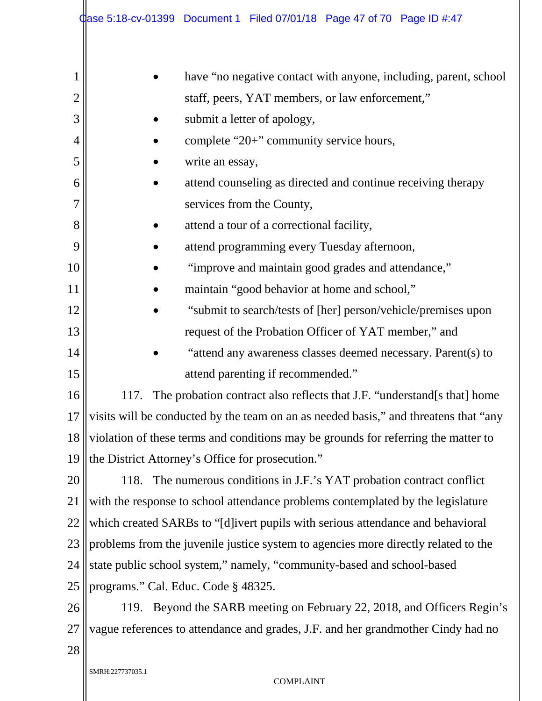|                | <b>Case 5:18-cv-01399 Document 1 Filed 07/01/18 Page 47 of 70 Page ID #:47</b>       |  |  |  |
|----------------|--------------------------------------------------------------------------------------|--|--|--|
|                |                                                                                      |  |  |  |
| 1              | have "no negative contact with anyone, including, parent, school                     |  |  |  |
| $\overline{2}$ | staff, peers, YAT members, or law enforcement,"                                      |  |  |  |
| 3              | submit a letter of apology,                                                          |  |  |  |
| $\overline{4}$ | complete "20+" community service hours,                                              |  |  |  |
| 5              | write an essay,                                                                      |  |  |  |
| 6              | attend counseling as directed and continue receiving therapy                         |  |  |  |
| 7              | services from the County,                                                            |  |  |  |
| 8              | attend a tour of a correctional facility,                                            |  |  |  |
| 9              | attend programming every Tuesday afternoon,                                          |  |  |  |
| 10             | "improve and maintain good grades and attendance,"                                   |  |  |  |
| 11             | maintain "good behavior at home and school,"                                         |  |  |  |
| 12             | "submit to search/tests of [her] person/vehicle/premises upon                        |  |  |  |
| 13             | request of the Probation Officer of YAT member," and                                 |  |  |  |
| 14             | "attend any awareness classes deemed necessary. Parent(s) to                         |  |  |  |
| 15             | attend parenting if recommended."                                                    |  |  |  |
| 16             | The probation contract also reflects that J.F. "understand[s that] home<br>117       |  |  |  |
| 17             | visits will be conducted by the team on an as needed basis," and threatens that "any |  |  |  |
| 18             | violation of these terms and conditions may be grounds for referring the matter to   |  |  |  |
| 19             | the District Attorney's Office for prosecution."                                     |  |  |  |
| 20             | The numerous conditions in J.F.'s YAT probation contract conflict<br>118.            |  |  |  |
| 21             | with the response to school attendance problems contemplated by the legislature      |  |  |  |
| 22             | which created SARBs to "[d]ivert pupils with serious attendance and behavioral       |  |  |  |
| 23             | problems from the juvenile justice system to agencies more directly related to the   |  |  |  |
| 24             | state public school system," namely, "community-based and school-based               |  |  |  |
| 25             | programs." Cal. Educ. Code § 48325.                                                  |  |  |  |
| 26             | 119. Beyond the SARB meeting on February 22, 2018, and Officers Regin's              |  |  |  |
| 27             | vague references to attendance and grades, J.F. and her grandmother Cindy had no     |  |  |  |
| 28             |                                                                                      |  |  |  |
|                | SMRH:227737035.1<br><b>COMPLAINT</b>                                                 |  |  |  |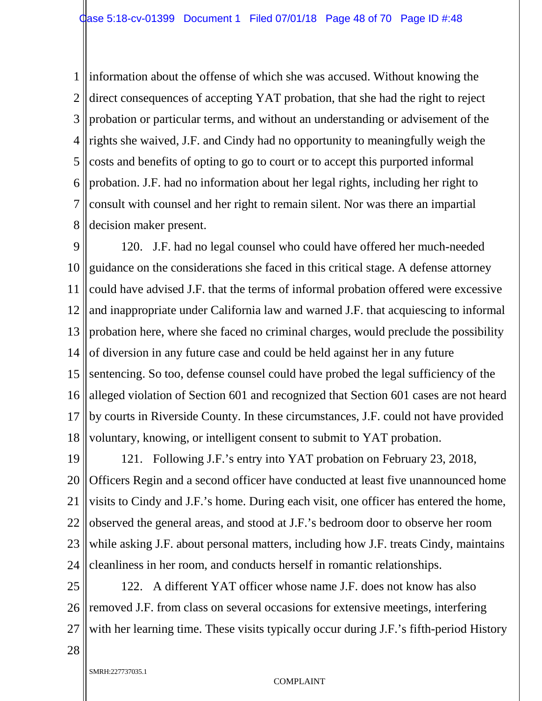1 2 3 4 5 6 7 8 information about the offense of which she was accused. Without knowing the direct consequences of accepting YAT probation, that she had the right to reject probation or particular terms, and without an understanding or advisement of the rights she waived, J.F. and Cindy had no opportunity to meaningfully weigh the costs and benefits of opting to go to court or to accept this purported informal probation. J.F. had no information about her legal rights, including her right to consult with counsel and her right to remain silent. Nor was there an impartial decision maker present.

9 10 11 12 13 14 15 16 17 18 120. J.F. had no legal counsel who could have offered her much-needed guidance on the considerations she faced in this critical stage. A defense attorney could have advised J.F. that the terms of informal probation offered were excessive and inappropriate under California law and warned J.F. that acquiescing to informal probation here, where she faced no criminal charges, would preclude the possibility of diversion in any future case and could be held against her in any future sentencing. So too, defense counsel could have probed the legal sufficiency of the alleged violation of Section 601 and recognized that Section 601 cases are not heard by courts in Riverside County. In these circumstances, J.F. could not have provided voluntary, knowing, or intelligent consent to submit to YAT probation.

19 20 21 22 23 24 121. Following J.F.'s entry into YAT probation on February 23, 2018, Officers Regin and a second officer have conducted at least five unannounced home visits to Cindy and J.F.'s home. During each visit, one officer has entered the home, observed the general areas, and stood at J.F.'s bedroom door to observe her room while asking J.F. about personal matters, including how J.F. treats Cindy, maintains cleanliness in her room, and conducts herself in romantic relationships.

25 26 27 122. A different YAT officer whose name J.F. does not know has also removed J.F. from class on several occasions for extensive meetings, interfering with her learning time. These visits typically occur during J.F.'s fifth-period History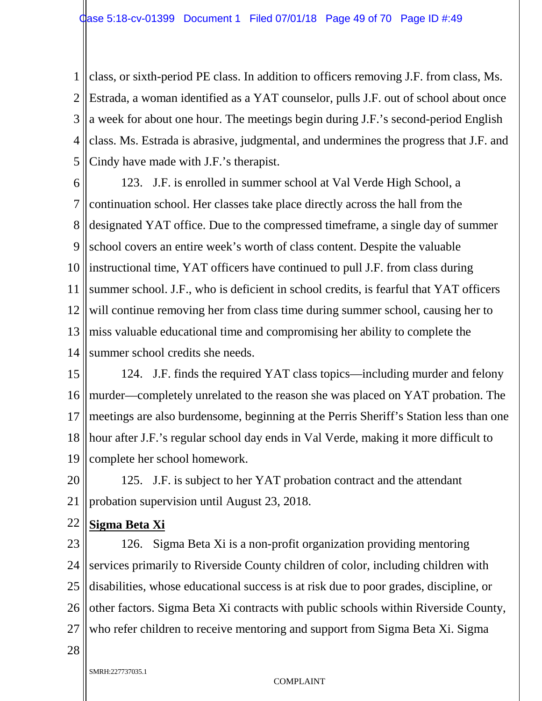1 2 3 4 5 class, or sixth-period PE class. In addition to officers removing J.F. from class, Ms. Estrada, a woman identified as a YAT counselor, pulls J.F. out of school about once a week for about one hour. The meetings begin during J.F.'s second-period English class. Ms. Estrada is abrasive, judgmental, and undermines the progress that J.F. and Cindy have made with J.F.'s therapist.

6 7 8 9 10 11 12 13 14 123. J.F. is enrolled in summer school at Val Verde High School, a continuation school. Her classes take place directly across the hall from the designated YAT office. Due to the compressed timeframe, a single day of summer school covers an entire week's worth of class content. Despite the valuable instructional time, YAT officers have continued to pull J.F. from class during summer school. J.F., who is deficient in school credits, is fearful that YAT officers will continue removing her from class time during summer school, causing her to miss valuable educational time and compromising her ability to complete the summer school credits she needs.

15 16 17 18 19 124. J.F. finds the required YAT class topics—including murder and felony murder—completely unrelated to the reason she was placed on YAT probation. The meetings are also burdensome, beginning at the Perris Sheriff's Station less than one hour after J.F.'s regular school day ends in Val Verde, making it more difficult to complete her school homework.

20 21 125. J.F. is subject to her YAT probation contract and the attendant probation supervision until August 23, 2018.

22 **Sigma Beta Xi**

23 24 25 26 27 126. Sigma Beta Xi is a non-profit organization providing mentoring services primarily to Riverside County children of color, including children with disabilities, whose educational success is at risk due to poor grades, discipline, or other factors. Sigma Beta Xi contracts with public schools within Riverside County, who refer children to receive mentoring and support from Sigma Beta Xi. Sigma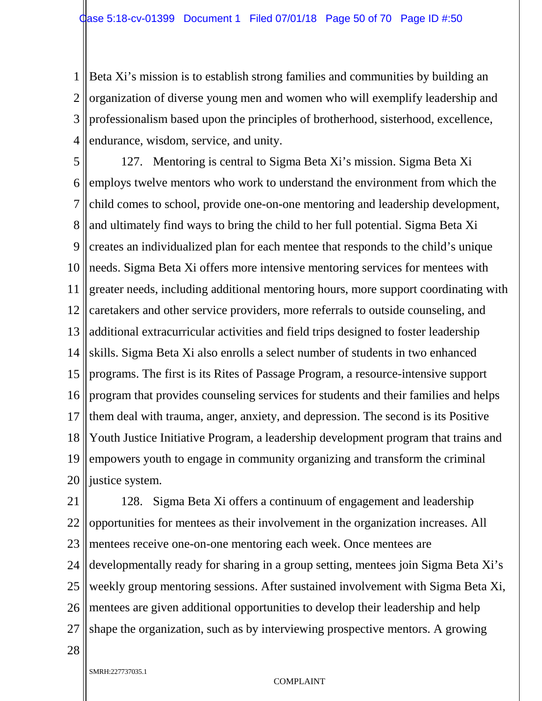1 2 3 4 Beta Xi's mission is to establish strong families and communities by building an organization of diverse young men and women who will exemplify leadership and professionalism based upon the principles of brotherhood, sisterhood, excellence, endurance, wisdom, service, and unity.

5 6 7 8 9 10 11 12 13 14 15 16 17 18 19 20 127. Mentoring is central to Sigma Beta Xi's mission. Sigma Beta Xi employs twelve mentors who work to understand the environment from which the child comes to school, provide one-on-one mentoring and leadership development, and ultimately find ways to bring the child to her full potential. Sigma Beta Xi creates an individualized plan for each mentee that responds to the child's unique needs. Sigma Beta Xi offers more intensive mentoring services for mentees with greater needs, including additional mentoring hours, more support coordinating with caretakers and other service providers, more referrals to outside counseling, and additional extracurricular activities and field trips designed to foster leadership skills. Sigma Beta Xi also enrolls a select number of students in two enhanced programs. The first is its Rites of Passage Program, a resource-intensive support program that provides counseling services for students and their families and helps them deal with trauma, anger, anxiety, and depression. The second is its Positive Youth Justice Initiative Program, a leadership development program that trains and empowers youth to engage in community organizing and transform the criminal justice system.

21 22 23 24 25 26 27 128. Sigma Beta Xi offers a continuum of engagement and leadership opportunities for mentees as their involvement in the organization increases. All mentees receive one-on-one mentoring each week. Once mentees are developmentally ready for sharing in a group setting, mentees join Sigma Beta Xi's weekly group mentoring sessions. After sustained involvement with Sigma Beta Xi, mentees are given additional opportunities to develop their leadership and help shape the organization, such as by interviewing prospective mentors. A growing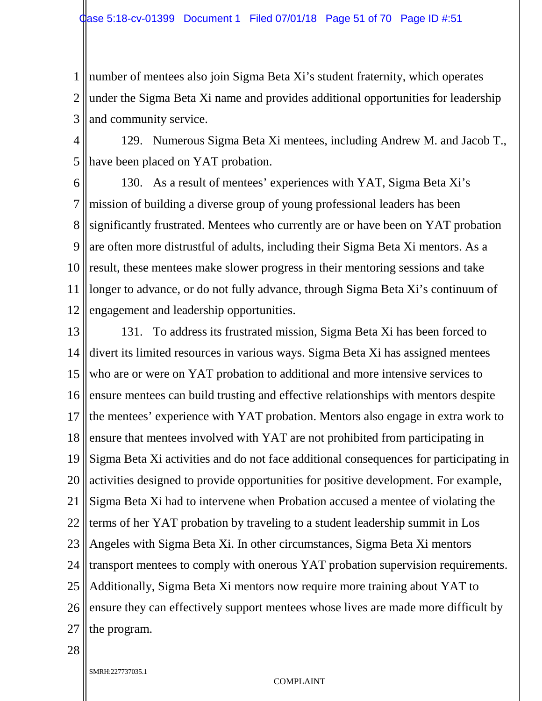1 2 3 number of mentees also join Sigma Beta Xi's student fraternity, which operates under the Sigma Beta Xi name and provides additional opportunities for leadership and community service.

4 5 129. Numerous Sigma Beta Xi mentees, including Andrew M. and Jacob T., have been placed on YAT probation.

6 7 8 9 10 11 12 130. As a result of mentees' experiences with YAT, Sigma Beta Xi's mission of building a diverse group of young professional leaders has been significantly frustrated. Mentees who currently are or have been on YAT probation are often more distrustful of adults, including their Sigma Beta Xi mentors. As a result, these mentees make slower progress in their mentoring sessions and take longer to advance, or do not fully advance, through Sigma Beta Xi's continuum of engagement and leadership opportunities.

13 14 15 16 17 18 19 20 21 22 23 24 25 26 27 131. To address its frustrated mission, Sigma Beta Xi has been forced to divert its limited resources in various ways. Sigma Beta Xi has assigned mentees who are or were on YAT probation to additional and more intensive services to ensure mentees can build trusting and effective relationships with mentors despite the mentees' experience with YAT probation. Mentors also engage in extra work to ensure that mentees involved with YAT are not prohibited from participating in Sigma Beta Xi activities and do not face additional consequences for participating in activities designed to provide opportunities for positive development. For example, Sigma Beta Xi had to intervene when Probation accused a mentee of violating the terms of her YAT probation by traveling to a student leadership summit in Los Angeles with Sigma Beta Xi. In other circumstances, Sigma Beta Xi mentors transport mentees to comply with onerous YAT probation supervision requirements. Additionally, Sigma Beta Xi mentors now require more training about YAT to ensure they can effectively support mentees whose lives are made more difficult by the program.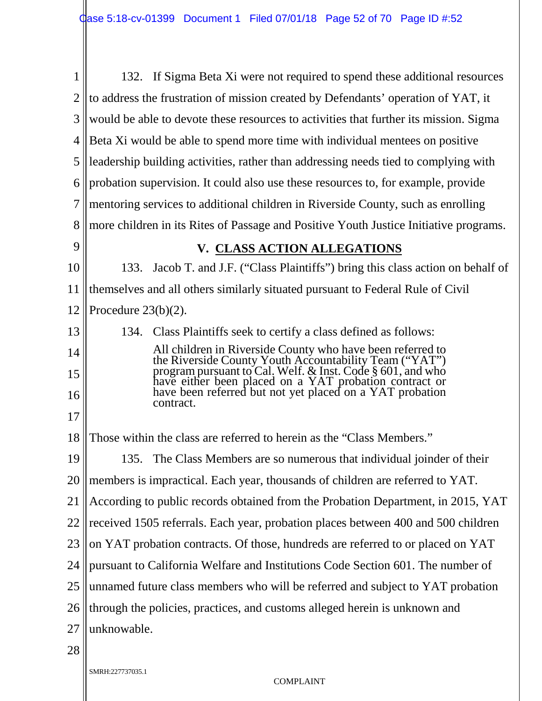| 1              | 132. If Sigma Beta Xi were not required to spend these additional resources                                                                                                                                                             |  |  |  |
|----------------|-----------------------------------------------------------------------------------------------------------------------------------------------------------------------------------------------------------------------------------------|--|--|--|
| $\overline{2}$ | to address the frustration of mission created by Defendants' operation of YAT, it                                                                                                                                                       |  |  |  |
| 3              | would be able to devote these resources to activities that further its mission. Sigma                                                                                                                                                   |  |  |  |
| 4              | Beta Xi would be able to spend more time with individual mentees on positive                                                                                                                                                            |  |  |  |
| 5              | leadership building activities, rather than addressing needs tied to complying with                                                                                                                                                     |  |  |  |
| 6              | probation supervision. It could also use these resources to, for example, provide                                                                                                                                                       |  |  |  |
| 7              | mentoring services to additional children in Riverside County, such as enrolling                                                                                                                                                        |  |  |  |
| 8              | more children in its Rites of Passage and Positive Youth Justice Initiative programs.                                                                                                                                                   |  |  |  |
| 9              | V. CLASS ACTION ALLEGATIONS                                                                                                                                                                                                             |  |  |  |
| 10             | Jacob T. and J.F. ("Class Plaintiffs") bring this class action on behalf of<br>133.                                                                                                                                                     |  |  |  |
| 11             | themselves and all others similarly situated pursuant to Federal Rule of Civil                                                                                                                                                          |  |  |  |
| 12             | Procedure $23(b)(2)$ .                                                                                                                                                                                                                  |  |  |  |
| 13             | 134. Class Plaintiffs seek to certify a class defined as follows:                                                                                                                                                                       |  |  |  |
| 14             |                                                                                                                                                                                                                                         |  |  |  |
| 15             | All children in Riverside County who have been referred to<br>the Riverside County Youth Accountability Team ("YAT")<br>program pursuant to Cal. Welf. & Inst. Code § 601, and who<br>have either been placed on a YAT probation contra |  |  |  |
| 16             | contract.                                                                                                                                                                                                                               |  |  |  |
| 17             |                                                                                                                                                                                                                                         |  |  |  |
| 18             | Those within the class are referred to herein as the "Class Members."                                                                                                                                                                   |  |  |  |
| 19             | 135. The Class Members are so numerous that individual joinder of their                                                                                                                                                                 |  |  |  |
| <b>20</b>      | members is impractical. Each year, thousands of children are referred to YAT.                                                                                                                                                           |  |  |  |
| 21             | According to public records obtained from the Probation Department, in 2015, YAT                                                                                                                                                        |  |  |  |
| 22             | received 1505 referrals. Each year, probation places between 400 and 500 children                                                                                                                                                       |  |  |  |
| 23             | on YAT probation contracts. Of those, hundreds are referred to or placed on YAT                                                                                                                                                         |  |  |  |
| 24             | pursuant to California Welfare and Institutions Code Section 601. The number of                                                                                                                                                         |  |  |  |
| 25             | unnamed future class members who will be referred and subject to YAT probation                                                                                                                                                          |  |  |  |
| 26             | through the policies, practices, and customs alleged herein is unknown and                                                                                                                                                              |  |  |  |
| 27             | unknowable.                                                                                                                                                                                                                             |  |  |  |
| 28             |                                                                                                                                                                                                                                         |  |  |  |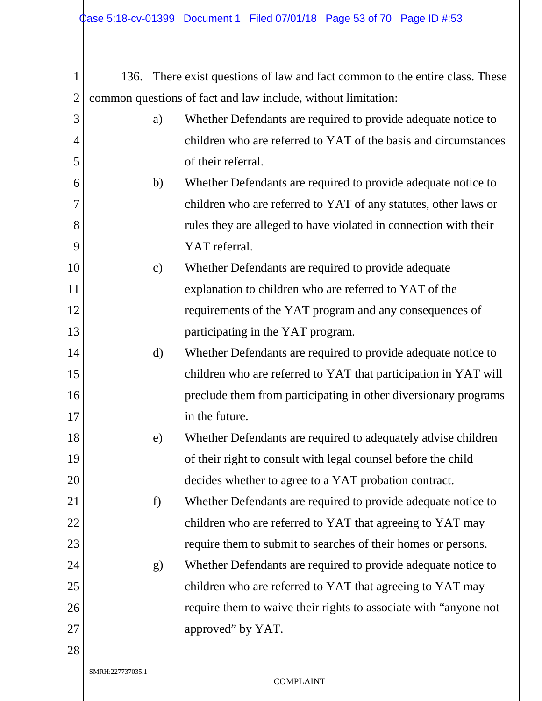| 1              | 136.             |               | There exist questions of law and fact common to the entire class. These |
|----------------|------------------|---------------|-------------------------------------------------------------------------|
| $\overline{2}$ |                  |               | common questions of fact and law include, without limitation:           |
| 3              |                  | a)            | Whether Defendants are required to provide adequate notice to           |
| $\overline{4}$ |                  |               | children who are referred to YAT of the basis and circumstances         |
| 5              |                  |               | of their referral.                                                      |
| 6              |                  | b)            | Whether Defendants are required to provide adequate notice to           |
| $\overline{7}$ |                  |               | children who are referred to YAT of any statutes, other laws or         |
| 8              |                  |               | rules they are alleged to have violated in connection with their        |
| 9              |                  |               | YAT referral.                                                           |
| 10             |                  | $\mathbf{c})$ | Whether Defendants are required to provide adequate                     |
| 11             |                  |               | explanation to children who are referred to YAT of the                  |
| 12             |                  |               | requirements of the YAT program and any consequences of                 |
| 13             |                  |               | participating in the YAT program.                                       |
| 14             |                  | $\mathbf{d}$  | Whether Defendants are required to provide adequate notice to           |
| 15             |                  |               | children who are referred to YAT that participation in YAT will         |
| 16             |                  |               | preclude them from participating in other diversionary programs         |
| 17             |                  |               | in the future.                                                          |
| 18             |                  | e)            | Whether Defendants are required to adequately advise children           |
| 19             |                  |               | of their right to consult with legal counsel before the child           |
| 20             |                  |               | decides whether to agree to a YAT probation contract.                   |
| 21             |                  | f)            | Whether Defendants are required to provide adequate notice to           |
| <u>22</u>      |                  |               | children who are referred to YAT that agreeing to YAT may               |
| 23             |                  |               | require them to submit to searches of their homes or persons.           |
| 24             |                  | g)            | Whether Defendants are required to provide adequate notice to           |
| 25             |                  |               | children who are referred to YAT that agreeing to YAT may               |
| 26             |                  |               | require them to waive their rights to associate with "anyone not"       |
| 27             |                  |               | approved" by YAT.                                                       |
| 28             |                  |               |                                                                         |
|                | SMRH:227737035.1 |               |                                                                         |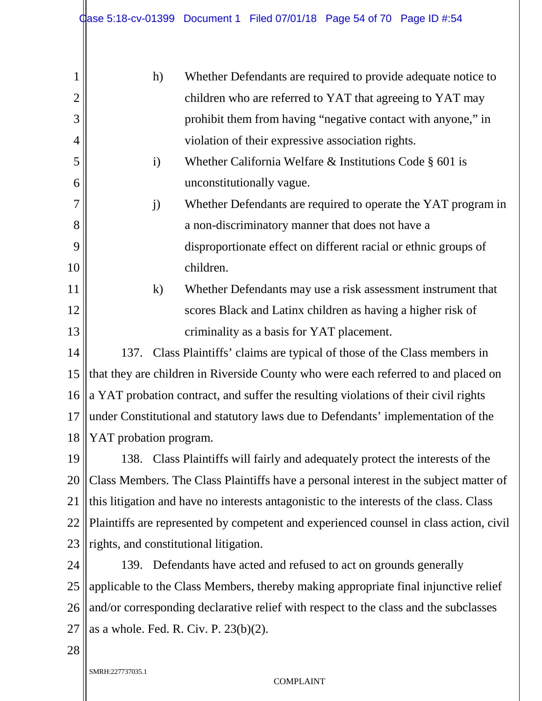| 1              | h)<br>Whether Defendants are required to provide adequate notice to                     |  |  |  |
|----------------|-----------------------------------------------------------------------------------------|--|--|--|
| $\overline{2}$ | children who are referred to YAT that agreeing to YAT may                               |  |  |  |
| 3              | prohibit them from having "negative contact with anyone," in                            |  |  |  |
| $\overline{4}$ | violation of their expressive association rights.                                       |  |  |  |
| 5              | Whether California Welfare $\&$ Institutions Code § 601 is<br>$\mathbf{i}$              |  |  |  |
| 6              | unconstitutionally vague.                                                               |  |  |  |
| 7              | Whether Defendants are required to operate the YAT program in<br>j)                     |  |  |  |
| 8              | a non-discriminatory manner that does not have a                                        |  |  |  |
| 9              | disproportionate effect on different racial or ethnic groups of                         |  |  |  |
| 10             | children.                                                                               |  |  |  |
| 11             | $\mathbf{k}$<br>Whether Defendants may use a risk assessment instrument that            |  |  |  |
| 12             | scores Black and Latinx children as having a higher risk of                             |  |  |  |
| 13             | criminality as a basis for YAT placement.                                               |  |  |  |
| 14             | 137. Class Plaintiffs' claims are typical of those of the Class members in              |  |  |  |
| 15             | that they are children in Riverside County who were each referred to and placed on      |  |  |  |
| 16             | a YAT probation contract, and suffer the resulting violations of their civil rights     |  |  |  |
| 17             | under Constitutional and statutory laws due to Defendants' implementation of the        |  |  |  |
| 18             | YAT probation program.                                                                  |  |  |  |
| 19             | 138. Class Plaintiffs will fairly and adequately protect the interests of the           |  |  |  |
| 20             | Class Members. The Class Plaintiffs have a personal interest in the subject matter of   |  |  |  |
| 21             | this litigation and have no interests antagonistic to the interests of the class. Class |  |  |  |
| 22             | Plaintiffs are represented by competent and experienced counsel in class action, civil  |  |  |  |
| 23             | rights, and constitutional litigation.                                                  |  |  |  |

24 25 26 27 139. Defendants have acted and refused to act on grounds generally applicable to the Class Members, thereby making appropriate final injunctive relief and/or corresponding declarative relief with respect to the class and the subclasses as a whole. Fed. R. Civ. P. 23(b)(2).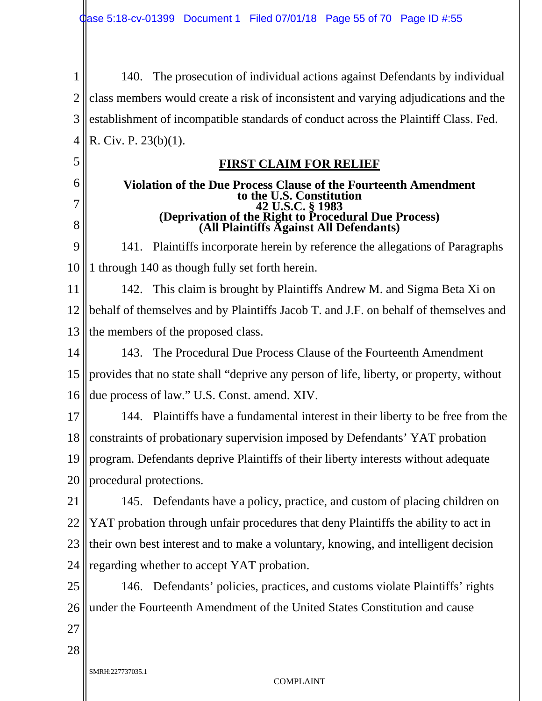1 2 3 4 140. The prosecution of individual actions against Defendants by individual class members would create a risk of inconsistent and varying adjudications and the establishment of incompatible standards of conduct across the Plaintiff Class. Fed. R. Civ. P. 23(b)(1).

#### **FIRST CLAIM FOR RELIEF**

#### **Violation of the Due Process Clause of the Fourteenth Amendment to the U.S. Constitution 42 U.S.C. § 1983 (Deprivation of the Right to Procedural Due Process) (All Plaintiffs Against All Defendants)**

9 10 141. Plaintiffs incorporate herein by reference the allegations of Paragraphs 1 through 140 as though fully set forth herein.

11 12 13 142. This claim is brought by Plaintiffs Andrew M. and Sigma Beta Xi on behalf of themselves and by Plaintiffs Jacob T. and J.F. on behalf of themselves and the members of the proposed class.

14 15 16 143. The Procedural Due Process Clause of the Fourteenth Amendment provides that no state shall "deprive any person of life, liberty, or property, without due process of law." U.S. Const. amend. XIV.

17 18 19 20 144. Plaintiffs have a fundamental interest in their liberty to be free from the constraints of probationary supervision imposed by Defendants' YAT probation program. Defendants deprive Plaintiffs of their liberty interests without adequate procedural protections.

21 22 23 24 145. Defendants have a policy, practice, and custom of placing children on YAT probation through unfair procedures that deny Plaintiffs the ability to act in their own best interest and to make a voluntary, knowing, and intelligent decision regarding whether to accept YAT probation.

25 26 146. Defendants' policies, practices, and customs violate Plaintiffs' rights under the Fourteenth Amendment of the United States Constitution and cause

27

28

5

6

7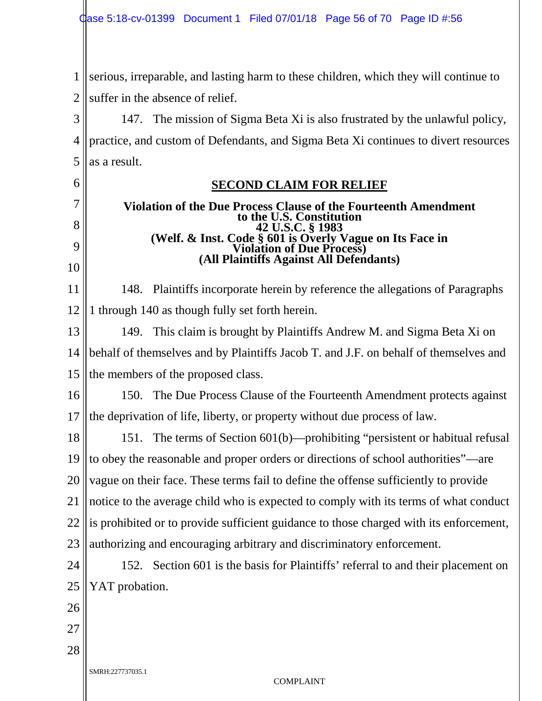1 2 serious, irreparable, and lasting harm to these children, which they will continue to suffer in the absence of relief.

3 4 5 147. The mission of Sigma Beta Xi is also frustrated by the unlawful policy, practice, and custom of Defendants, and Sigma Beta Xi continues to divert resources as a result.

## **SECOND CLAIM FOR RELIEF Violation of the Due Process Clause of the Fourteenth Amendment to the U.S. Constitution 42 U.S.C. § 1983 (Welf. & Inst. Code § 601 is Overly Vague on Its Face in Violation of Due Process) (All Plaintiffs Against All Defendants)**

11 12 148. Plaintiffs incorporate herein by reference the allegations of Paragraphs 1 through 140 as though fully set forth herein.

13 14 15 149. This claim is brought by Plaintiffs Andrew M. and Sigma Beta Xi on behalf of themselves and by Plaintiffs Jacob T. and J.F. on behalf of themselves and the members of the proposed class.

16 17 150. The Due Process Clause of the Fourteenth Amendment protects against the deprivation of life, liberty, or property without due process of law.

18 19 20 21 22 23 151. The terms of Section 601(b)—prohibiting "persistent or habitual refusal to obey the reasonable and proper orders or directions of school authorities"—are vague on their face. These terms fail to define the offense sufficiently to provide notice to the average child who is expected to comply with its terms of what conduct is prohibited or to provide sufficient guidance to those charged with its enforcement, authorizing and encouraging arbitrary and discriminatory enforcement.

24 25 152. Section 601 is the basis for Plaintiffs' referral to and their placement on YAT probation.

26

6

7

8

9

10

27

28

SMRH:227737035.1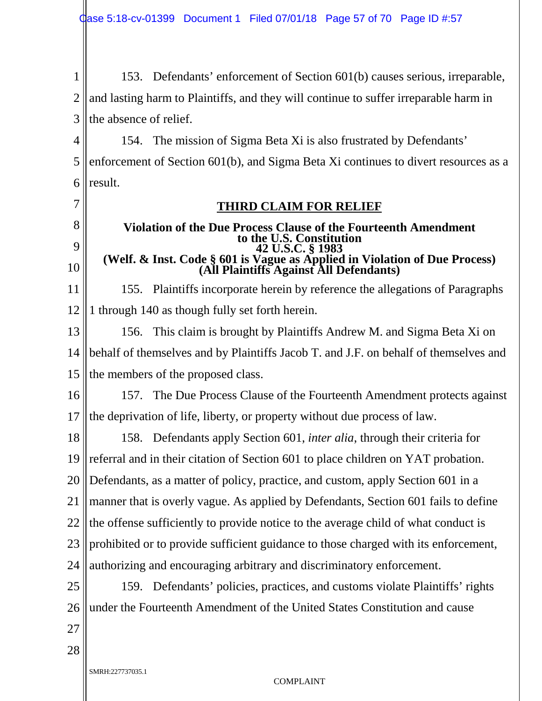1 2 3 153. Defendants' enforcement of Section 601(b) causes serious, irreparable, and lasting harm to Plaintiffs, and they will continue to suffer irreparable harm in the absence of relief.

4 5 6 154. The mission of Sigma Beta Xi is also frustrated by Defendants' enforcement of Section 601(b), and Sigma Beta Xi continues to divert resources as a result.

7 8

9

10

### **THIRD CLAIM FOR RELIEF**

#### **Violation of the Due Process Clause of the Fourteenth Amendment to the U.S. Constitution 42 U.S.C. § 1983 (Welf. & Inst. Code § 601 is Vague as Applied in Violation of Due Process) (All Plaintiffs Against All Defendants)**

11 12 155. Plaintiffs incorporate herein by reference the allegations of Paragraphs 1 through 140 as though fully set forth herein.

13 14 15 156. This claim is brought by Plaintiffs Andrew M. and Sigma Beta Xi on behalf of themselves and by Plaintiffs Jacob T. and J.F. on behalf of themselves and the members of the proposed class.

16 17 157. The Due Process Clause of the Fourteenth Amendment protects against the deprivation of life, liberty, or property without due process of law.

18 19 20 21 22 23 24 158. Defendants apply Section 601, *inter alia*, through their criteria for referral and in their citation of Section 601 to place children on YAT probation. Defendants, as a matter of policy, practice, and custom, apply Section 601 in a manner that is overly vague. As applied by Defendants, Section 601 fails to define the offense sufficiently to provide notice to the average child of what conduct is prohibited or to provide sufficient guidance to those charged with its enforcement, authorizing and encouraging arbitrary and discriminatory enforcement.

25 26 159. Defendants' policies, practices, and customs violate Plaintiffs' rights under the Fourteenth Amendment of the United States Constitution and cause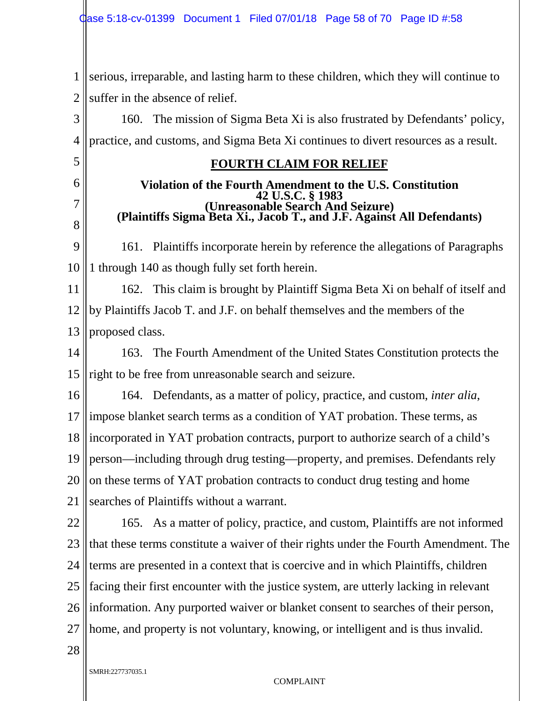1 2 serious, irreparable, and lasting harm to these children, which they will continue to suffer in the absence of relief.

3 4 160. The mission of Sigma Beta Xi is also frustrated by Defendants' policy, practice, and customs, and Sigma Beta Xi continues to divert resources as a result.

#### **FOURTH CLAIM FOR RELIEF**

## **Violation of the Fourth Amendment to the U.S. Constitution 42 U.S.C. § 1983 (Unreasonable Search And Seizure) (Plaintiffs Sigma Beta Xi., Jacob T., and J.F. Against All Defendants)**

9 10 161. Plaintiffs incorporate herein by reference the allegations of Paragraphs 1 through 140 as though fully set forth herein.

11 12 13 162. This claim is brought by Plaintiff Sigma Beta Xi on behalf of itself and by Plaintiffs Jacob T. and J.F. on behalf themselves and the members of the proposed class.

14 15 163. The Fourth Amendment of the United States Constitution protects the right to be free from unreasonable search and seizure.

16 17 18 19 20 21 164. Defendants, as a matter of policy, practice, and custom, *inter alia*, impose blanket search terms as a condition of YAT probation. These terms, as incorporated in YAT probation contracts, purport to authorize search of a child's person—including through drug testing—property, and premises. Defendants rely on these terms of YAT probation contracts to conduct drug testing and home searches of Plaintiffs without a warrant.

22 23 24 25 26 27 165. As a matter of policy, practice, and custom, Plaintiffs are not informed that these terms constitute a waiver of their rights under the Fourth Amendment. The terms are presented in a context that is coercive and in which Plaintiffs, children facing their first encounter with the justice system, are utterly lacking in relevant information. Any purported waiver or blanket consent to searches of their person, home, and property is not voluntary, knowing, or intelligent and is thus invalid.

28

5

6

7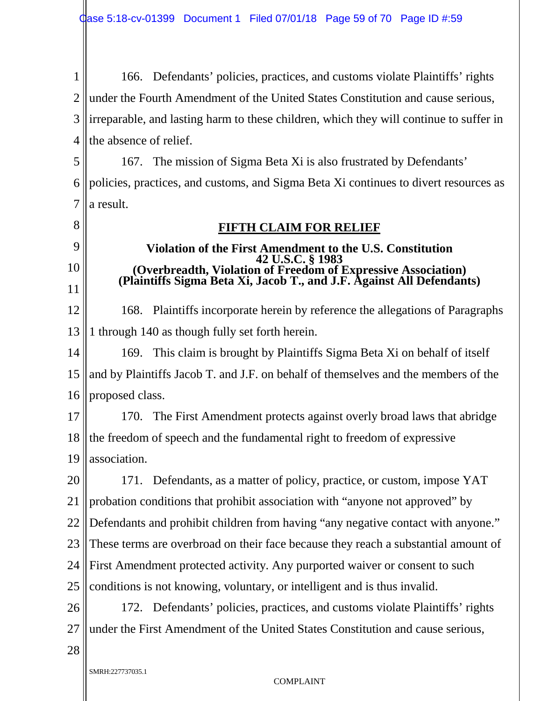1 2 3 4 166. Defendants' policies, practices, and customs violate Plaintiffs' rights under the Fourth Amendment of the United States Constitution and cause serious, irreparable, and lasting harm to these children, which they will continue to suffer in the absence of relief.

5 6 7 167. The mission of Sigma Beta Xi is also frustrated by Defendants' policies, practices, and customs, and Sigma Beta Xi continues to divert resources as a result.

**FIFTH CLAIM FOR RELIEF**

**Violation of the First Amendment to the U.S. Constitution 42 U.S.C. § 1983 (Overbreadth, Violation of Freedom of Expressive Association) (Plaintiffs Sigma Beta Xi, Jacob T., and J.F. Against All Defendants)**

# 8

9

10

11

12 13 168. Plaintiffs incorporate herein by reference the allegations of Paragraphs 1 through 140 as though fully set forth herein.

14 15 16 169. This claim is brought by Plaintiffs Sigma Beta Xi on behalf of itself and by Plaintiffs Jacob T. and J.F. on behalf of themselves and the members of the proposed class.

17 18 19 170. The First Amendment protects against overly broad laws that abridge the freedom of speech and the fundamental right to freedom of expressive association.

20 21 22 23 24 25 171. Defendants, as a matter of policy, practice, or custom, impose YAT probation conditions that prohibit association with "anyone not approved" by Defendants and prohibit children from having "any negative contact with anyone." These terms are overbroad on their face because they reach a substantial amount of First Amendment protected activity. Any purported waiver or consent to such conditions is not knowing, voluntary, or intelligent and is thus invalid.

26 27 172. Defendants' policies, practices, and customs violate Plaintiffs' rights under the First Amendment of the United States Constitution and cause serious,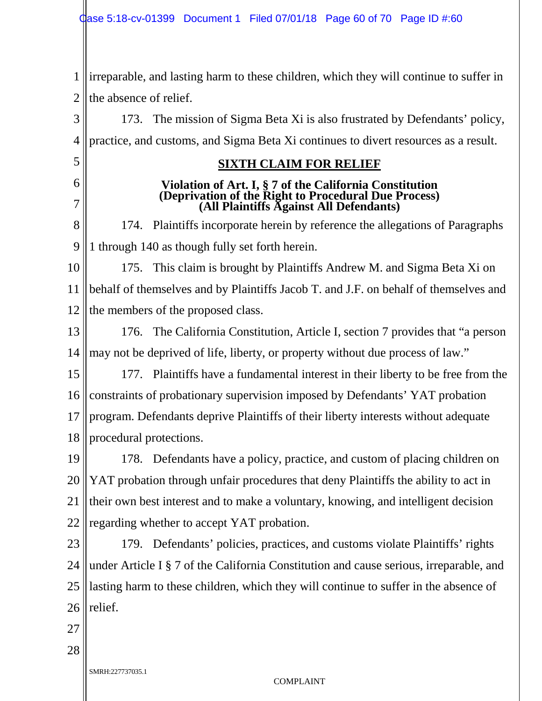1 2 irreparable, and lasting harm to these children, which they will continue to suffer in the absence of relief.

3 4 173. The mission of Sigma Beta Xi is also frustrated by Defendants' policy, practice, and customs, and Sigma Beta Xi continues to divert resources as a result.

#### **SIXTH CLAIM FOR RELIEF**

# **Violation of Art. I, § 7 of the California Constitution (Deprivation of the Right to Procedural Due Process) (All Plaintiffs Against All Defendants)**

8 9 174. Plaintiffs incorporate herein by reference the allegations of Paragraphs 1 through 140 as though fully set forth herein.

10 11 12 175. This claim is brought by Plaintiffs Andrew M. and Sigma Beta Xi on behalf of themselves and by Plaintiffs Jacob T. and J.F. on behalf of themselves and the members of the proposed class.

13 14 176. The California Constitution, Article I, section 7 provides that "a person may not be deprived of life, liberty, or property without due process of law."

15 16 17 18 177. Plaintiffs have a fundamental interest in their liberty to be free from the constraints of probationary supervision imposed by Defendants' YAT probation program. Defendants deprive Plaintiffs of their liberty interests without adequate procedural protections.

19 20 21 22 178. Defendants have a policy, practice, and custom of placing children on YAT probation through unfair procedures that deny Plaintiffs the ability to act in their own best interest and to make a voluntary, knowing, and intelligent decision regarding whether to accept YAT probation.

23 24 25 26 179. Defendants' policies, practices, and customs violate Plaintiffs' rights under Article I § 7 of the California Constitution and cause serious, irreparable, and lasting harm to these children, which they will continue to suffer in the absence of relief.

27

5

6

7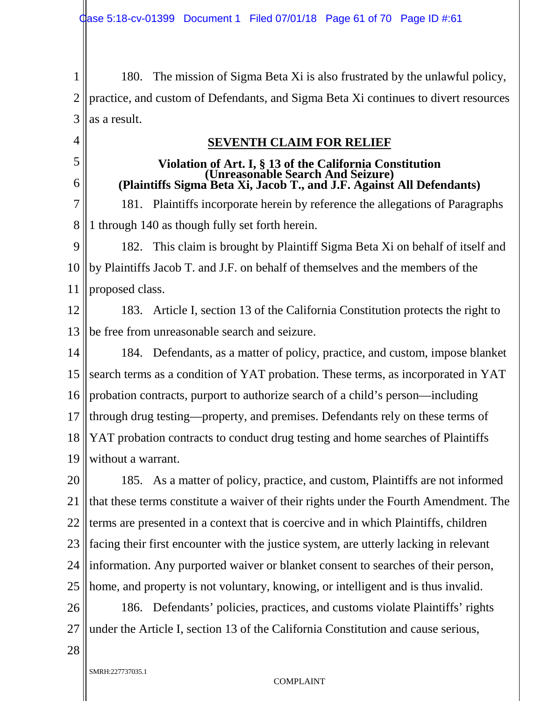1 2 3 180. The mission of Sigma Beta Xi is also frustrated by the unlawful policy, practice, and custom of Defendants, and Sigma Beta Xi continues to divert resources as a result.

4 5

6

### **SEVENTH CLAIM FOR RELIEF**

# **Violation of Art. I, § 13 of the California Constitution (Unreasonable Search And Seizure) (Plaintiffs Sigma Beta Xi, Jacob T., and J.F. Against All Defendants)**

7 8 181. Plaintiffs incorporate herein by reference the allegations of Paragraphs 1 through 140 as though fully set forth herein.

9 10 11 182. This claim is brought by Plaintiff Sigma Beta Xi on behalf of itself and by Plaintiffs Jacob T. and J.F. on behalf of themselves and the members of the proposed class.

12 13 183. Article I, section 13 of the California Constitution protects the right to be free from unreasonable search and seizure.

14 15 16 17 18 19 184. Defendants, as a matter of policy, practice, and custom, impose blanket search terms as a condition of YAT probation. These terms, as incorporated in YAT probation contracts, purport to authorize search of a child's person—including through drug testing—property, and premises. Defendants rely on these terms of YAT probation contracts to conduct drug testing and home searches of Plaintiffs without a warrant.

20 21 22 23 24 25 185. As a matter of policy, practice, and custom, Plaintiffs are not informed that these terms constitute a waiver of their rights under the Fourth Amendment. The terms are presented in a context that is coercive and in which Plaintiffs, children facing their first encounter with the justice system, are utterly lacking in relevant information. Any purported waiver or blanket consent to searches of their person, home, and property is not voluntary, knowing, or intelligent and is thus invalid.

26 27 186. Defendants' policies, practices, and customs violate Plaintiffs' rights under the Article I, section 13 of the California Constitution and cause serious,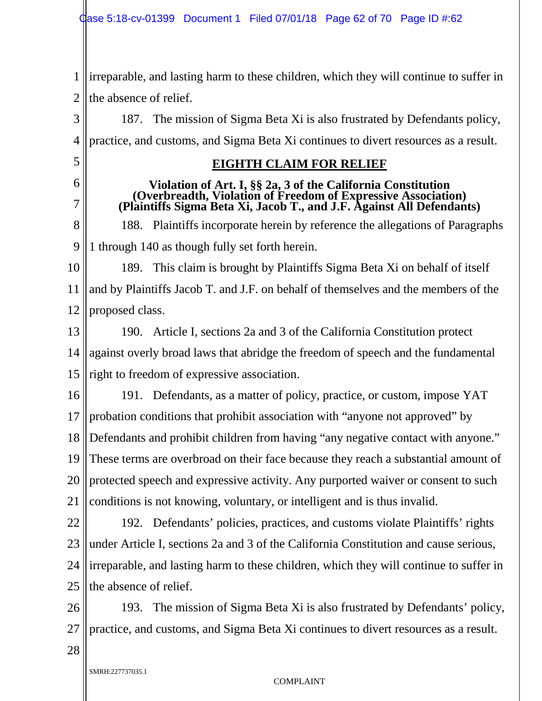1 2 irreparable, and lasting harm to these children, which they will continue to suffer in the absence of relief.

3 4 187. The mission of Sigma Beta Xi is also frustrated by Defendants policy, practice, and customs, and Sigma Beta Xi continues to divert resources as a result.

5 6

7

**EIGHTH CLAIM FOR RELIEF**

# **Violation of Art. I, §§ 2a, 3 of the California Constitution (Overbreadth, Violation of Freedom of Expressive Association) (Plaintiffs Sigma Beta Xi, Jacob T., and J.F. Against All Defendants)**

8 9 188. Plaintiffs incorporate herein by reference the allegations of Paragraphs 1 through 140 as though fully set forth herein.

10 11 12 189. This claim is brought by Plaintiffs Sigma Beta Xi on behalf of itself and by Plaintiffs Jacob T. and J.F. on behalf of themselves and the members of the proposed class.

13 14 15 190. Article I, sections 2a and 3 of the California Constitution protect against overly broad laws that abridge the freedom of speech and the fundamental right to freedom of expressive association.

16 17 18 19 20 21 191. Defendants, as a matter of policy, practice, or custom, impose YAT probation conditions that prohibit association with "anyone not approved" by Defendants and prohibit children from having "any negative contact with anyone." These terms are overbroad on their face because they reach a substantial amount of protected speech and expressive activity. Any purported waiver or consent to such conditions is not knowing, voluntary, or intelligent and is thus invalid.

22

23 24 25 192. Defendants' policies, practices, and customs violate Plaintiffs' rights under Article I, sections 2a and 3 of the California Constitution and cause serious, irreparable, and lasting harm to these children, which they will continue to suffer in the absence of relief.

26 27 193. The mission of Sigma Beta Xi is also frustrated by Defendants' policy, practice, and customs, and Sigma Beta Xi continues to divert resources as a result.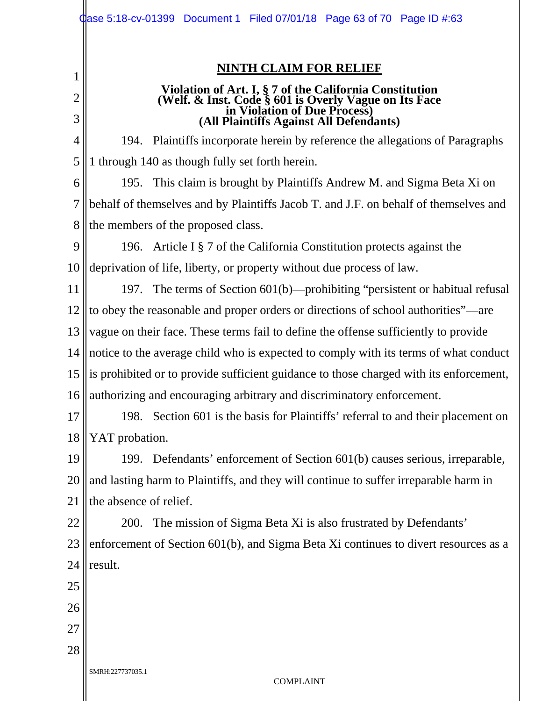|                | $\phi$ ase 5:18-cv-01399 Document 1 Filed 07/01/18 Page 63 of 70 Page ID #:63                                                                    |
|----------------|--------------------------------------------------------------------------------------------------------------------------------------------------|
| 1              | <b>NINTH CLAIM FOR RELIEF</b>                                                                                                                    |
| $\overline{2}$ | Violation of Art. I, § 7 of the California Constitution<br>(Welf. & Inst. Code § 601 is Overly Vague on Its Face<br>in Violation of Due Process) |
| 3              | (All Plaintiffs Against All Defendants)                                                                                                          |
| 4              | 194. Plaintiffs incorporate herein by reference the allegations of Paragraphs                                                                    |
| 5              | 1 through 140 as though fully set forth herein.                                                                                                  |
| 6              | 195. This claim is brought by Plaintiffs Andrew M. and Sigma Beta Xi on                                                                          |
| 7              | behalf of themselves and by Plaintiffs Jacob T. and J.F. on behalf of themselves and                                                             |
| 8              | the members of the proposed class.                                                                                                               |
| 9              | 196. Article I $\S$ 7 of the California Constitution protects against the                                                                        |
| 10             | deprivation of life, liberty, or property without due process of law.                                                                            |
| 11             | 197. The terms of Section 601(b)—prohibiting "persistent or habitual refusal                                                                     |
| 12             | to obey the reasonable and proper orders or directions of school authorities"—are                                                                |
| 13             | vague on their face. These terms fail to define the offense sufficiently to provide                                                              |
| 14             | notice to the average child who is expected to comply with its terms of what conduct                                                             |
| 15             | is prohibited or to provide sufficient guidance to those charged with its enforcement,                                                           |
|                | 16 authorizing and encouraging arbitrary and discriminatory enforcement.                                                                         |
| 17             | Section 601 is the basis for Plaintiffs' referral to and their placement on<br>198.                                                              |
| 18             | YAT probation.                                                                                                                                   |
| 19             | 199. Defendants' enforcement of Section 601(b) causes serious, irreparable,                                                                      |
| 20             | and lasting harm to Plaintiffs, and they will continue to suffer irreparable harm in                                                             |
| 21             | the absence of relief.                                                                                                                           |
| 22             | The mission of Sigma Beta Xi is also frustrated by Defendants'<br>200.                                                                           |
| 23             | enforcement of Section 601(b), and Sigma Beta Xi continues to divert resources as a                                                              |
| 24             | result.                                                                                                                                          |
| 25             |                                                                                                                                                  |
| 26             |                                                                                                                                                  |
| 27             |                                                                                                                                                  |
| 28             |                                                                                                                                                  |
|                | SMRH:227737035.1<br><b>COMPLAINT</b>                                                                                                             |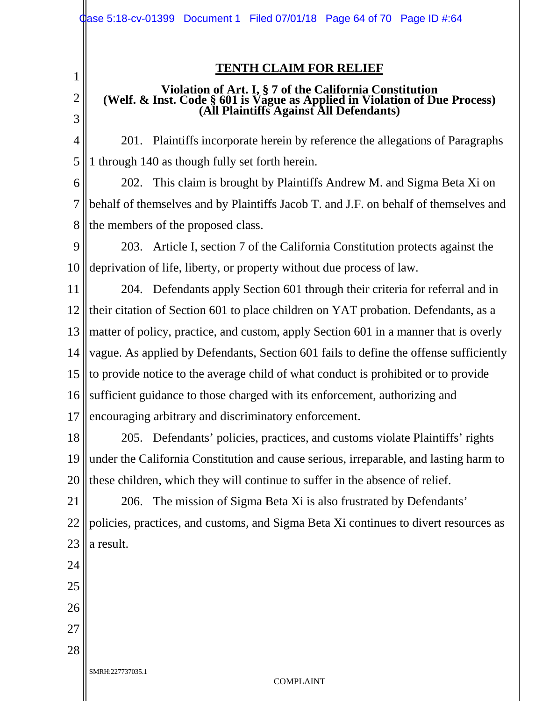1

2

3

#### **TENTH CLAIM FOR RELIEF**

## **Violation of Art. I, § 7 of the California Constitution (Welf. & Inst. Code § 601 is Vague as Applied in Violation of Due Process) (All Plaintiffs Against All Defendants)**

4 5 201. Plaintiffs incorporate herein by reference the allegations of Paragraphs 1 through 140 as though fully set forth herein.

6 7 8 202. This claim is brought by Plaintiffs Andrew M. and Sigma Beta Xi on behalf of themselves and by Plaintiffs Jacob T. and J.F. on behalf of themselves and the members of the proposed class.

9 10 203. Article I, section 7 of the California Constitution protects against the deprivation of life, liberty, or property without due process of law.

11 12 13 14 15 16 17 204. Defendants apply Section 601 through their criteria for referral and in their citation of Section 601 to place children on YAT probation. Defendants, as a matter of policy, practice, and custom, apply Section 601 in a manner that is overly vague. As applied by Defendants, Section 601 fails to define the offense sufficiently to provide notice to the average child of what conduct is prohibited or to provide sufficient guidance to those charged with its enforcement, authorizing and encouraging arbitrary and discriminatory enforcement.

18 19 20 205. Defendants' policies, practices, and customs violate Plaintiffs' rights under the California Constitution and cause serious, irreparable, and lasting harm to these children, which they will continue to suffer in the absence of relief.

21 22 23 206. The mission of Sigma Beta Xi is also frustrated by Defendants' policies, practices, and customs, and Sigma Beta Xi continues to divert resources as a result.

24 25 26 27 28 SMRH:227737035.1 COMPLAINT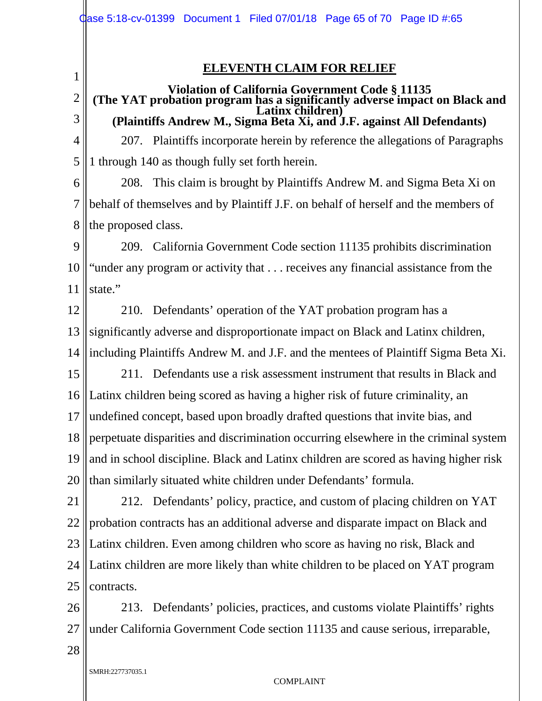#### **ELEVENTH CLAIM FOR RELIEF**

#### 2 3 **Violation of California Government Code § 11135 (The YAT probation program has a significantly adverse impact on Black and Latinx children) (Plaintiffs Andrew M., Sigma Beta Xi, and J.F. against All Defendants)**

4 5 207. Plaintiffs incorporate herein by reference the allegations of Paragraphs 1 through 140 as though fully set forth herein.

6 7 8 208. This claim is brought by Plaintiffs Andrew M. and Sigma Beta Xi on behalf of themselves and by Plaintiff J.F. on behalf of herself and the members of the proposed class.

9 10 11 209. California Government Code section 11135 prohibits discrimination "under any program or activity that . . . receives any financial assistance from the state."

12 13 14 210. Defendants' operation of the YAT probation program has a significantly adverse and disproportionate impact on Black and Latinx children, including Plaintiffs Andrew M. and J.F. and the mentees of Plaintiff Sigma Beta Xi.

15 16 17 18 19 20 211. Defendants use a risk assessment instrument that results in Black and Latinx children being scored as having a higher risk of future criminality, an undefined concept, based upon broadly drafted questions that invite bias, and perpetuate disparities and discrimination occurring elsewhere in the criminal system and in school discipline. Black and Latinx children are scored as having higher risk than similarly situated white children under Defendants' formula.

21 22 23 24 25 212. Defendants' policy, practice, and custom of placing children on YAT probation contracts has an additional adverse and disparate impact on Black and Latinx children. Even among children who score as having no risk, Black and Latinx children are more likely than white children to be placed on YAT program contracts.

26 27 213. Defendants' policies, practices, and customs violate Plaintiffs' rights under California Government Code section 11135 and cause serious, irreparable,

28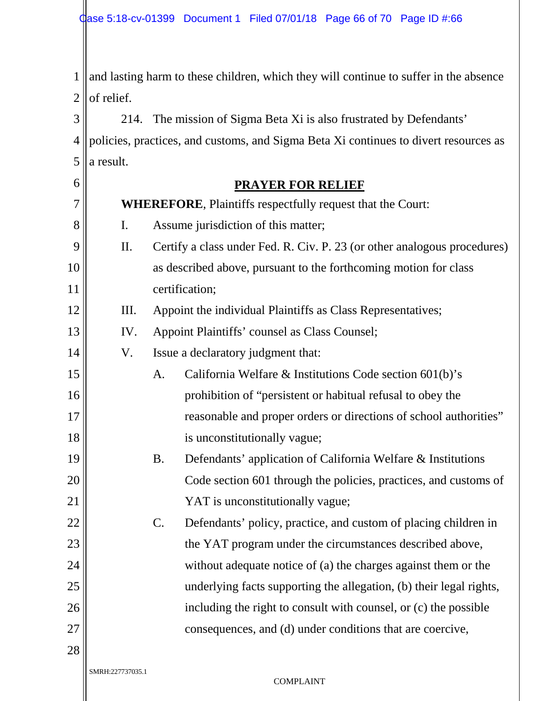1 2 and lasting harm to these children, which they will continue to suffer in the absence of relief.

3 4  $5$  || a result. 214. The mission of Sigma Beta Xi is also frustrated by Defendants' policies, practices, and customs, and Sigma Beta Xi continues to divert resources as

| 6  |                                                                   |                                     | <b>PRAYER FOR RELIEF</b>                                                 |  |
|----|-------------------------------------------------------------------|-------------------------------------|--------------------------------------------------------------------------|--|
| 7  | <b>WHEREFORE, Plaintiffs respectfully request that the Court:</b> |                                     |                                                                          |  |
| 8  | $\mathbf{I}$ .                                                    | Assume jurisdiction of this matter; |                                                                          |  |
| 9  | II.                                                               |                                     | Certify a class under Fed. R. Civ. P. 23 (or other analogous procedures) |  |
| 10 |                                                                   |                                     | as described above, pursuant to the forthcoming motion for class         |  |
| 11 |                                                                   |                                     | certification;                                                           |  |
| 12 | Ш.                                                                |                                     | Appoint the individual Plaintiffs as Class Representatives;              |  |
| 13 | IV.                                                               |                                     | Appoint Plaintiffs' counsel as Class Counsel;                            |  |
| 14 | V.                                                                |                                     | Issue a declaratory judgment that:                                       |  |
| 15 |                                                                   | A.                                  | California Welfare & Institutions Code section 601(b)'s                  |  |
| 16 |                                                                   |                                     | prohibition of "persistent or habitual refusal to obey the               |  |
| 17 |                                                                   |                                     | reasonable and proper orders or directions of school authorities"        |  |
| 18 |                                                                   |                                     | is unconstitutionally vague;                                             |  |
| 19 |                                                                   | <b>B.</b>                           | Defendants' application of California Welfare & Institutions             |  |
| 20 |                                                                   |                                     | Code section 601 through the policies, practices, and customs of         |  |
| 21 |                                                                   |                                     | YAT is unconstitutionally vague;                                         |  |
| 22 |                                                                   | $C$ .                               | Defendants' policy, practice, and custom of placing children in          |  |
| 23 |                                                                   |                                     | the YAT program under the circumstances described above,                 |  |
| 24 |                                                                   |                                     | without adequate notice of (a) the charges against them or the           |  |
| 25 |                                                                   |                                     | underlying facts supporting the allegation, (b) their legal rights,      |  |
| 26 |                                                                   |                                     | including the right to consult with counsel, or (c) the possible         |  |
| 27 |                                                                   |                                     | consequences, and (d) under conditions that are coercive,                |  |
| 28 |                                                                   |                                     |                                                                          |  |
|    | SMRH:227737035.1                                                  |                                     | <b>COMPLAINT</b>                                                         |  |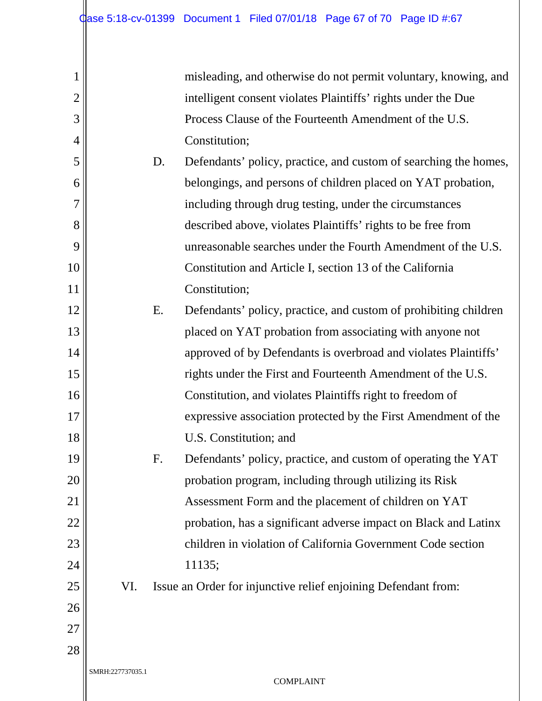| misleading, and otherwise do not permit voluntary, knowing, and |
|-----------------------------------------------------------------|
| intelligent consent violates Plaintiffs' rights under the Due   |
| Process Clause of the Fourteenth Amendment of the U.S.          |
| Constitution;                                                   |

D. Defendants' policy, practice, and custom of searching the homes, belongings, and persons of children placed on YAT probation, including through drug testing, under the circumstances described above, violates Plaintiffs' rights to be free from unreasonable searches under the Fourth Amendment of the U.S. Constitution and Article I, section 13 of the California Constitution;

- 12 13 16 18 E. Defendants' policy, practice, and custom of prohibiting children placed on YAT probation from associating with anyone not approved of by Defendants is overbroad and violates Plaintiffs' rights under the First and Fourteenth Amendment of the U.S. Constitution, and violates Plaintiffs right to freedom of expressive association protected by the First Amendment of the U.S. Constitution; and
	- F. Defendants' policy, practice, and custom of operating the YAT probation program, including through utilizing its Risk Assessment Form and the placement of children on YAT probation, has a significant adverse impact on Black and Latinx children in violation of California Government Code section 11135;
		- VI. Issue an Order for injunctive relief enjoining Defendant from:
- 27

28

26

1

2

3

4

5

6

7

8

9

10

11

14

15

17

19

20

21

22

23

24

25

SMRH:227737035.1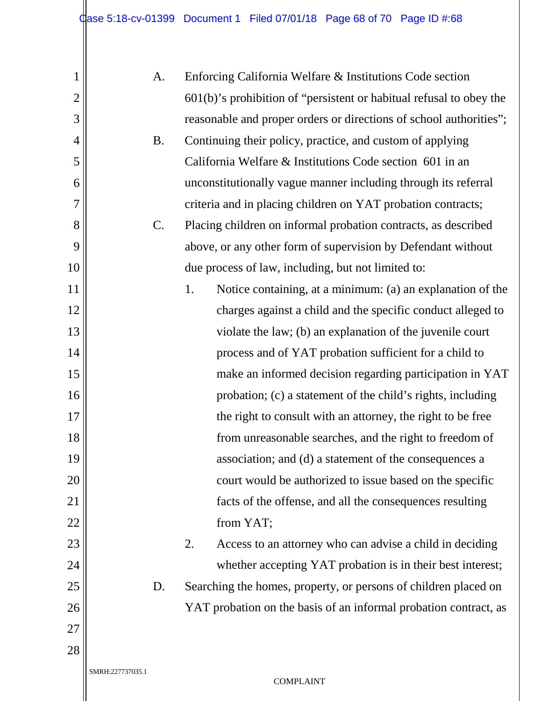| $\mathbf{1}$   |                  | A.        | Enforcing California Welfare & Institutions Code section               |  |
|----------------|------------------|-----------|------------------------------------------------------------------------|--|
| $\overline{2}$ |                  |           | $601(b)$ 's prohibition of "persistent or habitual refusal to obey the |  |
| 3              |                  |           | reasonable and proper orders or directions of school authorities";     |  |
| $\overline{4}$ |                  | <b>B.</b> | Continuing their policy, practice, and custom of applying              |  |
| 5              |                  |           | California Welfare & Institutions Code section 601 in an               |  |
| 6              |                  |           | unconstitutionally vague manner including through its referral         |  |
| $\overline{7}$ |                  |           | criteria and in placing children on YAT probation contracts;           |  |
| 8              |                  | $C$ .     | Placing children on informal probation contracts, as described         |  |
| 9              |                  |           | above, or any other form of supervision by Defendant without           |  |
| 10             |                  |           | due process of law, including, but not limited to:                     |  |
| 11             |                  |           | 1.<br>Notice containing, at a minimum: (a) an explanation of the       |  |
| 12             |                  |           | charges against a child and the specific conduct alleged to            |  |
| 13             |                  |           | violate the law; (b) an explanation of the juvenile court              |  |
| 14             |                  |           | process and of YAT probation sufficient for a child to                 |  |
| 15             |                  |           | make an informed decision regarding participation in YAT               |  |
| 16             |                  |           | probation; (c) a statement of the child's rights, including            |  |
| 17             |                  |           | the right to consult with an attorney, the right to be free            |  |
| 18             |                  |           | from unreasonable searches, and the right to freedom of                |  |
| 19             |                  |           | association; and (d) a statement of the consequences a                 |  |
| 20             |                  |           | court would be authorized to issue based on the specific               |  |
| 21             |                  |           | facts of the offense, and all the consequences resulting               |  |
| 22             |                  |           | from YAT;                                                              |  |
| 23             |                  |           | 2.<br>Access to an attorney who can advise a child in deciding         |  |
| 24             |                  |           | whether accepting YAT probation is in their best interest;             |  |
| 25             |                  | D.        | Searching the homes, property, or persons of children placed on        |  |
| 26             |                  |           | YAT probation on the basis of an informal probation contract, as       |  |
| 27             |                  |           |                                                                        |  |
| 28             |                  |           |                                                                        |  |
|                | SMRH:227737035.1 |           | <b>COMPLAINT</b>                                                       |  |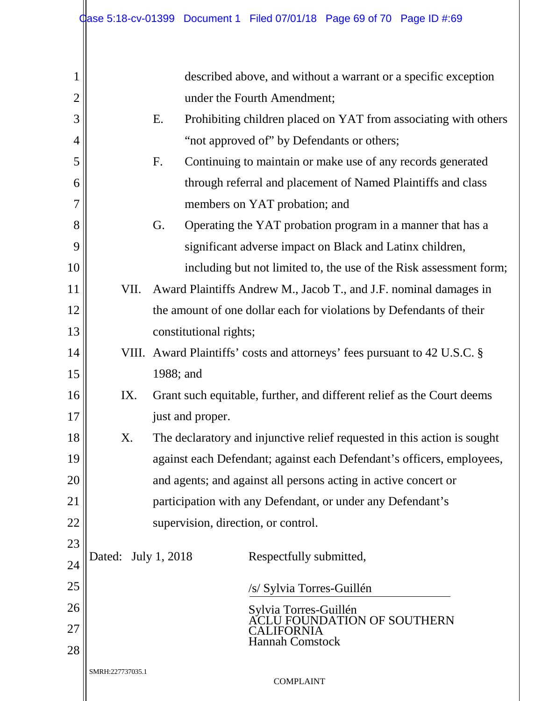| 1              |                                                                               | described above, and without a warrant or a specific exception            |  |  |
|----------------|-------------------------------------------------------------------------------|---------------------------------------------------------------------------|--|--|
| $\overline{2}$ |                                                                               | under the Fourth Amendment;                                               |  |  |
| 3              |                                                                               | Prohibiting children placed on YAT from associating with others<br>Ε.     |  |  |
| 4              |                                                                               | "not approved of" by Defendants or others;                                |  |  |
| 5              |                                                                               | Continuing to maintain or make use of any records generated<br>F.         |  |  |
| 6              |                                                                               | through referral and placement of Named Plaintiffs and class              |  |  |
| 7              |                                                                               | members on YAT probation; and                                             |  |  |
| 8              |                                                                               | G.<br>Operating the YAT probation program in a manner that has a          |  |  |
| 9              |                                                                               | significant adverse impact on Black and Latinx children,                  |  |  |
| 10             |                                                                               | including but not limited to, the use of the Risk assessment form;        |  |  |
| 11             | VII.                                                                          | Award Plaintiffs Andrew M., Jacob T., and J.F. nominal damages in         |  |  |
| 12             | the amount of one dollar each for violations by Defendants of their           |                                                                           |  |  |
| 13             |                                                                               | constitutional rights;                                                    |  |  |
| 14             |                                                                               | VIII. Award Plaintiffs' costs and attorneys' fees pursuant to 42 U.S.C. § |  |  |
| 15             |                                                                               | 1988; and                                                                 |  |  |
| 16             | Grant such equitable, further, and different relief as the Court deems<br>IX. |                                                                           |  |  |
| 17             |                                                                               | just and proper.                                                          |  |  |
| 18             | Χ.                                                                            | The declaratory and injunctive relief requested in this action is sought  |  |  |
| 19             |                                                                               | against each Defendant; against each Defendant's officers, employees,     |  |  |
| 20             |                                                                               | and agents; and against all persons acting in active concert or           |  |  |
| 21             |                                                                               | participation with any Defendant, or under any Defendant's                |  |  |
| 22             |                                                                               | supervision, direction, or control.                                       |  |  |
| 23             | Dated:                                                                        | July 1, 2018<br>Respectfully submitted,                                   |  |  |
| 24             |                                                                               |                                                                           |  |  |
| 25             |                                                                               | /s/ Sylvia Torres-Guillén                                                 |  |  |
| 26             |                                                                               | Sylvia Torres-Guillén<br>ACLU FOUNDATION OF SOUTHERN                      |  |  |
| 27             |                                                                               | CALIFORNIA<br><b>Hannah Comstock</b>                                      |  |  |
| 28             |                                                                               |                                                                           |  |  |
|                | SMRH:227737035.1                                                              | <b>COMPLAINT</b>                                                          |  |  |
|                |                                                                               |                                                                           |  |  |